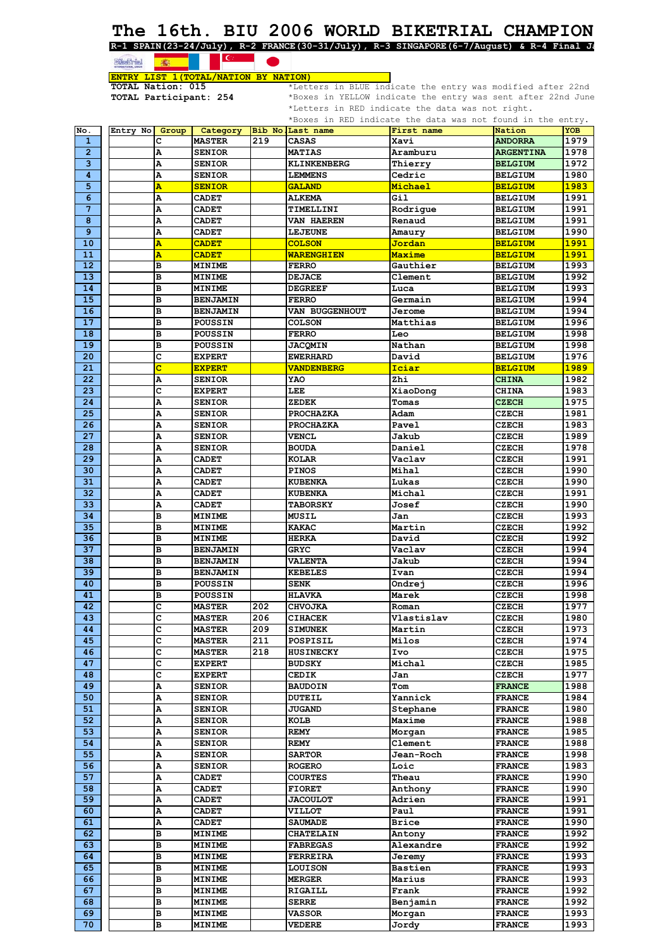## **The 16th. BIU 2006 WORLD BIKETRIAL CHAMPION**

**R-1 SPAIN(23-24/July), R-2 FRANCE(30-31/July), R-3 SINGAPORE(6-7/August) & R-4 Final Ja**

### $\overline{\epsilon}$ 流 **ENTRY LIST 1(TOTAL/NATION BY NATION)**<br>TOTAL Nation: 015 \*\*Lett

<u>ENIKI LIST I(IOTAL/NATION BY NATION)</u><br>TOTAL Nation: 015 \*Letters in BLUE indicate the entry was modified after 22nd<br>TOTAL Participant: 254 \*Boxes in YELLOW indicate the entry was sent after 22nd June \*Boxes in YELLOW indicate the entry was sent after 22nd June \*Letters in RED indicate the data was not right.

| No.<br>$\mathbf{1}$ |                    |                 |     |                    | *Boxes in RED indicate the data was not found in the entry. |                  |             |
|---------------------|--------------------|-----------------|-----|--------------------|-------------------------------------------------------------|------------------|-------------|
|                     | Entry No!<br>Group | Category        |     | Bib No. Last name  | First name                                                  | Nation           | <b>YOB</b>  |
|                     | c                  | <b>MASTER</b>   | 219 | CASAS              | Xavi                                                        | <b>ANDORRA</b>   | 1979        |
| $\overline{2}$      | A                  | <b>SENIOR</b>   |     | <b>MATIAS</b>      | Aramburu                                                    | <b>ARGENTINA</b> | 1978        |
| 3                   | А                  | <b>SENIOR</b>   |     | <b>KLINKENBERG</b> | Thierry                                                     | <b>BELGIUM</b>   | 1972        |
| $\overline{\bf{4}}$ | А                  | <b>SENIOR</b>   |     | <b>LEMMENS</b>     | Cedric                                                      | <b>BELGIUM</b>   | 1980        |
|                     |                    |                 |     |                    |                                                             |                  | 1983        |
| 5                   | A                  | <b>SENIOR</b>   |     | <b>GALAND</b>      | Michael                                                     | <b>BELGIUM</b>   |             |
| 6                   | А                  | <b>CADET</b>    |     | <b>ALKEMA</b>      | Gil                                                         | <b>BELGIUM</b>   | 1991        |
| $\overline{7}$      | А                  | <b>CADET</b>    |     | TIMELLINI          | Rodrique                                                    | <b>BELGIUM</b>   | 1991        |
| 8                   | А                  | <b>CADET</b>    |     | <b>VAN HAEREN</b>  | Renaud                                                      | <b>BELGIUM</b>   | 1991        |
| 9                   | А                  | <b>CADET</b>    |     | <b>LEJEUNE</b>     | Amaury                                                      | <b>BELGIUM</b>   | 1990        |
| 10                  | A                  | <b>CADET</b>    |     | <b>COLSON</b>      | <u>Jordan</u>                                               | <b>BELGIUM</b>   | 1991        |
| 11                  | A                  | <b>CADET</b>    |     | <b>WARENGHIEN</b>  | Maxime                                                      | <b>BELGIUM</b>   | 1991        |
| 12 <sub>2</sub>     | в                  | <b>MINIME</b>   |     | <b>FERRO</b>       | Gauthier                                                    | <b>BELGIUM</b>   | 1993        |
| 13 <sub>1</sub>     | в                  |                 |     | <b>DEJACE</b>      | Clement                                                     |                  | 1992        |
|                     |                    | <b>MINIME</b>   |     |                    |                                                             | <b>BELGIUM</b>   |             |
| 14                  | в                  | <b>MINIME</b>   |     | <b>DEGREEF</b>     | Luca                                                        | <b>BELGIUM</b>   | 1993        |
| 15                  | в                  | <b>BENJAMIN</b> |     | FERRO              | Germain                                                     | <b>BELGIUM</b>   | 1994        |
| 16                  | в                  | <b>BENJAMIN</b> |     | VAN BUGGENHOUT     | Jerome                                                      | <b>BELGIUM</b>   | 1994        |
| 17                  | B                  | <b>POUSSIN</b>  |     | <b>COLSON</b>      | Matthias                                                    | <b>BELGIUM</b>   | 1996        |
| 18                  | в                  | <b>POUSSIN</b>  |     | <b>FERRO</b>       | Leo                                                         | <b>BELGIUM</b>   | 1998        |
| 19                  | в                  | <b>POUSSIN</b>  |     | <b>JACQMIN</b>     | Nathan                                                      | <b>BELGIUM</b>   | 1998        |
| 20                  | с                  | <b>EXPERT</b>   |     | <b>EWERHARD</b>    | David                                                       | <b>BELGIUM</b>   | 1976        |
| 21                  | c                  | <b>EXPERT</b>   |     | <b>VANDENBERG</b>  | Iciar                                                       | <b>BELGIUM</b>   | <b>1989</b> |
| 22                  |                    | <b>SENIOR</b>   |     |                    |                                                             |                  | 1982        |
|                     | А                  |                 |     | YAO                | Zhi                                                         | <b>CHINA</b>     |             |
| 23                  | c                  | <b>EXPERT</b>   |     | LEE                | XiaoDong                                                    | <b>CHINA</b>     | 1983        |
| 24                  | А                  | <b>SENIOR</b>   |     | ZEDEK              | Tomas                                                       | <b>CZECH</b>     | 1975        |
| 25                  | А                  | <b>SENIOR</b>   |     | <b>PROCHAZKA</b>   | Adam                                                        | <b>CZECH</b>     | 1981        |
| 26                  | А                  | <b>SENIOR</b>   |     | <b>PROCHAZKA</b>   | Pavel                                                       | <b>CZECH</b>     | 1983        |
| 27                  | Α                  | <b>SENIOR</b>   |     | <b>VENCL</b>       | Jakub                                                       | <b>CZECH</b>     | 1989        |
| 28                  | А                  | <b>SENIOR</b>   |     | <b>BOUDA</b>       | Daniel                                                      | <b>CZECH</b>     | 1978        |
| 29                  | А                  | <b>CADET</b>    |     | KOLAR              | Vaclav                                                      | <b>CZECH</b>     | 1991        |
| 30                  | А                  | <b>CADET</b>    |     | <b>PINOS</b>       | Mihal                                                       | <b>CZECH</b>     | 1990        |
| 31                  | А                  | <b>CADET</b>    |     | <b>KUBENKA</b>     | Lukas                                                       | <b>CZECH</b>     | 1990        |
|                     |                    |                 |     |                    |                                                             |                  |             |
| 32                  | А                  | <b>CADET</b>    |     | <b>KUBENKA</b>     | Michal                                                      | <b>CZECH</b>     | 1991        |
| 33                  | А                  | <b>CADET</b>    |     | <b>TABORSKY</b>    | Josef                                                       | <b>CZECH</b>     | 1990        |
| 34                  | в                  | <b>MINIME</b>   |     | <b>MUSIL</b>       | Jan                                                         | <b>CZECH</b>     | 1993        |
| 35                  | в                  | <b>MINIME</b>   |     | <b>KAKAC</b>       | Martin                                                      | <b>CZECH</b>     | 1992        |
| 36                  | в                  | <b>MINIME</b>   |     | HERKA              | David                                                       | <b>CZECH</b>     | 1992        |
| 37                  | в                  | <b>BENJAMIN</b> |     | GRYC               | Vaclav                                                      | <b>CZECH</b>     | 1994        |
| 38                  | в                  | <b>BENJAMIN</b> |     | <b>VALENTA</b>     | Jakub                                                       | <b>CZECH</b>     | 1994        |
| 39                  | в                  | <b>BENJAMIN</b> |     | <b>KEBELES</b>     | Ivan                                                        | CZECH            | 1994        |
| 40                  | в                  | <b>POUSSIN</b>  |     | SENK               | Ondrej                                                      | <b>CZECH</b>     | 1996        |
| 41                  | в                  | <b>POUSSIN</b>  |     | <b>HLAVKA</b>      | Marek                                                       | <b>CZECH</b>     | 1998        |
|                     |                    |                 |     |                    |                                                             |                  |             |
| 42                  | c                  | <b>MASTER</b>   | 202 | <b>CHVOJKA</b>     | Roman                                                       | <b>CZECH</b>     | 1977        |
| $\overline{43}$     | Ċ                  | <b>MASTER</b>   | 206 | <b>CIHACEK</b>     |                                                             |                  |             |
| 44                  | c                  |                 |     |                    | Vlastislav                                                  | <b>CZECH</b>     | 1980        |
|                     |                    | <b>MASTER</b>   | 209 | <b>SIMUNEK</b>     | Martin                                                      | CZECH            | 1973        |
| 45                  | c                  | <b>MASTER</b>   | 211 | POSPISIL           | Milos                                                       | <b>CZECH</b>     | 1974        |
| 46                  | c                  | <b>MASTER</b>   | 218 | <b>HUSINECKY</b>   | Ivo                                                         | <b>CZECH</b>     | 1975        |
| 47                  | c                  | <b>EXPERT</b>   |     | <b>BUDSKY</b>      | Michal                                                      | <b>CZECH</b>     | 1985        |
| 48                  | c                  | <b>EXPERT</b>   |     | CEDIK              | Jan                                                         | <b>CZECH</b>     | 1977        |
| 49                  | Α                  | <b>SENIOR</b>   |     |                    | Tom                                                         |                  | 1988        |
|                     |                    |                 |     | <b>BAUDOIN</b>     |                                                             | <b>FRANCE</b>    |             |
| 50                  | Α                  | <b>SENIOR</b>   |     | DUTEIL             | Yannick                                                     | <b>FRANCE</b>    | 1984        |
| 51                  | Α                  | <b>SENIOR</b>   |     | <b>JUGAND</b>      | Stephane                                                    | <b>FRANCE</b>    | 1980        |
| 52                  | Α                  | <b>SENIOR</b>   |     | KOLB               | Maxime                                                      | <b>FRANCE</b>    | 1988        |
| 53                  | А                  | <b>SENIOR</b>   |     | <b>REMY</b>        | Morgan                                                      | <b>FRANCE</b>    | 1985        |
| 54                  | А                  | <b>SENIOR</b>   |     | <b>REMY</b>        | Clement                                                     | <b>FRANCE</b>    | 1988        |
| 55                  | Α                  | <b>SENIOR</b>   |     | <b>SARTOR</b>      | Jean-Roch                                                   | <b>FRANCE</b>    | 1998        |
| 56                  | А                  | <b>SENIOR</b>   |     | <b>ROGERO</b>      | Loic                                                        | <b>FRANCE</b>    | 1983        |
| 57                  | Α                  | <b>CADET</b>    |     | COURTES            | Theau                                                       | <b>FRANCE</b>    | 1990        |
| 58                  |                    | <b>CADET</b>    |     | <b>FIORET</b>      |                                                             | <b>FRANCE</b>    | 1990        |
| 59                  | Α                  |                 |     | <b>JACOULOT</b>    | Anthony<br>Adrien                                           | <b>FRANCE</b>    | 1991        |
|                     | Α                  | <b>CADET</b>    |     |                    |                                                             |                  |             |
| 60                  | А                  | <b>CADET</b>    |     | <b>VILLOT</b>      | Paul                                                        | <b>FRANCE</b>    | 1991        |
| 61                  | Α                  | <b>CADET</b>    |     | <b>SAUMADE</b>     | Brice                                                       | <b>FRANCE</b>    | 1990        |
| 62                  | в                  | <b>MINIME</b>   |     | <b>CHATELAIN</b>   | Antony                                                      | <b>FRANCE</b>    | 1992        |
| 63                  | в                  | <b>MINIME</b>   |     | <b>FABREGAS</b>    | Alexandre                                                   | <b>FRANCE</b>    | 1992        |
| 64                  | B                  | <b>MINIME</b>   |     | FERREIRA           | Jeremy                                                      | <b>FRANCE</b>    | 1993        |
| 65                  | в                  | <b>MINIME</b>   |     | <b>LOUISON</b>     | Bastien                                                     | <b>FRANCE</b>    | 1993        |
| 66                  | в                  | <b>MINIME</b>   |     | <b>MERGER</b>      | Marius                                                      | <b>FRANCE</b>    | 1993        |
| 67                  | в                  | <b>MINIME</b>   |     | RIGAILL            | Frank                                                       | <b>FRANCE</b>    | 1992        |
| 68                  | в                  | <b>MINIME</b>   |     | <b>SERRE</b>       | Benjamin                                                    | <b>FRANCE</b>    | 1992        |
| 69                  | в                  | <b>MINIME</b>   |     | VASSOR             | Morgan                                                      | <b>FRANCE</b>    | 1993        |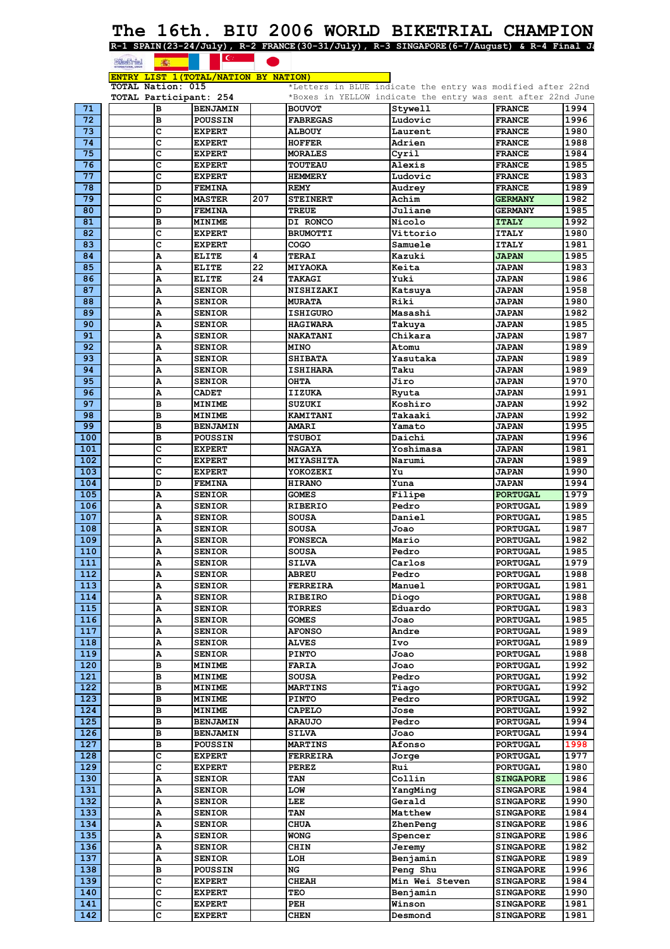# The 16th. BIU 2006 WORLD BIKETRIAL CHAMPION<br>R-1 SPAIN(23-24/July), R-2 FRANCE(30-31/July), R-3 SINGAPORE(6-7/August) & R-4 Final Je

|                                                        |  |  |  | SPAIN(23-24/July), R-2 FRANCE(30-31/July), R-3 SINGAPORE(6-7/Aug |  |
|--------------------------------------------------------|--|--|--|------------------------------------------------------------------|--|
| <b>Refined a support of the Community of Community</b> |  |  |  |                                                                  |  |

|                  | <b>EXECTED</b><br>35                  |                 |     |                  |                                                              |                  |      |
|------------------|---------------------------------------|-----------------|-----|------------------|--------------------------------------------------------------|------------------|------|
|                  | ENTRY LIST 1 (TOTAL/NATION BY NATION) |                 |     |                  |                                                              |                  |      |
|                  | <b>TOTAL Nation: 015</b>              |                 |     |                  | *Letters in BLUE indicate the entry was modified after 22nd  |                  |      |
|                  | TOTAL Participant: 254                |                 |     |                  | *Boxes in YELLOW indicate the entry was sent after 22nd June |                  |      |
| 71               | в                                     | <b>BENJAMIN</b> |     | <b>BOUVOT</b>    | Stywell                                                      | <b>FRANCE</b>    | 1994 |
| 72               | в                                     | <b>POUSSIN</b>  |     | <b>FABREGAS</b>  | Ludovic                                                      | <b>FRANCE</b>    | 1996 |
| 73               | c                                     | <b>EXPERT</b>   |     | <b>ALBOUY</b>    | Laurent                                                      | <b>FRANCE</b>    | 1980 |
| 74               | c                                     | <b>EXPERT</b>   |     | <b>HOFFER</b>    | Adrien                                                       | <b>FRANCE</b>    | 1988 |
| 75               | c                                     | <b>EXPERT</b>   |     | <b>MORALES</b>   | Cyril                                                        | <b>FRANCE</b>    | 1984 |
| 76               | c                                     | <b>EXPERT</b>   |     | <b>TOUTEAU</b>   | Alexis                                                       | <b>FRANCE</b>    | 1985 |
| 77               | c                                     | <b>EXPERT</b>   |     | <b>HEMMERY</b>   | Ludovic                                                      | <b>FRANCE</b>    | 1983 |
| 78               | D                                     | <b>FEMINA</b>   |     | <b>REMY</b>      | Audrey                                                       | <b>FRANCE</b>    | 1989 |
| 79               | Ċ                                     | <b>MASTER</b>   | 207 | <b>STEINERT</b>  | Achim                                                        | <b>GERMANY</b>   | 1982 |
| 80               | D                                     | <b>FEMINA</b>   |     | <b>TREUE</b>     | Juliane                                                      | <b>GERMANY</b>   | 1985 |
| 81               | в                                     | <b>MINIME</b>   |     | DI RONCO         | Nicolo                                                       | <b>ITALY</b>     | 1992 |
| 82               | c                                     | <b>EXPERT</b>   |     | <b>BRUMOTTI</b>  | Vittorio                                                     | <b>ITALY</b>     | 1980 |
| 83               | c                                     | <b>EXPERT</b>   |     | COGO             | Samuele                                                      | <b>ITALY</b>     | 1981 |
| 84               | A                                     | <b>ELITE</b>    | 4   | <b>TERAI</b>     | Kazuki                                                       | <b>JAPAN</b>     | 1985 |
| 85               | A                                     | <b>ELITE</b>    | 22  | MIYAOKA          | Keita                                                        | <b>JAPAN</b>     | 1983 |
| 86               | Α                                     | <b>ELITE</b>    | 24  | <b>TAKAGI</b>    | Yuki                                                         | <b>JAPAN</b>     | 1986 |
| 87               | A                                     | <b>SENIOR</b>   |     | <b>NISHIZAKI</b> | Katsuya                                                      | <b>JAPAN</b>     | 1958 |
| 88               | A                                     | <b>SENIOR</b>   |     | <b>MURATA</b>    | Riki                                                         | <b>JAPAN</b>     | 1980 |
| 89               | Α                                     | <b>SENIOR</b>   |     | <b>ISHIGURO</b>  | Masashi                                                      | <b>JAPAN</b>     | 1982 |
| 90               | A                                     | <b>SENIOR</b>   |     | <b>HAGIWARA</b>  | Takuya                                                       | <b>JAPAN</b>     | 1985 |
| 91               | A                                     | <b>SENIOR</b>   |     | <b>NAKATANI</b>  | Chikara                                                      | <b>JAPAN</b>     | 1987 |
| 92               | Α                                     | <b>SENIOR</b>   |     | <b>MINO</b>      | Atomu                                                        | <b>JAPAN</b>     | 1989 |
| 93               | Α                                     | <b>SENIOR</b>   |     | <b>SHTBATA</b>   | Yasutaka                                                     | <b>JAPAN</b>     | 1989 |
| 94               | A                                     | <b>SENIOR</b>   |     | <b>ISHIHARA</b>  | Taku                                                         | <b>JAPAN</b>     | 1989 |
| 95               | A                                     | <b>SENIOR</b>   |     | <b>OHTA</b>      | Jiro                                                         | <b>JAPAN</b>     | 1970 |
| 96               | Α                                     | <b>CADET</b>    |     | <b>IIZUKA</b>    | Ryuta                                                        | <b>JAPAN</b>     | 1991 |
| 97               | в                                     | <b>MINIME</b>   |     | <b>SUZUKI</b>    | Koshiro                                                      | <b>JAPAN</b>     | 1992 |
| 98               | в                                     | <b>MINIME</b>   |     | <b>KAMITANI</b>  | Takaaki                                                      | <b>JAPAN</b>     | 1992 |
| 99               | B                                     | <b>BENJAMIN</b> |     | <b>AMARI</b>     | Yamato                                                       | <b>JAPAN</b>     | 1995 |
| 100              | в                                     | POUSSIN         |     | <b>TSUBOI</b>    | Daichi                                                       | <b>JAPAN</b>     | 1996 |
| 101              | c                                     | <b>EXPERT</b>   |     | <b>NAGAYA</b>    | Yoshimasa                                                    | <b>JAPAN</b>     | 1981 |
| 102              | c                                     | <b>EXPERT</b>   |     | MIYASHITA        | Narumi                                                       | <b>JAPAN</b>     | 1989 |
| 103              | c                                     | <b>EXPERT</b>   |     | YOKOZEKI         | Yu                                                           | <b>JAPAN</b>     | 1990 |
| 104              | D                                     | <b>FEMINA</b>   |     | <b>HIRANO</b>    | Yuna                                                         | <b>JAPAN</b>     | 1994 |
| 105              | A                                     | <b>SENIOR</b>   |     | <b>GOMES</b>     | Filipe                                                       | <b>PORTUGAL</b>  | 1979 |
| 106              | А                                     | <b>SENIOR</b>   |     | <b>RIBERIO</b>   | Pedro                                                        | <b>PORTUGAL</b>  | 1989 |
| 107              | A                                     | <b>SENIOR</b>   |     | <b>SOUSA</b>     | Daniel                                                       | <b>PORTUGAL</b>  | 1985 |
| 108              | Α                                     | <b>SENIOR</b>   |     | <b>SOUSA</b>     | Joao                                                         | <b>PORTUGAL</b>  | 1987 |
| 109              | A                                     | <b>SENIOR</b>   |     | <b>FONSECA</b>   | Mario                                                        | <b>PORTUGAL</b>  | 1982 |
| 110              | A                                     | <b>SENIOR</b>   |     | <b>SOUSA</b>     | Pedro                                                        | <b>PORTUGAL</b>  | 1985 |
| $\overline{111}$ | Ā                                     | <b>SENIOR</b>   |     | SILVA            | Carlos                                                       | <b>PORTUGAL</b>  | 1979 |
| 112              | Α                                     | <b>SENIOR</b>   |     | <b>ABREU</b>     | Pedro                                                        | <b>PORTUGAL</b>  | 1988 |
| 113              | А                                     | <b>SENIOR</b>   |     | <b>FERREIRA</b>  | Manuel                                                       | <b>PORTUGAL</b>  | 1981 |
| 114              | Α                                     | <b>SENIOR</b>   |     | <b>RIBEIRO</b>   | Diogo                                                        | <b>PORTUGAL</b>  | 1988 |
| 115              | А                                     | <b>SENIOR</b>   |     | <b>TORRES</b>    | Eduardo                                                      | <b>PORTUGAL</b>  | 1983 |
| 116              | Α                                     | <b>SENIOR</b>   |     | <b>GOMES</b>     | Joao                                                         | <b>PORTUGAL</b>  | 1985 |
| 117              | Α                                     | <b>SENIOR</b>   |     | <b>AFONSO</b>    | Andre                                                        | <b>PORTUGAL</b>  | 1989 |
| 118              | Α                                     | <b>SENIOR</b>   |     | <b>ALVES</b>     | Ivo                                                          | <b>PORTUGAL</b>  | 1989 |
| 119              | Α                                     | <b>SENIOR</b>   |     | <b>PINTO</b>     | Joao                                                         | <b>PORTUGAL</b>  | 1988 |
| 120              | в                                     | MINIME          |     | <b>FARIA</b>     | Joao                                                         | <b>PORTUGAL</b>  | 1992 |
| 121              | в                                     | <b>MINIME</b>   |     | <b>SOUSA</b>     | Pedro                                                        | <b>PORTUGAL</b>  | 1992 |
| 122              | в                                     | <b>MINIME</b>   |     | <b>MARTINS</b>   | Tiago                                                        | <b>PORTUGAL</b>  | 1992 |
| 123              | в                                     | <b>MINIME</b>   |     | <b>PINTO</b>     | Pedro                                                        | <b>PORTUGAL</b>  | 1992 |
| 124              | в                                     | <b>MINIME</b>   |     | <b>CAPELO</b>    | Jose                                                         | <b>PORTUGAL</b>  | 1992 |
| 125              | в                                     | <b>BENJAMIN</b> |     | <b>ARAUJO</b>    | Pedro                                                        | <b>PORTUGAL</b>  | 1994 |
| 126              | в                                     | <b>BENJAMIN</b> |     | <b>SILVA</b>     | Joao                                                         | <b>PORTUGAL</b>  | 1994 |
| 127              | в                                     | <b>POUSSIN</b>  |     | <b>MARTINS</b>   | Afonso                                                       | <b>PORTUGAL</b>  | 1998 |
| 128              | c                                     | <b>EXPERT</b>   |     | FERREIRA         | Jorge                                                        | <b>PORTUGAL</b>  | 1977 |
| 129              | c                                     | <b>EXPERT</b>   |     | <b>PEREZ</b>     | Rui                                                          | <b>PORTUGAL</b>  | 1980 |
| 130              | Α                                     | <b>SENIOR</b>   |     | TAN              | Collin                                                       | <b>SINGAPORE</b> | 1986 |
| 131              | Α                                     | <b>SENIOR</b>   |     | LOW              | YangMing                                                     | <b>SINGAPORE</b> | 1984 |
| 132              | Α                                     | <b>SENIOR</b>   |     | LEE              | Gerald                                                       | <b>SINGAPORE</b> | 1990 |
| 133              | Α                                     | <b>SENIOR</b>   |     | TAN              | Matthew                                                      | <b>SINGAPORE</b> | 1984 |
| 134              | А                                     | <b>SENIOR</b>   |     | CHUA             | ZhenPeng                                                     | <b>SINGAPORE</b> | 1986 |
| 135              | Α                                     | <b>SENIOR</b>   |     | <b>WONG</b>      | Spencer                                                      | <b>SINGAPORE</b> | 1986 |
| 136              | Α                                     | <b>SENIOR</b>   |     | CHIN             | Jeremy                                                       | <b>SINGAPORE</b> | 1982 |
| 137              | Α                                     | <b>SENIOR</b>   |     | LOH              | Benjamin                                                     | <b>SINGAPORE</b> | 1989 |
| 138              | в                                     | <b>POUSSIN</b>  |     | NG               | Peng Shu                                                     | <b>SINGAPORE</b> | 1996 |
| 139              | c                                     | <b>EXPERT</b>   |     | <b>CHEAH</b>     | Min Wei Steven                                               | <b>SINGAPORE</b> | 1984 |
| 140              | c                                     | <b>EXPERT</b>   |     | TEO              | Benjamin                                                     | <b>SINGAPORE</b> | 1990 |
| 141              | c                                     | <b>EXPERT</b>   |     | PEH              | Winson                                                       | <b>SINGAPORE</b> | 1981 |
| 142              | с                                     | <b>EXPERT</b>   |     | <b>CHEN</b>      | Desmond                                                      | <b>SINGAPORE</b> | 1981 |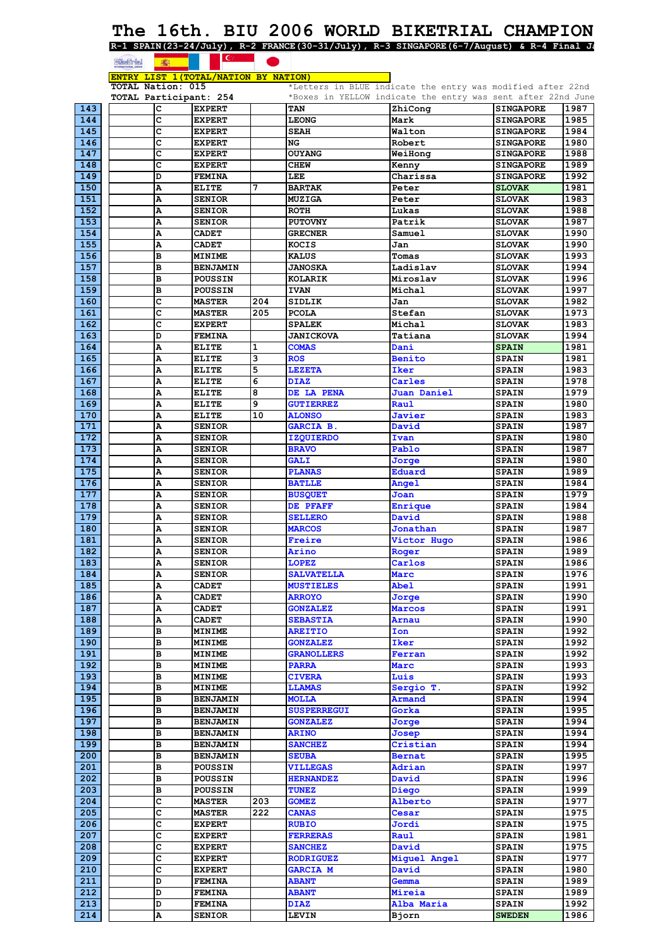# The 16th. BIU 2006 WORLD BIKETRIAL CHAMPION<br>R-1 SPAIN(23-24/July), R-2 FRANCE(30-31/July), R-3 SINGAPORE(6-7/August) & R-4 Final Je

|  |                                                                                                                                                                                                                                      |  |  |  | SPAIN(23-24/July), R-2 FRANCE(30-31/July), R-3 SINGAPORE(6-7/August) |  |
|--|--------------------------------------------------------------------------------------------------------------------------------------------------------------------------------------------------------------------------------------|--|--|--|----------------------------------------------------------------------|--|
|  | <u>and the second of the second of the second of the second of the second of the second of the second of the second of the second of the second of the second of the second of the second of the second of the second of the sec</u> |  |  |  |                                                                      |  |
|  |                                                                                                                                                                                                                                      |  |  |  |                                                                      |  |

|                  | <b>BARSHITE!</b>  | <b>SECTION</b>               | $\sim$                                |     |                    |                                                              |                  |      |
|------------------|-------------------|------------------------------|---------------------------------------|-----|--------------------|--------------------------------------------------------------|------------------|------|
|                  |                   |                              | ENTRY LIST 1 (TOTAL/NATION BY NATION) |     |                    |                                                              |                  |      |
|                  | TOTAL Nation: 015 |                              |                                       |     |                    | *Letters in BLUE indicate the entry was modified after 22nd  |                  |      |
|                  |                   |                              | TOTAL Participant: 254                |     |                    | *Boxes in YELLOW indicate the entry was sent after 22nd June |                  |      |
| 143              |                   | c                            | <b>EXPERT</b>                         |     | <b>TAN</b>         | ZhiCong                                                      | <b>SINGAPORE</b> | 1987 |
| 144              |                   | c                            | <b>EXPERT</b>                         |     | <b>LEONG</b>       | Mark                                                         | <b>SINGAPORE</b> | 1985 |
| 145              |                   | c                            | <b>EXPERT</b>                         |     | <b>SEAH</b>        | Walton                                                       | <b>SINGAPORE</b> | 1984 |
| 146              |                   | c                            | <b>EXPERT</b>                         |     | NG                 | Robert                                                       | <b>SINGAPORE</b> | 1980 |
| 147              |                   | c                            | <b>EXPERT</b>                         |     | <b>OUYANG</b>      | WeiHong                                                      | <b>SINGAPORE</b> | 1988 |
| 148              |                   | c                            | <b>EXPERT</b>                         |     | <b>CHEW</b>        | Kenny                                                        | <b>SINGAPORE</b> | 1989 |
| 149              |                   | D                            | <b>FEMINA</b>                         |     | LEE                | Charissa                                                     | <b>SINGAPORE</b> | 1992 |
| 150              |                   | A                            | <b>ELITE</b>                          | 7   | <b>BARTAK</b>      | Peter                                                        | <b>SLOVAK</b>    | 1981 |
| 151              |                   | А                            | <b>SENIOR</b>                         |     | <b>MUZIGA</b>      | Peter                                                        | <b>SLOVAK</b>    | 1983 |
| 152              |                   | A                            | <b>SENIOR</b>                         |     | <b>ROTH</b>        | Lukas                                                        | <b>SLOVAK</b>    | 1988 |
| 153              |                   | A                            | <b>SENIOR</b>                         |     | <b>PUTOVNY</b>     | Patrik                                                       | <b>SLOVAK</b>    | 1987 |
| 154              |                   | A                            | <b>CADET</b>                          |     | <b>GRECNER</b>     | Samuel                                                       | <b>SLOVAK</b>    | 1990 |
| 155              |                   | A                            | <b>CADET</b>                          |     | <b>KOCIS</b>       | Jan                                                          | <b>SLOVAK</b>    | 1990 |
| 156              |                   | в                            | <b>MINIME</b>                         |     | <b>KALUS</b>       | Tomas                                                        | <b>SLOVAK</b>    | 1993 |
| 157              |                   | в                            | <b>BENJAMIN</b>                       |     | <b>JANOSKA</b>     | Ladislav                                                     | <b>SLOVAK</b>    | 1994 |
| 158              |                   | B                            | <b>POUSSIN</b>                        |     | <b>KOLARIK</b>     | Miroslav                                                     | <b>SLOVAK</b>    | 1996 |
| 159              |                   | в                            | POUSSIN                               |     | <b>IVAN</b>        | Michal                                                       | <b>SLOVAK</b>    | 1997 |
| 160              |                   | c                            | <b>MASTER</b>                         | 204 | <b>SIDLIK</b>      | Jan                                                          | <b>SLOVAK</b>    | 1982 |
| 161              |                   | c                            | <b>MASTER</b>                         | 205 | <b>PCOLA</b>       | Stefan                                                       | <b>SLOVAK</b>    | 1973 |
| 162              |                   | с                            | <b>EXPERT</b>                         |     | <b>SPALEK</b>      | Michal                                                       | <b>SLOVAK</b>    | 1983 |
| 163              |                   | D                            | <b>FEMINA</b>                         |     | <b>JANICKOVA</b>   | Tatiana                                                      | <b>SLOVAK</b>    | 1994 |
| 164              |                   | A                            | <b>ELITE</b>                          | 1   | <b>COMAS</b>       | Dani                                                         | <b>SPAIN</b>     | 1981 |
| 165              |                   | A                            | <b>ELITE</b>                          | 3   | <b>ROS</b>         | <b>Benito</b>                                                | <b>SPAIN</b>     | 1981 |
| 166              |                   | A                            | <b>ELITE</b>                          | 5   | <b>LEZETA</b>      | <b>Iker</b>                                                  | <b>SPAIN</b>     | 1983 |
| 167              |                   | А                            | <b>ELITE</b>                          | 6   | <b>DIAZ</b>        | Carles                                                       | <b>SPAIN</b>     | 1978 |
| 168              |                   | A                            | <b>ELITE</b>                          | 8   | DE LA PENA         | Juan Daniel                                                  | <b>SPAIN</b>     | 1979 |
| 169              |                   | А                            | <b>ELITE</b>                          | 9   | <b>GUTIERREZ</b>   | Raul                                                         | <b>SPAIN</b>     | 1980 |
| 170              |                   | А                            | <b>ELITE</b>                          | 10  | <b>ALONSO</b>      | <b>Javier</b>                                                | <b>SPAIN</b>     | 1983 |
| 171              |                   | A                            | <b>SENIOR</b>                         |     | <b>GARCIA B.</b>   | David                                                        | <b>SPAIN</b>     | 1987 |
| 172              |                   | A                            | <b>SENIOR</b>                         |     | <b>IZQUIERDO</b>   | Ivan                                                         | <b>SPAIN</b>     | 1980 |
| 173              |                   | А                            | <b>SENIOR</b>                         |     | <b>BRAVO</b>       | Pablo                                                        | <b>SPAIN</b>     | 1987 |
| 174              |                   | A                            | <b>SENIOR</b>                         |     | <b>GALI</b>        | Jorge                                                        | <b>SPAIN</b>     | 1980 |
| 175              |                   | А                            | <b>SENIOR</b>                         |     | <b>PLANAS</b>      | <b>Eduard</b>                                                | <b>SPAIN</b>     | 1989 |
| 176              |                   | А                            | <b>SENIOR</b>                         |     | <b>BATLLE</b>      | <b>Angel</b>                                                 | <b>SPAIN</b>     | 1984 |
| 177              |                   | A                            | <b>SENIOR</b>                         |     | <b>BUSQUET</b>     | Joan                                                         | <b>SPAIN</b>     | 1979 |
| 178              |                   | A                            | <b>SENIOR</b>                         |     | DE PFAFF           | Enrique                                                      | <b>SPAIN</b>     | 1984 |
| 179              |                   | А                            | <b>SENIOR</b>                         |     | <b>SELLERO</b>     | David                                                        | <b>SPAIN</b>     | 1988 |
| 180              |                   | А                            | <b>SENIOR</b>                         |     | <b>MARCOS</b>      | Jonathan                                                     | <b>SPAIN</b>     | 1987 |
| 181              |                   | A                            | <b>SENIOR</b>                         |     | Freire             | Victor Hugo                                                  | <b>SPAIN</b>     | 1986 |
| 182              |                   | A                            | <b>SENIOR</b>                         |     | <b>Arino</b>       | Roger                                                        | <b>SPAIN</b>     | 1989 |
| $\overline{183}$ |                   | $\overline{\mathbf{a}}$<br>A | <b>SENIOR</b>                         |     | <b>LOPEZ</b>       | Carlos                                                       | <b>SPAIN</b>     | 1986 |
| 184              |                   | Α                            | <b>SENIOR</b>                         |     | <b>SALVATELLA</b>  | Marc                                                         | <b>SPAIN</b>     | 1976 |
| 185              |                   | А                            | <b>CADET</b>                          |     | <b>MUSTIELES</b>   | <b>Abel</b>                                                  | <b>SPAIN</b>     | 1991 |
| 186              |                   | Α                            | <b>CADET</b>                          |     | <b>ARROYO</b>      | Jorge                                                        | <b>SPAIN</b>     | 1990 |
| 187              |                   | Α                            | <b>CADET</b>                          |     | <b>GONZALEZ</b>    | Marcos                                                       | <b>SPAIN</b>     | 1991 |
| 188              |                   | А                            | <b>CADET</b>                          |     | <b>SEBASTIA</b>    | Arnau                                                        | <b>SPAIN</b>     | 1990 |
| 189              |                   | в                            | <b>MINIME</b>                         |     | <b>AREITIO</b>     | Ion                                                          | <b>SPAIN</b>     | 1992 |
| 190              |                   | в                            | <b>MINIME</b>                         |     | <b>GONZALEZ</b>    | Iker                                                         | <b>SPAIN</b>     | 1992 |
| 191              |                   | в                            | <b>MINIME</b>                         |     | <b>GRANOLLERS</b>  | Ferran                                                       | <b>SPAIN</b>     | 1992 |
| 192              |                   | в                            | <b>MINIME</b>                         |     | <b>PARRA</b>       | Marc                                                         | <b>SPAIN</b>     | 1993 |
| 193              |                   | в                            | <b>MINIME</b>                         |     | <b>CIVERA</b>      | Luis                                                         | <b>SPAIN</b>     | 1993 |
| 194              |                   | в                            | MINIME                                |     | <b>LLAMAS</b>      | Sergio T.                                                    | <b>SPAIN</b>     | 1992 |
| 195              |                   | в                            | <b>BENJAMIN</b>                       |     | <b>MOLLA</b>       | Armand                                                       | <b>SPAIN</b>     | 1994 |
| 196              |                   | в                            | <b>BENJAMIN</b>                       |     | <b>SUSPERREGUI</b> | Gorka                                                        | <b>SPAIN</b>     | 1995 |
| 197              |                   | в                            | <b>BENJAMIN</b>                       |     | <b>GONZALEZ</b>    | Jorge                                                        | <b>SPAIN</b>     | 1994 |
| 198              |                   | в                            | <b>BENJAMIN</b>                       |     | <b>ARINO</b>       | Josep                                                        | <b>SPAIN</b>     | 1994 |
| 199              |                   | в                            | <b>BENJAMIN</b>                       |     | <b>SANCHEZ</b>     | Cristian                                                     | <b>SPAIN</b>     | 1994 |
| 200              |                   | в                            | <b>BENJAMIN</b>                       |     | <b>SEUBA</b>       | <b>Bernat</b>                                                | <b>SPAIN</b>     | 1995 |
| 201              |                   | в                            | POUSSIN                               |     | <b>VILLEGAS</b>    | Adrian                                                       | <b>SPAIN</b>     | 1997 |
| 202              |                   | в                            | <b>POUSSIN</b>                        |     | <b>HERNANDEZ</b>   | David                                                        | <b>SPAIN</b>     | 1996 |
| 203              |                   | в                            | <b>POUSSIN</b>                        |     | <b>TUNEZ</b>       | Diego                                                        | <b>SPAIN</b>     | 1999 |
| 204              |                   | с                            | <b>MASTER</b>                         | 203 | <b>GOMEZ</b>       | Alberto                                                      | <b>SPAIN</b>     | 1977 |
| 205              |                   | c                            | <b>MASTER</b>                         | 222 | <b>CANAS</b>       | Cesar                                                        | <b>SPAIN</b>     | 1975 |
| 206              |                   | c                            | <b>EXPERT</b>                         |     | <b>RUBIO</b>       | Jordi                                                        | <b>SPAIN</b>     | 1975 |
| 207              |                   | с                            | <b>EXPERT</b>                         |     | <b>FERRERAS</b>    | Raul                                                         | <b>SPAIN</b>     | 1981 |
| 208              |                   | c                            | <b>EXPERT</b>                         |     | <b>SANCHEZ</b>     | David                                                        | <b>SPAIN</b>     | 1975 |
| 209              |                   | с                            | <b>EXPERT</b>                         |     | <b>RODRIGUEZ</b>   | Miguel Angel                                                 | <b>SPAIN</b>     | 1977 |
| 210              |                   | c                            | <b>EXPERT</b>                         |     | <b>GARCIA M</b>    | David                                                        | <b>SPAIN</b>     | 1980 |
| 211              |                   | D                            | <b>FEMINA</b>                         |     | <b>ABANT</b>       | Gemma                                                        | <b>SPAIN</b>     | 1989 |
| 212              |                   | D                            | <b>FEMINA</b>                         |     | <b>ABANT</b>       | Mireia                                                       | <b>SPAIN</b>     | 1989 |
| 213              |                   | D                            | <b>FEMINA</b>                         |     | <b>DIAZ</b>        | Alba Maria                                                   | <b>SPAIN</b>     | 1992 |
| 214              |                   | А                            | <b>SENIOR</b>                         |     | <b>LEVIN</b>       | Bjorn                                                        | <b>SWEDEN</b>    | 1986 |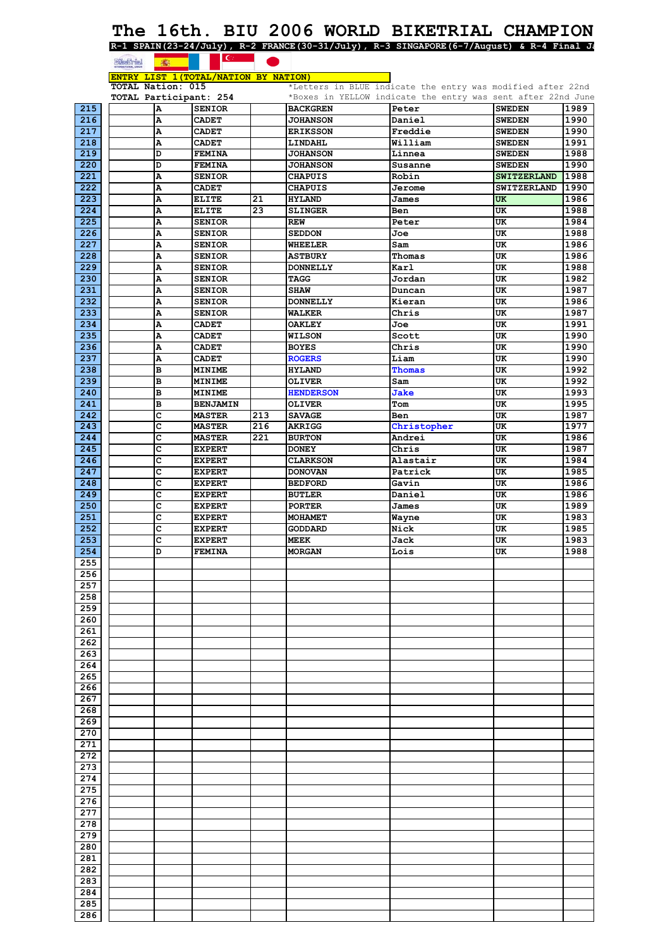## **The 16th. BIU 2006 WORLD BIKETRIAL CHAMPION R-1 SPAIN(23-24/July), R-2 FRANCE(30-31/July), R-3 SINGAPORE(6-7/August) & R-4 Final Ja**

|                  | <b>Executive</b>  | 高                      | $\mathbf{C}$ $\blacksquare$             |     |                                   |                                                                       |                                 |              |
|------------------|-------------------|------------------------|-----------------------------------------|-----|-----------------------------------|-----------------------------------------------------------------------|---------------------------------|--------------|
|                  |                   |                        | ENTRY LIST 1 (TOTAL/NATION BY NATION)   |     |                                   |                                                                       |                                 |              |
|                  | TOTAL Nation: 015 |                        |                                         |     |                                   | *Letters in BLUE indicate the entry was modified after 22nd           |                                 |              |
| 215              |                   | Α                      | TOTAL Participant: 254<br><b>SENIOR</b> |     | <b>BACKGREN</b>                   | *Boxes in YELLOW indicate the entry was sent after 22nd June<br>Peter | <b>SWEDEN</b>                   | 1989         |
| 216              |                   | $\boldsymbol{\Lambda}$ | <b>CADET</b>                            |     | <b>JOHANSON</b>                   | Daniel                                                                | <b>SWEDEN</b>                   | 1990         |
| 217              |                   | A                      | <b>CADET</b>                            |     | <b>ERIKSSON</b>                   | Freddie                                                               | <b>SWEDEN</b>                   | 1990         |
| 218              |                   | A                      | <b>CADET</b>                            |     | LINDAHL                           | William                                                               | <b>SWEDEN</b>                   | 1991         |
| 219              |                   | D                      | <b>FEMINA</b>                           |     | <b>JOHANSON</b>                   | Linnea                                                                | <b>SWEDEN</b>                   | 1988         |
| 220              |                   | D                      | <b>FEMINA</b>                           |     | <b>JOHANSON</b>                   | Susanne                                                               | <b>SWEDEN</b>                   | 1990         |
| 221<br>222       |                   | A                      | <b>SENIOR</b>                           |     | <b>CHAPUIS</b><br><b>CHAPUIS</b>  | Robin                                                                 | <b>SWITZERLAND</b>              | 1988         |
| 223              |                   | A<br>A                 | <b>CADET</b><br><b>ELITE</b>            | 21  | <b>HYLAND</b>                     | Jerome<br>James                                                       | <b>SWITZERLAND</b><br><b>UK</b> | 1990<br>1986 |
| 224              |                   | A                      | <b>ELITE</b>                            | 23  | <b>SLINGER</b>                    | Ben                                                                   | UK                              | 1988         |
| 225              |                   | A                      | <b>SENIOR</b>                           |     | REW                               | Peter                                                                 | UK                              | 1984         |
| 226              |                   | A                      | <b>SENIOR</b>                           |     | <b>SEDDON</b>                     | Joe                                                                   | UK                              | 1988         |
| 227              |                   | A                      | <b>SENIOR</b>                           |     | <b>WHEELER</b>                    | Sam                                                                   | UK                              | 1986         |
| 228              |                   | A                      | <b>SENIOR</b>                           |     | <b>ASTBURY</b>                    | Thomas                                                                | UK                              | 1986         |
| 229<br>230       |                   | A<br>A                 | <b>SENIOR</b>                           |     | <b>DONNELLY</b><br><b>TAGG</b>    | Karl<br>Jordan                                                        | UK<br>UK                        | 1988<br>1982 |
| 231              |                   | A                      | <b>SENIOR</b><br><b>SENIOR</b>          |     | <b>SHAW</b>                       | Duncan                                                                | UK                              | 1987         |
| 232              |                   | A                      | <b>SENIOR</b>                           |     | <b>DONNELLY</b>                   | Kieran                                                                | UK                              | 1986         |
| 233              |                   | A                      | <b>SENIOR</b>                           |     | <b>WALKER</b>                     | Chris                                                                 | UK                              | 1987         |
| 234              |                   | Α                      | <b>CADET</b>                            |     | <b>OAKLEY</b>                     | Joe                                                                   | UK                              | 1991         |
| 235              |                   | A                      | <b>CADET</b>                            |     | <b>WILSON</b>                     | Scott                                                                 | UK                              | 1990         |
| 236              |                   | A                      | <b>CADET</b>                            |     | <b>BOYES</b>                      | Chris                                                                 | UK                              | 1990         |
| 237              |                   | A                      | <b>CADET</b>                            |     | <b>ROGERS</b>                     | Liam                                                                  | UK                              | 1990         |
| 238              |                   | B<br>B                 | <b>MINIME</b>                           |     | <b>HYLAND</b>                     | Thomas<br>Sam                                                         | UK                              | 1992         |
| 239<br>240       |                   | в                      | <b>MINIME</b><br><b>MINIME</b>          |     | <b>OLIVER</b><br><b>HENDERSON</b> | <b>Jake</b>                                                           | UK<br>UK                        | 1992<br>1993 |
| 241              |                   | B                      | <b>BENJAMIN</b>                         |     | <b>OLIVER</b>                     | Tom                                                                   | UK                              | 1995         |
| 242              |                   | c                      | <b>MASTER</b>                           | 213 | <b>SAVAGE</b>                     | Ben                                                                   | UK                              | 1987         |
| 243              |                   | c                      | <b>MASTER</b>                           | 216 | <b>AKRIGG</b>                     | Christopher                                                           | UK                              | 1977         |
| 244              |                   | c                      | <b>MASTER</b>                           | 221 | <b>BURTON</b>                     | Andrei                                                                | UK                              | 1986         |
| 245              |                   | c                      | <b>EXPERT</b>                           |     | <b>DONEY</b>                      | Chris                                                                 | UK                              | 1987         |
| 246              |                   | c                      | <b>EXPERT</b>                           |     | <b>CLARKSON</b>                   | Alastair                                                              | UK                              | 1984         |
| 247<br>248       |                   | c<br>c                 | <b>EXPERT</b><br><b>EXPERT</b>          |     | <b>DONOVAN</b><br><b>BEDFORD</b>  | Patrick<br>Gavin                                                      | UK<br>UK                        | 1985<br>1986 |
| 249              |                   | c                      | <b>EXPERT</b>                           |     | <b>BUTLER</b>                     | Daniel                                                                | UK                              | 1986         |
| 250              |                   | c                      | <b>EXPERT</b>                           |     | <b>PORTER</b>                     | James                                                                 | UK                              | 1989         |
| 251              |                   | c                      | <b>EXPERT</b>                           |     | <b>MOHAMET</b>                    | Wayne                                                                 | UK                              | 1983         |
| 252              |                   | c                      | <b>EXPERT</b>                           |     | <b>GODDARD</b>                    | Nick                                                                  | UK                              | 1985         |
| 253              |                   | c                      | <b>EXPERT</b>                           |     | MEEK                              | Jack                                                                  | UK                              | 1983         |
| 254              |                   | D                      | <b>FEMINA</b>                           |     | <b>MORGAN</b>                     | Lois                                                                  | UK                              | 1988         |
| 255<br>256       |                   |                        |                                         |     |                                   |                                                                       |                                 |              |
| 257              |                   |                        |                                         |     |                                   |                                                                       |                                 |              |
| 258              |                   |                        |                                         |     |                                   |                                                                       |                                 |              |
| 259              |                   |                        |                                         |     |                                   |                                                                       |                                 |              |
| 260              |                   |                        |                                         |     |                                   |                                                                       |                                 |              |
| 261              |                   |                        |                                         |     |                                   |                                                                       |                                 |              |
| 262              |                   |                        |                                         |     |                                   |                                                                       |                                 |              |
| 263<br>264       |                   |                        |                                         |     |                                   |                                                                       |                                 |              |
| 265              |                   |                        |                                         |     |                                   |                                                                       |                                 |              |
| 266              |                   |                        |                                         |     |                                   |                                                                       |                                 |              |
| 267              |                   |                        |                                         |     |                                   |                                                                       |                                 |              |
| 268              |                   |                        |                                         |     |                                   |                                                                       |                                 |              |
| 269              |                   |                        |                                         |     |                                   |                                                                       |                                 |              |
| 270              |                   |                        |                                         |     |                                   |                                                                       |                                 |              |
| 271<br>272       |                   |                        |                                         |     |                                   |                                                                       |                                 |              |
| 273              |                   |                        |                                         |     |                                   |                                                                       |                                 |              |
| 274              |                   |                        |                                         |     |                                   |                                                                       |                                 |              |
| 275              |                   |                        |                                         |     |                                   |                                                                       |                                 |              |
| 276              |                   |                        |                                         |     |                                   |                                                                       |                                 |              |
| $\overline{277}$ |                   |                        |                                         |     |                                   |                                                                       |                                 |              |
| 278              |                   |                        |                                         |     |                                   |                                                                       |                                 |              |
| 279              |                   |                        |                                         |     |                                   |                                                                       |                                 |              |
| 280              |                   |                        |                                         |     |                                   |                                                                       |                                 |              |
| 281<br>282       |                   |                        |                                         |     |                                   |                                                                       |                                 |              |
| 283              |                   |                        |                                         |     |                                   |                                                                       |                                 |              |
| 284              |                   |                        |                                         |     |                                   |                                                                       |                                 |              |
| 285              |                   |                        |                                         |     |                                   |                                                                       |                                 |              |
| 286              |                   |                        |                                         |     |                                   |                                                                       |                                 |              |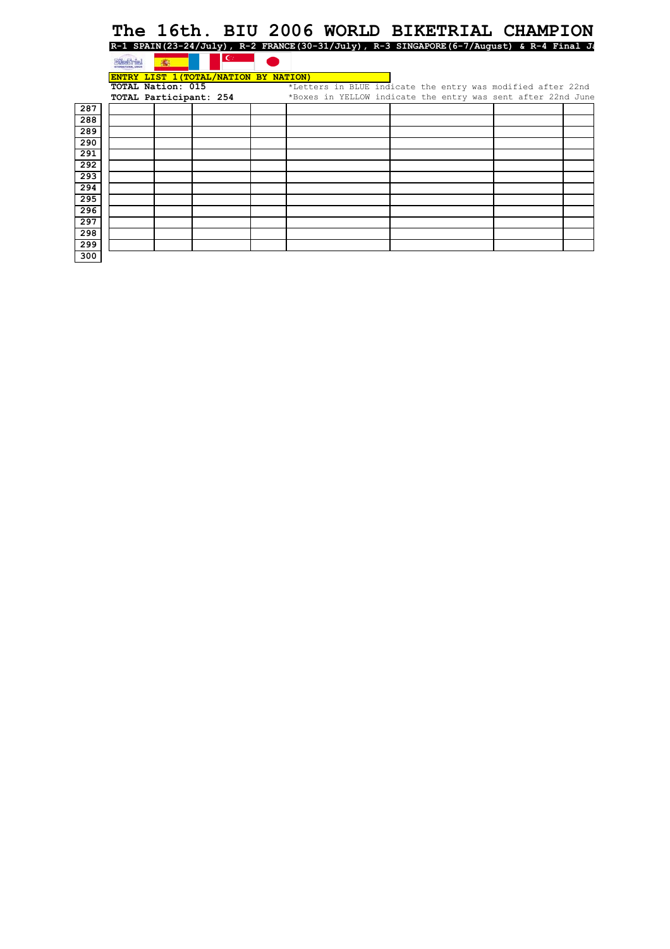# **The 16th. BIU 2006 WORLD BIKETRIAL CHAMPION**

|     |                        |                                       | R-1 SPAIN(23-24/July), R-2 FRANCE(30-31/July), R-3 SINGAPORE(6-7/August) & R-4 Final Ja |  |                                                              |  |
|-----|------------------------|---------------------------------------|-----------------------------------------------------------------------------------------|--|--------------------------------------------------------------|--|
|     | æ.                     | $\epsilon$                            |                                                                                         |  |                                                              |  |
|     |                        | ENTRY LIST 1 (TOTAL/NATION BY NATION) |                                                                                         |  |                                                              |  |
|     | TOTAL Nation: 015      |                                       |                                                                                         |  | *Letters in BLUE indicate the entry was modified after 22nd  |  |
|     | TOTAL Participant: 254 |                                       |                                                                                         |  | *Boxes in YELLOW indicate the entry was sent after 22nd June |  |
| 287 |                        |                                       |                                                                                         |  |                                                              |  |
| 288 |                        |                                       |                                                                                         |  |                                                              |  |
| 289 |                        |                                       |                                                                                         |  |                                                              |  |
| 290 |                        |                                       |                                                                                         |  |                                                              |  |
| 291 |                        |                                       |                                                                                         |  |                                                              |  |
| 292 |                        |                                       |                                                                                         |  |                                                              |  |
| 293 |                        |                                       |                                                                                         |  |                                                              |  |
| 294 |                        |                                       |                                                                                         |  |                                                              |  |
| 295 |                        |                                       |                                                                                         |  |                                                              |  |
| 296 |                        |                                       |                                                                                         |  |                                                              |  |
| 297 |                        |                                       |                                                                                         |  |                                                              |  |
| 298 |                        |                                       |                                                                                         |  |                                                              |  |
| 299 |                        |                                       |                                                                                         |  |                                                              |  |
| 300 |                        |                                       |                                                                                         |  |                                                              |  |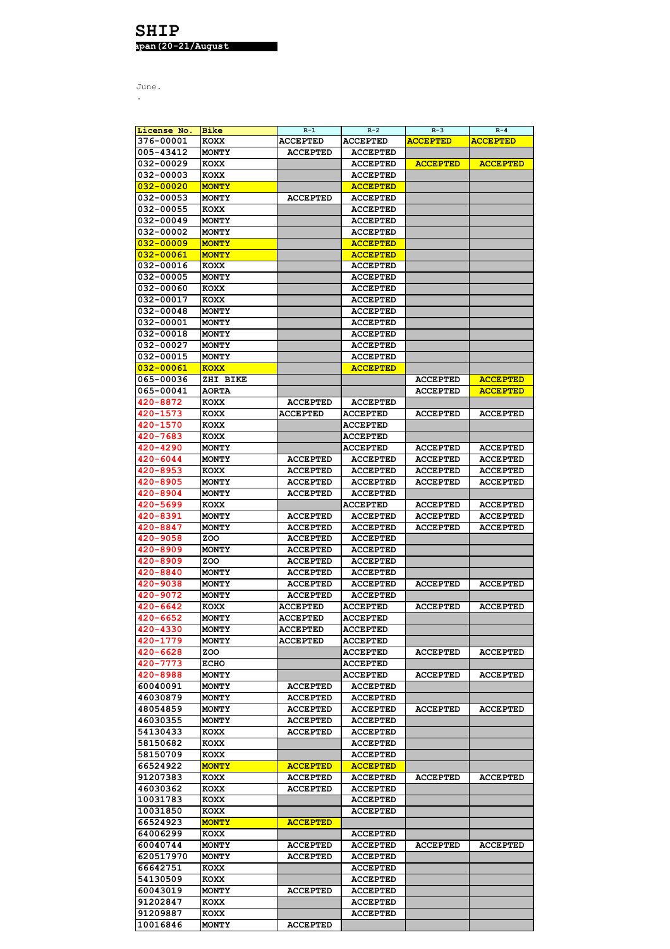## **SHIP apan(20-21/August**

| License No.      | Bike         | $R-1$           | $R-2$           | $R - 3$         | $R - 4$         |
|------------------|--------------|-----------------|-----------------|-----------------|-----------------|
| 376-00001        | KOXX         | <b>ACCEPTED</b> | <b>ACCEPTED</b> | <b>ACCEPTED</b> | <b>ACCEPTED</b> |
| 005-43412        | <b>MONTY</b> | <b>ACCEPTED</b> | <b>ACCEPTED</b> |                 |                 |
| 032-00029        | <b>KOXX</b>  |                 | <b>ACCEPTED</b> | <b>ACCEPTED</b> | <b>ACCEPTED</b> |
|                  |              |                 |                 |                 |                 |
| 032-00003        | <b>KOXX</b>  |                 | <b>ACCEPTED</b> |                 |                 |
| 032-00020        | <b>MONTY</b> |                 | <b>ACCEPTED</b> |                 |                 |
| 032-00053        | <b>MONTY</b> | <b>ACCEPTED</b> | <b>ACCEPTED</b> |                 |                 |
| 032-00055        | <b>KOXX</b>  |                 | <b>ACCEPTED</b> |                 |                 |
| 032-00049        | <b>MONTY</b> |                 | <b>ACCEPTED</b> |                 |                 |
|                  |              |                 |                 |                 |                 |
| 032-00002        | <b>MONTY</b> |                 | <b>ACCEPTED</b> |                 |                 |
| <u>032-00009</u> | <b>MONTY</b> |                 | <b>ACCEPTED</b> |                 |                 |
| <u>032-00061</u> | <b>MONTY</b> |                 | <b>ACCEPTED</b> |                 |                 |
| 032-00016        | <b>KOXX</b>  |                 | <b>ACCEPTED</b> |                 |                 |
| 032-00005        | <b>MONTY</b> |                 | <b>ACCEPTED</b> |                 |                 |
| 032-00060        |              |                 |                 |                 |                 |
|                  | <b>KOXX</b>  |                 | <b>ACCEPTED</b> |                 |                 |
| 032-00017        | <b>KOXX</b>  |                 | <b>ACCEPTED</b> |                 |                 |
| 032-00048        | <b>MONTY</b> |                 | <b>ACCEPTED</b> |                 |                 |
| 032-00001        | MONTY        |                 | <b>ACCEPTED</b> |                 |                 |
| 032-00018        | <b>MONTY</b> |                 | <b>ACCEPTED</b> |                 |                 |
| 032-00027        | <b>MONTY</b> |                 | <b>ACCEPTED</b> |                 |                 |
|                  |              |                 |                 |                 |                 |
| 032-00015        | <b>MONTY</b> |                 | <b>ACCEPTED</b> |                 |                 |
| <u>032-00061</u> | <b>KOXX</b>  |                 | <b>ACCEPTED</b> |                 |                 |
| 065-00036        | ZHI BIKE     |                 |                 | <b>ACCEPTED</b> | <b>ACCEPTED</b> |
| 065-00041        | <b>AORTA</b> |                 |                 | <b>ACCEPTED</b> | <b>ACCEPTED</b> |
| 420-8872         | <b>KOXX</b>  | <b>ACCEPTED</b> | <b>ACCEPTED</b> |                 |                 |
| 420-1573         |              |                 |                 |                 |                 |
|                  | KOXX         | <b>ACCEPTED</b> | <b>ACCEPTED</b> | <b>ACCEPTED</b> | <b>ACCEPTED</b> |
| 420-1570         | <b>KOXX</b>  |                 | <b>ACCEPTED</b> |                 |                 |
| 420-7683         | <b>KOXX</b>  |                 | <b>ACCEPTED</b> |                 |                 |
| 420-4290         | <b>MONTY</b> |                 | <b>ACCEPTED</b> | <b>ACCEPTED</b> | <b>ACCEPTED</b> |
| 420-6044         | <b>MONTY</b> | <b>ACCEPTED</b> | <b>ACCEPTED</b> | <b>ACCEPTED</b> | <b>ACCEPTED</b> |
|                  |              |                 |                 |                 |                 |
| 420-8953         | <b>KOXX</b>  | <b>ACCEPTED</b> | <b>ACCEPTED</b> | <b>ACCEPTED</b> | <b>ACCEPTED</b> |
| 420-8905         | <b>MONTY</b> | <b>ACCEPTED</b> | <b>ACCEPTED</b> | <b>ACCEPTED</b> | <b>ACCEPTED</b> |
| 420-8904         | <b>MONTY</b> | <b>ACCEPTED</b> | <b>ACCEPTED</b> |                 |                 |
| 420-5699         | <b>KOXX</b>  |                 | <b>ACCEPTED</b> | <b>ACCEPTED</b> | <b>ACCEPTED</b> |
| 420-8391         | <b>MONTY</b> | <b>ACCEPTED</b> | <b>ACCEPTED</b> | <b>ACCEPTED</b> | <b>ACCEPTED</b> |
|                  |              |                 |                 |                 |                 |
| 420-8847         | <b>MONTY</b> | <b>ACCEPTED</b> | <b>ACCEPTED</b> | <b>ACCEPTED</b> | <b>ACCEPTED</b> |
| 420-9058         | ZOO          | <b>ACCEPTED</b> | <b>ACCEPTED</b> |                 |                 |
| 420-8909         | <b>MONTY</b> | <b>ACCEPTED</b> | <b>ACCEPTED</b> |                 |                 |
| 420-8909         | ZOO          | <b>ACCEPTED</b> | <b>ACCEPTED</b> |                 |                 |
| 420-8840         | <b>MONTY</b> | <b>ACCEPTED</b> | <b>ACCEPTED</b> |                 |                 |
| 420-9038         |              |                 |                 |                 |                 |
|                  | <b>MONTY</b> | <b>ACCEPTED</b> | <b>ACCEPTED</b> | <b>ACCEPTED</b> | <b>ACCEPTED</b> |
| 420-9072         | <b>MONTY</b> | <b>ACCEPTED</b> | <b>ACCEPTED</b> |                 |                 |
| 420-6642         | <b>KOXX</b>  | <b>ACCEPTED</b> | <b>ACCEPTED</b> | <b>ACCEPTED</b> | <b>ACCEPTED</b> |
| 420-6652         | <b>MONTY</b> | <b>ACCEPTED</b> | ACCEPTED        |                 |                 |
| 420-4330         | <b>MONTY</b> | <b>ACCEPTED</b> | <b>ACCEPTED</b> |                 |                 |
|                  |              |                 |                 |                 |                 |
| 420-1779         | MONTY        | <b>ACCEPTED</b> | <b>ACCEPTED</b> |                 |                 |
| 420-6628         | ZOO          |                 | ACCEPTED        | <b>ACCEPTED</b> | <b>ACCEPTED</b> |
| 420-7773         | <b>ECHO</b>  |                 | <b>ACCEPTED</b> |                 |                 |
| 420-8988         | <b>MONTY</b> |                 | <b>ACCEPTED</b> | <b>ACCEPTED</b> | <b>ACCEPTED</b> |
| 60040091         | <b>MONTY</b> | <b>ACCEPTED</b> | <b>ACCEPTED</b> |                 |                 |
|                  |              |                 |                 |                 |                 |
| 46030879         | <b>MONTY</b> | <b>ACCEPTED</b> | <b>ACCEPTED</b> |                 |                 |
| 48054859         | <b>MONTY</b> | <b>ACCEPTED</b> | <b>ACCEPTED</b> | <b>ACCEPTED</b> | <b>ACCEPTED</b> |
| 46030355         | <b>MONTY</b> | <b>ACCEPTED</b> | <b>ACCEPTED</b> |                 |                 |
| 54130433         | <b>KOXX</b>  | <b>ACCEPTED</b> | ACCEPTED        |                 |                 |
| 58150682         | KOXX         |                 | <b>ACCEPTED</b> |                 |                 |
|                  |              |                 |                 |                 |                 |
| 58150709         | <b>KOXX</b>  |                 | <b>ACCEPTED</b> |                 |                 |
| 66524922         | <b>MONTY</b> | <b>ACCEPTED</b> | <b>ACCEPTED</b> |                 |                 |
| 91207383         | KOXX         | <b>ACCEPTED</b> | <b>ACCEPTED</b> | <b>ACCEPTED</b> | <b>ACCEPTED</b> |
| 46030362         | <b>KOXX</b>  | <b>ACCEPTED</b> | <b>ACCEPTED</b> |                 |                 |
| 10031783         | <b>KOXX</b>  |                 | <b>ACCEPTED</b> |                 |                 |
|                  |              |                 |                 |                 |                 |
| 10031850         | <b>KOXX</b>  |                 | <b>ACCEPTED</b> |                 |                 |
| 66524923         | <b>MONTY</b> | <b>ACCEPTED</b> |                 |                 |                 |
| 64006299         | KOXX         |                 | <b>ACCEPTED</b> |                 |                 |
| 60040744         | <b>MONTY</b> | <b>ACCEPTED</b> | <b>ACCEPTED</b> | <b>ACCEPTED</b> | <b>ACCEPTED</b> |
| 620517970        | <b>MONTY</b> | <b>ACCEPTED</b> | <b>ACCEPTED</b> |                 |                 |
|                  |              |                 |                 |                 |                 |
| 66642751         | KOXX         |                 | <b>ACCEPTED</b> |                 |                 |
| 54130509         | KOXX         |                 | <b>ACCEPTED</b> |                 |                 |
| 60043019         | <b>MONTY</b> | <b>ACCEPTED</b> | <b>ACCEPTED</b> |                 |                 |
| 91202847         | <b>KOXX</b>  |                 | <b>ACCEPTED</b> |                 |                 |
| 91209887         | KOXX         |                 | <b>ACCEPTED</b> |                 |                 |
|                  |              |                 |                 |                 |                 |
| 10016846         | <b>MONTY</b> | <b>ACCEPTED</b> |                 |                 |                 |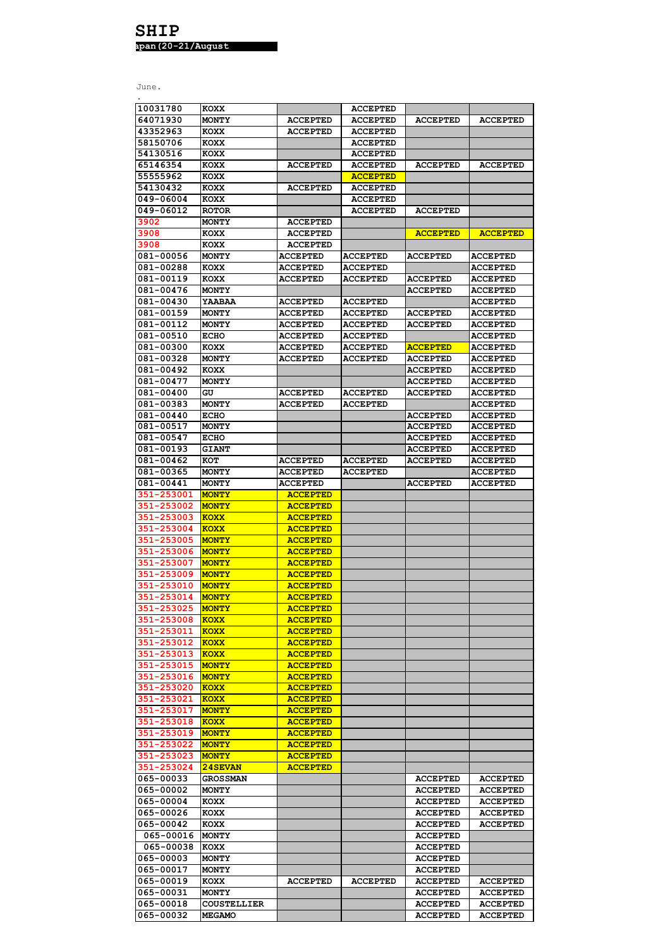| 10031780   | <b>KOXX</b>        |                 | <b>ACCEPTED</b> |                 |                 |
|------------|--------------------|-----------------|-----------------|-----------------|-----------------|
| 64071930   | MONTY              | <b>ACCEPTED</b> | <b>ACCEPTED</b> | <b>ACCEPTED</b> | <b>ACCEPTED</b> |
| 43352963   | <b>KOXX</b>        | <b>ACCEPTED</b> | <b>ACCEPTED</b> |                 |                 |
| 58150706   | <b>KOXX</b>        |                 | <b>ACCEPTED</b> |                 |                 |
| 54130516   | <b>KOXX</b>        |                 | <b>ACCEPTED</b> |                 |                 |
| 65146354   | <b>KOXX</b>        | <b>ACCEPTED</b> | <b>ACCEPTED</b> | <b>ACCEPTED</b> | <b>ACCEPTED</b> |
| 55555962   | <b>KOXX</b>        |                 | <b>ACCEPTED</b> |                 |                 |
| 54130432   | <b>KOXX</b>        | <b>ACCEPTED</b> | <b>ACCEPTED</b> |                 |                 |
| 049-06004  | <b>KOXX</b>        |                 | <b>ACCEPTED</b> |                 |                 |
| 049-06012  |                    |                 | <b>ACCEPTED</b> |                 |                 |
|            | <b>ROTOR</b>       |                 |                 | <b>ACCEPTED</b> |                 |
| 3902       | <b>MONTY</b>       | <b>ACCEPTED</b> |                 |                 |                 |
| 3908       | <b>KOXX</b>        | <b>ACCEPTED</b> |                 | <b>ACCEPTED</b> | <b>ACCEPTED</b> |
| 3908       | <b>KOXX</b>        | <b>ACCEPTED</b> |                 |                 |                 |
| 081-00056  | <b>MONTY</b>       | <b>ACCEPTED</b> | <b>ACCEPTED</b> | <b>ACCEPTED</b> | <b>ACCEPTED</b> |
| 081-00288  | <b>KOXX</b>        | <b>ACCEPTED</b> | <b>ACCEPTED</b> |                 | <b>ACCEPTED</b> |
| 081-00119  | <b>KOXX</b>        | <b>ACCEPTED</b> | <b>ACCEPTED</b> | <b>ACCEPTED</b> | <b>ACCEPTED</b> |
| 081-00476  | MONTY              |                 |                 | <b>ACCEPTED</b> | <b>ACCEPTED</b> |
| 081-00430  | <b>YAABAA</b>      | <b>ACCEPTED</b> | <b>ACCEPTED</b> |                 | <b>ACCEPTED</b> |
| 081-00159  | <b>MONTY</b>       | <b>ACCEPTED</b> | <b>ACCEPTED</b> | <b>ACCEPTED</b> | <b>ACCEPTED</b> |
| 081-00112  | <b>MONTY</b>       | <b>ACCEPTED</b> | <b>ACCEPTED</b> | <b>ACCEPTED</b> | <b>ACCEPTED</b> |
| 081-00510  | <b>ECHO</b>        | <b>ACCEPTED</b> | <b>ACCEPTED</b> |                 | <b>ACCEPTED</b> |
|            |                    |                 |                 |                 |                 |
| 081-00300  | KOXX               | <b>ACCEPTED</b> | <b>ACCEPTED</b> | <u>ACCEPTED</u> | <b>ACCEPTED</b> |
| 081-00328  | <b>MONTY</b>       | <b>ACCEPTED</b> | <b>ACCEPTED</b> | <b>ACCEPTED</b> | <b>ACCEPTED</b> |
| 081-00492  | <b>KOXX</b>        |                 |                 | <b>ACCEPTED</b> | <b>ACCEPTED</b> |
| 081-00477  | <b>MONTY</b>       |                 |                 | <b>ACCEPTED</b> | ACCEPTED        |
| 081-00400  | GU                 | <b>ACCEPTED</b> | <b>ACCEPTED</b> | <b>ACCEPTED</b> | <b>ACCEPTED</b> |
| 081-00383  | <b>MONTY</b>       | <b>ACCEPTED</b> | <b>ACCEPTED</b> |                 | <b>ACCEPTED</b> |
| 081-00440  | <b>ECHO</b>        |                 |                 | <b>ACCEPTED</b> | <b>ACCEPTED</b> |
| 081-00517  | <b>MONTY</b>       |                 |                 | <b>ACCEPTED</b> | <b>ACCEPTED</b> |
| 081-00547  | <b>ECHO</b>        |                 |                 | <b>ACCEPTED</b> | <b>ACCEPTED</b> |
| 081-00193  | <b>GIANT</b>       |                 |                 | <b>ACCEPTED</b> | <b>ACCEPTED</b> |
|            |                    |                 |                 |                 |                 |
| 081-00462  | кот                | <b>ACCEPTED</b> | <b>ACCEPTED</b> | <b>ACCEPTED</b> | <b>ACCEPTED</b> |
| 081-00365  | <b>MONTY</b>       | <b>ACCEPTED</b> | <b>ACCEPTED</b> |                 | <b>ACCEPTED</b> |
| 081-00441  | MONTY              | <b>ACCEPTED</b> |                 | <b>ACCEPTED</b> | <b>ACCEPTED</b> |
| 351-253001 | <b>MONTY</b>       | <b>ACCEPTED</b> |                 |                 |                 |
| 351-253002 | <b>MONTY</b>       | <b>ACCEPTED</b> |                 |                 |                 |
| 351-253003 | KOXX               | <b>ACCEPTED</b> |                 |                 |                 |
| 351-253004 | KOXX               | <b>ACCEPTED</b> |                 |                 |                 |
| 351-253005 | <b>MONTY</b>       | <b>ACCEPTED</b> |                 |                 |                 |
| 351-253006 | <b>MONTY</b>       | <b>ACCEPTED</b> |                 |                 |                 |
| 351-253007 | <b>MONTY</b>       | <b>ACCEPTED</b> |                 |                 |                 |
|            |                    |                 |                 |                 |                 |
| 351-253009 | <b>MONTY</b>       | <b>ACCEPTED</b> |                 |                 |                 |
| 351-253010 | <b>MONTY</b>       | <b>ACCEPTED</b> |                 |                 |                 |
| 351-253014 | <b>MONTY</b>       | <b>ACCEPTED</b> |                 |                 |                 |
| 351-253025 | <b>MONTY</b>       | <b>ACCEPTED</b> |                 |                 |                 |
| 351-253008 | <b>KOXX</b>        | <b>ACCEPTED</b> |                 |                 |                 |
| 351-253011 | <b>KOXX</b>        | <b>ACCEPTED</b> |                 |                 |                 |
| 351-253012 | <b>KOXX</b>        | <b>ACCEPTED</b> |                 |                 |                 |
| 351-253013 | KOXX               | <b>ACCEPTED</b> |                 |                 |                 |
| 351-253015 | <b>MONTY</b>       | <b>ACCEPTED</b> |                 |                 |                 |
| 351-253016 | <b>MONTY</b>       | <b>ACCEPTED</b> |                 |                 |                 |
| 351-253020 | <b>KOXX</b>        | <b>ACCEPTED</b> |                 |                 |                 |
|            |                    |                 |                 |                 |                 |
| 351-253021 | KOXX               | <b>ACCEPTED</b> |                 |                 |                 |
| 351-253017 | <b>MONTY</b>       | <b>ACCEPTED</b> |                 |                 |                 |
| 351-253018 | <b>KOXX</b>        | <b>ACCEPTED</b> |                 |                 |                 |
| 351-253019 | <b>MONTY</b>       | <b>ACCEPTED</b> |                 |                 |                 |
| 351-253022 | <b>MONTY</b>       | <b>ACCEPTED</b> |                 |                 |                 |
| 351-253023 | <b>MONTY</b>       | <b>ACCEPTED</b> |                 |                 |                 |
| 351-253024 | 24SEVAN            | <b>ACCEPTED</b> |                 |                 |                 |
| 065-00033  | <b>GROSSMAN</b>    |                 |                 | <b>ACCEPTED</b> | <b>ACCEPTED</b> |
| 065-00002  | <b>MONTY</b>       |                 |                 | <b>ACCEPTED</b> | <b>ACCEPTED</b> |
| 065-00004  | KOXX               |                 |                 | <b>ACCEPTED</b> | <b>ACCEPTED</b> |
| 065-00026  | KOXX               |                 |                 | <b>ACCEPTED</b> | <b>ACCEPTED</b> |
|            |                    |                 |                 |                 |                 |
| 065-00042  | KOXX               |                 |                 | <b>ACCEPTED</b> | <b>ACCEPTED</b> |
| 065-00016  | <b>MONTY</b>       |                 |                 | <b>ACCEPTED</b> |                 |
| 065-00038  | <b>KOXX</b>        |                 |                 | <b>ACCEPTED</b> |                 |
| 065-00003  | <b>MONTY</b>       |                 |                 | <b>ACCEPTED</b> |                 |
| 065-00017  | <b>MONTY</b>       |                 |                 | <b>ACCEPTED</b> |                 |
| 065-00019  | KOXX               | <b>ACCEPTED</b> | <b>ACCEPTED</b> | <b>ACCEPTED</b> | <b>ACCEPTED</b> |
| 065-00031  | <b>MONTY</b>       |                 |                 | <b>ACCEPTED</b> | <b>ACCEPTED</b> |
| 065-00018  | <b>COUSTELLIER</b> |                 |                 | <b>ACCEPTED</b> | <b>ACCEPTED</b> |
| 065-00032  | <b>MEGAMO</b>      |                 |                 | <b>ACCEPTED</b> | <b>ACCEPTED</b> |
|            |                    |                 |                 |                 |                 |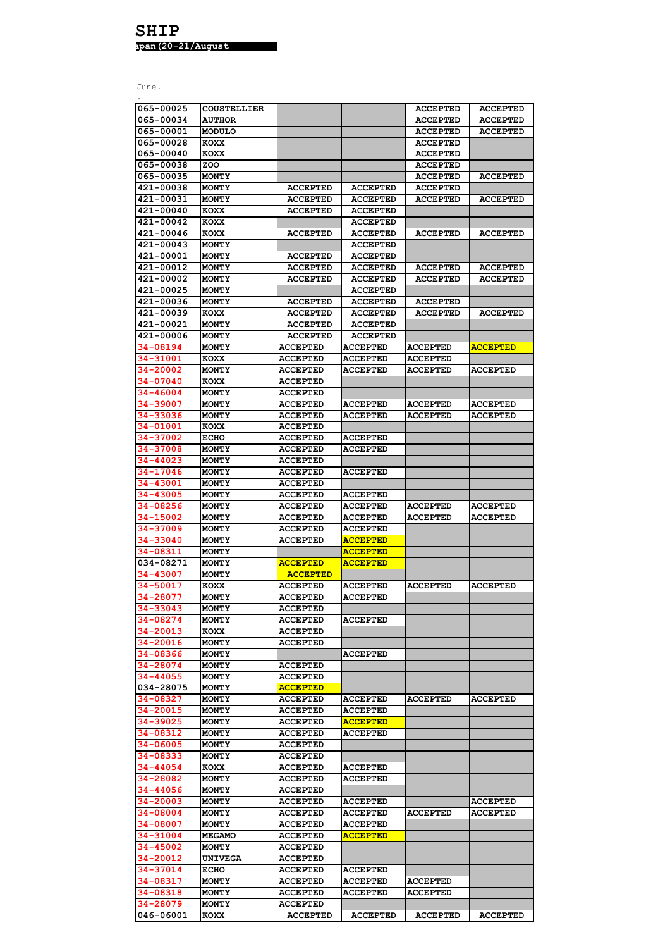| 065-00025 | <b>COUSTELLIER</b> |                 |                 | <b>ACCEPTED</b> | <b>ACCEPTED</b> |
|-----------|--------------------|-----------------|-----------------|-----------------|-----------------|
| 065-00034 | <b>AUTHOR</b>      |                 |                 | <b>ACCEPTED</b> | <b>ACCEPTED</b> |
| 065-00001 | <b>MODULO</b>      |                 |                 | <b>ACCEPTED</b> | <b>ACCEPTED</b> |
| 065-00028 | KOXX               |                 |                 | <b>ACCEPTED</b> |                 |
|           |                    |                 |                 |                 |                 |
| 065-00040 | <b>KOXX</b>        |                 |                 | <b>ACCEPTED</b> |                 |
| 065-00038 | ZOO                |                 |                 | <b>ACCEPTED</b> |                 |
| 065-00035 | <b>MONTY</b>       |                 |                 | <b>ACCEPTED</b> | <b>ACCEPTED</b> |
| 421-00038 | <b>MONTY</b>       | <b>ACCEPTED</b> | <b>ACCEPTED</b> | <b>ACCEPTED</b> |                 |
| 421-00031 | <b>MONTY</b>       | <b>ACCEPTED</b> | <b>ACCEPTED</b> | <b>ACCEPTED</b> | <b>ACCEPTED</b> |
|           |                    |                 |                 |                 |                 |
| 421-00040 | <b>KOXX</b>        | <b>ACCEPTED</b> | <b>ACCEPTED</b> |                 |                 |
| 421-00042 | <b>KOXX</b>        |                 | <b>ACCEPTED</b> |                 |                 |
| 421-00046 | KOXX               | <b>ACCEPTED</b> | <b>ACCEPTED</b> | <b>ACCEPTED</b> | <b>ACCEPTED</b> |
| 421-00043 | <b>MONTY</b>       |                 | <b>ACCEPTED</b> |                 |                 |
| 421-00001 | <b>MONTY</b>       | <b>ACCEPTED</b> | <b>ACCEPTED</b> |                 |                 |
|           |                    |                 |                 |                 |                 |
| 421-00012 | <b>MONTY</b>       | <b>ACCEPTED</b> | <b>ACCEPTED</b> | <b>ACCEPTED</b> | <b>ACCEPTED</b> |
| 421-00002 | <b>MONTY</b>       | <b>ACCEPTED</b> | <b>ACCEPTED</b> | <b>ACCEPTED</b> | <b>ACCEPTED</b> |
| 421-00025 | MONTY              |                 | <b>ACCEPTED</b> |                 |                 |
| 421-00036 | <b>MONTY</b>       | <b>ACCEPTED</b> | <b>ACCEPTED</b> | <b>ACCEPTED</b> |                 |
| 421-00039 | KOXX               | <b>ACCEPTED</b> | <b>ACCEPTED</b> | <b>ACCEPTED</b> | <b>ACCEPTED</b> |
|           |                    |                 |                 |                 |                 |
| 421-00021 | <b>MONTY</b>       | <b>ACCEPTED</b> | <b>ACCEPTED</b> |                 |                 |
| 421-00006 | <b>MONTY</b>       | <b>ACCEPTED</b> | <b>ACCEPTED</b> |                 |                 |
| 34-08194  | <b>MONTY</b>       | <b>ACCEPTED</b> | <b>ACCEPTED</b> | <b>ACCEPTED</b> | <b>ACCEPTED</b> |
| 34-31001  | <b>KOXX</b>        | <b>ACCEPTED</b> | <b>ACCEPTED</b> | <b>ACCEPTED</b> |                 |
| 34-20002  | <b>MONTY</b>       | <b>ACCEPTED</b> | <b>ACCEPTED</b> | <b>ACCEPTED</b> | <b>ACCEPTED</b> |
|           |                    |                 |                 |                 |                 |
| 34-07040  | <b>KOXX</b>        | <b>ACCEPTED</b> |                 |                 |                 |
| 34-46004  | <b>MONTY</b>       | <b>ACCEPTED</b> |                 |                 |                 |
| 34-39007  | <b>MONTY</b>       | <b>ACCEPTED</b> | <b>ACCEPTED</b> | <b>ACCEPTED</b> | <b>ACCEPTED</b> |
| 34-33036  | <b>MONTY</b>       | <b>ACCEPTED</b> | <b>ACCEPTED</b> | <b>ACCEPTED</b> | <b>ACCEPTED</b> |
|           |                    |                 |                 |                 |                 |
| 34-01001  | <b>KOXX</b>        | <b>ACCEPTED</b> |                 |                 |                 |
| 34-37002  | <b>ECHO</b>        | <b>ACCEPTED</b> | <b>ACCEPTED</b> |                 |                 |
| 34-37008  | <b>MONTY</b>       | <b>ACCEPTED</b> | <b>ACCEPTED</b> |                 |                 |
| 34-44023  | <b>MONTY</b>       | <b>ACCEPTED</b> |                 |                 |                 |
| 34-17046  | <b>MONTY</b>       | <b>ACCEPTED</b> | <b>ACCEPTED</b> |                 |                 |
|           |                    |                 |                 |                 |                 |
| 34-43001  | <b>MONTY</b>       | <b>ACCEPTED</b> |                 |                 |                 |
| 34-43005  | <b>MONTY</b>       | <b>ACCEPTED</b> | <b>ACCEPTED</b> |                 |                 |
| 34-08256  | <b>MONTY</b>       | <b>ACCEPTED</b> | <b>ACCEPTED</b> | <b>ACCEPTED</b> | <b>ACCEPTED</b> |
| 34-15002  | <b>MONTY</b>       | <b>ACCEPTED</b> | <b>ACCEPTED</b> | <b>ACCEPTED</b> | <b>ACCEPTED</b> |
| 34-37009  | <b>MONTY</b>       |                 | <b>ACCEPTED</b> |                 |                 |
|           |                    | <b>ACCEPTED</b> |                 |                 |                 |
| 34-33040  | <b>MONTY</b>       | <b>ACCEPTED</b> | <b>ACCEPTED</b> |                 |                 |
| 34-08311  | <b>MONTY</b>       |                 | <b>ACCEPTED</b> |                 |                 |
| 034-08271 | <b>MONTY</b>       | <b>ACCEPTED</b> | <b>ACCEPTED</b> |                 |                 |
| 34-43007  | <b>MONTY</b>       | <b>ACCEPTED</b> |                 |                 |                 |
| 34-50017  |                    | <b>ACCEPTED</b> |                 | <b>ACCEPTED</b> | <b>ACCEPTED</b> |
|           | <b>KOXX</b>        |                 | <b>ACCEPTED</b> |                 |                 |
| 34-28077  | <b>MONTY</b>       | <b>ACCEPTED</b> | <b>ACCEPTED</b> |                 |                 |
| 34-33043  | <b>MONTY</b>       | <b>ACCEPTED</b> |                 |                 |                 |
| 34-08274  | <b>MONTY</b>       | <b>ACCEPTED</b> | <b>ACCEPTED</b> |                 |                 |
| 34-20013  | <b>KOXX</b>        | <b>ACCEPTED</b> |                 |                 |                 |
|           |                    |                 |                 |                 |                 |
| 34-20016  | <b>MONTY</b>       | <b>ACCEPTED</b> |                 |                 |                 |
| 34-08366  | <b>MONTY</b>       |                 | <b>ACCEPTED</b> |                 |                 |
| 34-28074  | <b>MONTY</b>       | <b>ACCEPTED</b> |                 |                 |                 |
| 34-44055  | <b>MONTY</b>       | <b>ACCEPTED</b> |                 |                 |                 |
| 034-28075 | <b>MONTY</b>       | <b>ACCEPTED</b> |                 |                 |                 |
| 34-08327  | <b>MONTY</b>       | <b>ACCEPTED</b> | <b>ACCEPTED</b> | <b>ACCEPTED</b> | <b>ACCEPTED</b> |
|           |                    |                 |                 |                 |                 |
| 34-20015  | <b>MONTY</b>       | <b>ACCEPTED</b> | <b>ACCEPTED</b> |                 |                 |
| 34-39025  | <b>MONTY</b>       | <b>ACCEPTED</b> | <b>ACCEPTED</b> |                 |                 |
| 34-08312  | <b>MONTY</b>       | <b>ACCEPTED</b> | <b>ACCEPTED</b> |                 |                 |
| 34-06005  | <b>MONTY</b>       | <b>ACCEPTED</b> |                 |                 |                 |
| 34-08333  | <b>MONTY</b>       | <b>ACCEPTED</b> |                 |                 |                 |
|           |                    |                 |                 |                 |                 |
| 34-44054  | <b>KOXX</b>        | <b>ACCEPTED</b> | <b>ACCEPTED</b> |                 |                 |
| 34-28082  | <b>MONTY</b>       | <b>ACCEPTED</b> | <b>ACCEPTED</b> |                 |                 |
| 34-44056  | <b>MONTY</b>       | <b>ACCEPTED</b> |                 |                 |                 |
| 34-20003  | <b>MONTY</b>       | <b>ACCEPTED</b> | <b>ACCEPTED</b> |                 | <b>ACCEPTED</b> |
| 34-08004  | <b>MONTY</b>       | <b>ACCEPTED</b> | <b>ACCEPTED</b> | <b>ACCEPTED</b> | <b>ACCEPTED</b> |
|           |                    |                 |                 |                 |                 |
| 34-08007  | <b>MONTY</b>       | <b>ACCEPTED</b> | <b>ACCEPTED</b> |                 |                 |
| 34-31004  | <b>MEGAMO</b>      | <b>ACCEPTED</b> | <b>ACCEPTED</b> |                 |                 |
| 34-45002  | MONTY              | <b>ACCEPTED</b> |                 |                 |                 |
| 34-20012  | <b>UNIVEGA</b>     | <b>ACCEPTED</b> |                 |                 |                 |
| 34-37014  | <b>ECHO</b>        | <b>ACCEPTED</b> | <b>ACCEPTED</b> |                 |                 |
|           |                    |                 |                 |                 |                 |
| 34-08317  | <b>MONTY</b>       | <b>ACCEPTED</b> | <b>ACCEPTED</b> | <b>ACCEPTED</b> |                 |
| 34-08318  | <b>MONTY</b>       | <b>ACCEPTED</b> | <b>ACCEPTED</b> | <b>ACCEPTED</b> |                 |
| 34-28079  | MONTY              | <b>ACCEPTED</b> |                 |                 |                 |
| 046-06001 | KOXX               | <b>ACCEPTED</b> | <b>ACCEPTED</b> | <b>ACCEPTED</b> | <b>ACCEPTED</b> |
|           |                    |                 |                 |                 |                 |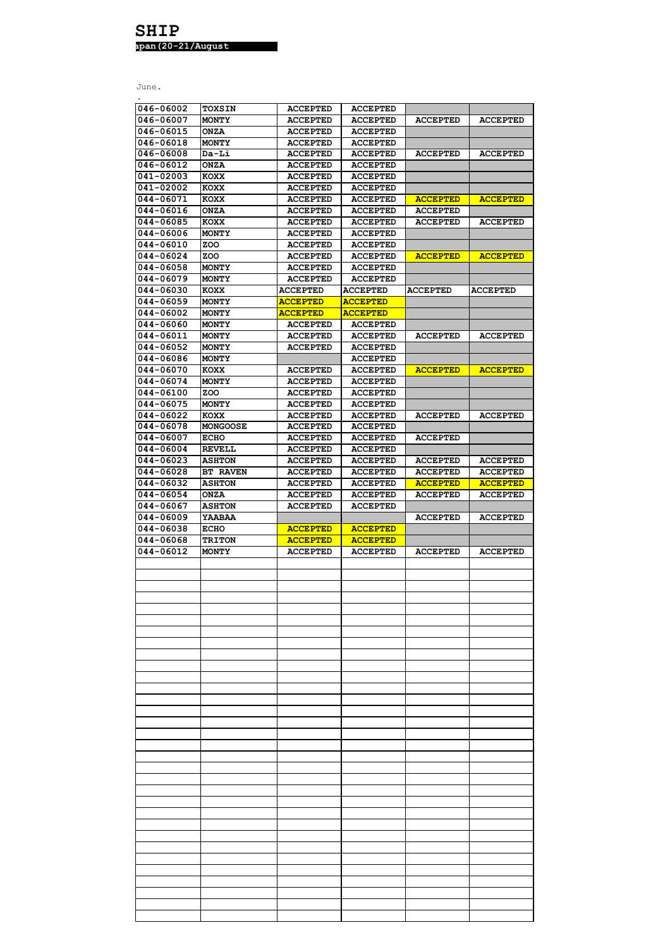| 046-06002              | TOXSIN          | <b>ACCEPTED</b> | <b>ACCEPTED</b> |                 |                 |
|------------------------|-----------------|-----------------|-----------------|-----------------|-----------------|
| 046-06007              | <b>MONTY</b>    | <b>ACCEPTED</b> | <b>ACCEPTED</b> | <b>ACCEPTED</b> | <b>ACCEPTED</b> |
| 046-06015              | <b>ONZA</b>     | <b>ACCEPTED</b> | <b>ACCEPTED</b> |                 |                 |
| 046-06018              | <b>MONTY</b>    | <b>ACCEPTED</b> | <b>ACCEPTED</b> |                 |                 |
| 046-06008              | Da-Li           | <b>ACCEPTED</b> | <b>ACCEPTED</b> | <b>ACCEPTED</b> | <b>ACCEPTED</b> |
| 046-06012              | <b>ONZA</b>     | <b>ACCEPTED</b> | <b>ACCEPTED</b> |                 |                 |
| 041-02003              | KOXX            | <b>ACCEPTED</b> | <b>ACCEPTED</b> |                 |                 |
| 041-02002              | <b>KOXX</b>     | <b>ACCEPTED</b> | <b>ACCEPTED</b> |                 |                 |
| 044-06071              | KOXX            | <b>ACCEPTED</b> | <b>ACCEPTED</b> | <b>ACCEPTED</b> | <b>ACCEPTED</b> |
| 044-06016              | <b>ONZA</b>     | <b>ACCEPTED</b> | <b>ACCEPTED</b> | <b>ACCEPTED</b> |                 |
| 044-06085              | <b>KOXX</b>     | <b>ACCEPTED</b> | <b>ACCEPTED</b> | <b>ACCEPTED</b> | <b>ACCEPTED</b> |
| 044-06006              | <b>MONTY</b>    | <b>ACCEPTED</b> | <b>ACCEPTED</b> |                 |                 |
| 044-06010              | ZOO             | <b>ACCEPTED</b> | <b>ACCEPTED</b> |                 |                 |
| 044-06024              | ZOO             | <b>ACCEPTED</b> | <b>ACCEPTED</b> | <b>ACCEPTED</b> | <b>ACCEPTED</b> |
| 044-06058              | MONTY           | <b>ACCEPTED</b> | <b>ACCEPTED</b> |                 |                 |
| 044-06079              | <b>MONTY</b>    | <b>ACCEPTED</b> | <b>ACCEPTED</b> |                 |                 |
| 044-06030              | KOXX            | <b>ACCEPTED</b> | <b>ACCEPTED</b> | <b>ACCEPTED</b> | <b>ACCEPTED</b> |
| 044-06059              | <b>MONTY</b>    | <b>ACCEPTED</b> | <b>ACCEPTED</b> |                 |                 |
| 044-06002              | <b>MONTY</b>    | <b>ACCEPTED</b> | <b>ACCEPTED</b> |                 |                 |
| 044-06060              | MONTY           |                 | <b>ACCEPTED</b> |                 |                 |
|                        |                 | <b>ACCEPTED</b> |                 |                 |                 |
| 044-06011<br>044-06052 | <b>MONTY</b>    | <b>ACCEPTED</b> | <b>ACCEPTED</b> | <b>ACCEPTED</b> | <b>ACCEPTED</b> |
|                        | MONTY           | <b>ACCEPTED</b> | <b>ACCEPTED</b> |                 |                 |
| 044-06086              | <b>MONTY</b>    |                 | <b>ACCEPTED</b> |                 |                 |
| 044-06070              | <b>KOXX</b>     | <b>ACCEPTED</b> | <b>ACCEPTED</b> | <b>ACCEPTED</b> | <b>ACCEPTED</b> |
| 044-06074              | MONTY           | <b>ACCEPTED</b> | <b>ACCEPTED</b> |                 |                 |
| 044-06100              | ZOO             | <b>ACCEPTED</b> | <b>ACCEPTED</b> |                 |                 |
| 044-06075              | MONTY           | <b>ACCEPTED</b> | <b>ACCEPTED</b> |                 |                 |
| 044-06022              | KOXX            | <b>ACCEPTED</b> | <b>ACCEPTED</b> | <b>ACCEPTED</b> | <b>ACCEPTED</b> |
| 044-06078              | <b>MONGOOSE</b> | <b>ACCEPTED</b> | <b>ACCEPTED</b> |                 |                 |
| 044-06007              | <b>ECHO</b>     | <b>ACCEPTED</b> | <b>ACCEPTED</b> | <b>ACCEPTED</b> |                 |
| 044-06004              | <b>REVELL</b>   | <b>ACCEPTED</b> | <b>ACCEPTED</b> |                 |                 |
| 044-06023              | <b>ASHTON</b>   | <b>ACCEPTED</b> | <b>ACCEPTED</b> | <b>ACCEPTED</b> | <b>ACCEPTED</b> |
| 044-06028              | <b>BT RAVEN</b> | <b>ACCEPTED</b> | <b>ACCEPTED</b> | <b>ACCEPTED</b> | <b>ACCEPTED</b> |
| 044-06032              | <b>ASHTON</b>   | <b>ACCEPTED</b> | <b>ACCEPTED</b> | <b>ACCEPTED</b> | <b>ACCEPTED</b> |
| 044-06054              | <b>ONZA</b>     | <b>ACCEPTED</b> | <b>ACCEPTED</b> | <b>ACCEPTED</b> | <b>ACCEPTED</b> |
|                        |                 |                 |                 |                 |                 |
| 044-06067              | <b>ASHTON</b>   | <b>ACCEPTED</b> | <b>ACCEPTED</b> |                 |                 |
| 044-06009              | YAABAA          |                 |                 | <b>ACCEPTED</b> | <b>ACCEPTED</b> |
| 044-06038              | <b>ECHO</b>     | <b>ACCEPTED</b> | <b>ACCEPTED</b> |                 |                 |
| 044-06068              | <b>TRITON</b>   | <b>ACCEPTED</b> | <b>ACCEPTED</b> |                 |                 |
| 044-06012              | MONTY           | <b>ACCEPTED</b> | <b>ACCEPTED</b> | <b>ACCEPTED</b> | <b>ACCEPTED</b> |
|                        |                 |                 |                 |                 |                 |
|                        |                 |                 |                 |                 |                 |
|                        |                 |                 |                 |                 |                 |
|                        |                 |                 |                 |                 |                 |
|                        |                 |                 |                 |                 |                 |
|                        |                 |                 |                 |                 |                 |
|                        |                 |                 |                 |                 |                 |
|                        |                 |                 |                 |                 |                 |
|                        |                 |                 |                 |                 |                 |
|                        |                 |                 |                 |                 |                 |
|                        |                 |                 |                 |                 |                 |
|                        |                 |                 |                 |                 |                 |
|                        |                 |                 |                 |                 |                 |
|                        |                 |                 |                 |                 |                 |
|                        |                 |                 |                 |                 |                 |
|                        |                 |                 |                 |                 |                 |
|                        |                 |                 |                 |                 |                 |
|                        |                 |                 |                 |                 |                 |
|                        |                 |                 |                 |                 |                 |
|                        |                 |                 |                 |                 |                 |
|                        |                 |                 |                 |                 |                 |
|                        |                 |                 |                 |                 |                 |
|                        |                 |                 |                 |                 |                 |
|                        |                 |                 |                 |                 |                 |
|                        |                 |                 |                 |                 |                 |
|                        |                 |                 |                 |                 |                 |
|                        |                 |                 |                 |                 |                 |
|                        |                 |                 |                 |                 |                 |
|                        |                 |                 |                 |                 |                 |
|                        |                 |                 |                 |                 |                 |
|                        |                 |                 |                 |                 |                 |
|                        |                 |                 |                 |                 |                 |
|                        |                 |                 |                 |                 |                 |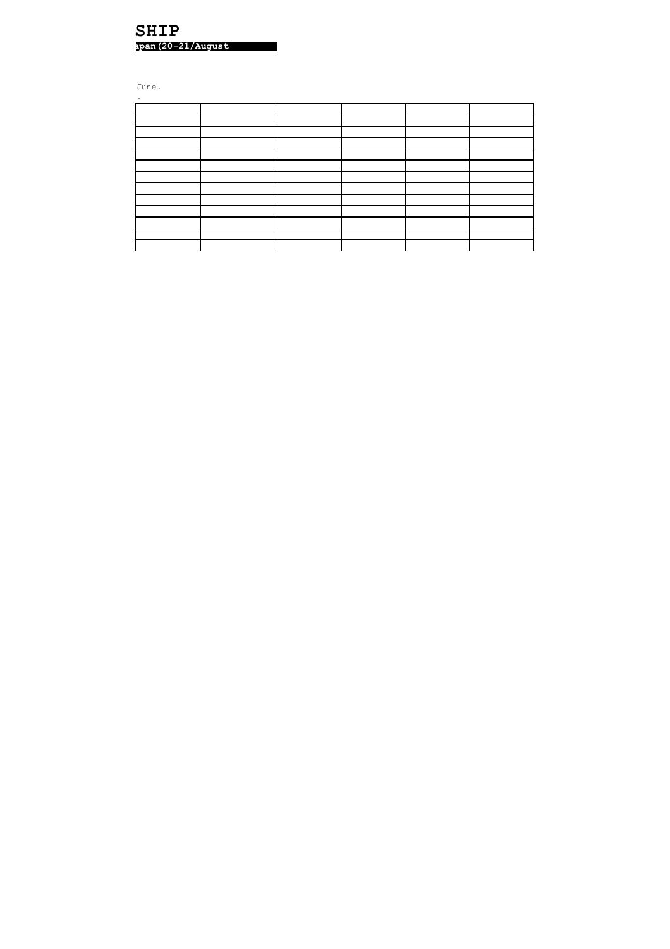## **SHIP apan(20-21/August**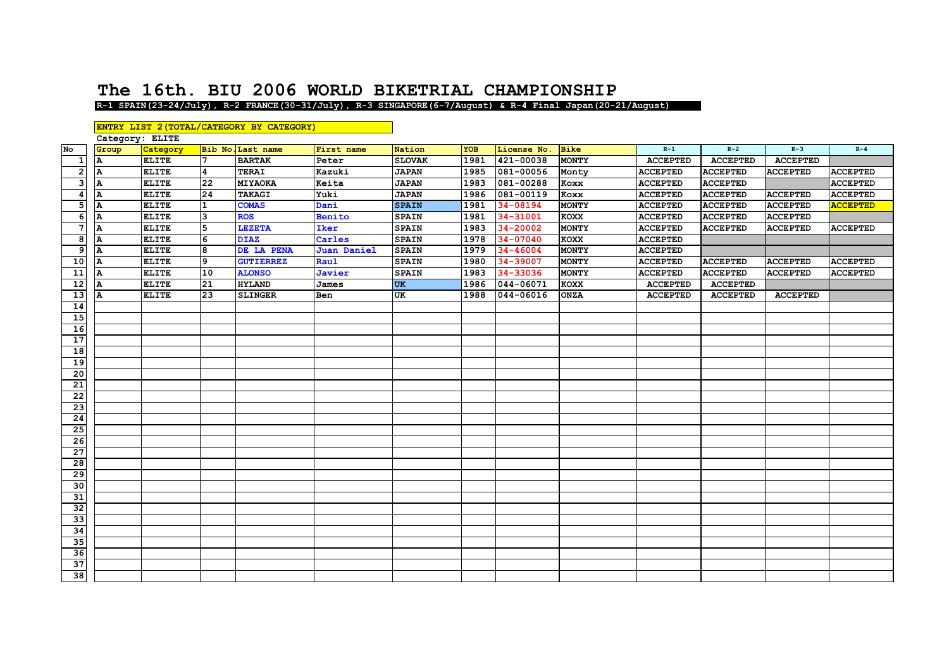## **The 16th. BIU 2006 WORLD BIKETRIAL CHAMPIONSHIP**

**R-1 SPAIN(23-24/Jul y), R-2 FRANCE(30-31/Jul y), R-3 SINGAPORE(6-7/Au gust) & R-4 Final Ja pan(20-21/Au gust)**

|                  |                 |              |                | ENTRY LIST 2 (TOTAL/CATEGORY BY CATEGORY) |               |               |            |               |              |                 |                 |                 |                 |
|------------------|-----------------|--------------|----------------|-------------------------------------------|---------------|---------------|------------|---------------|--------------|-----------------|-----------------|-----------------|-----------------|
|                  | Category: ELITE |              |                |                                           |               |               |            |               |              |                 |                 |                 |                 |
| No               | Group           | Category     |                | Bib No. Last name                         | First name    | Nation        | <b>YOB</b> | License No.   | <b>Bike</b>  | $R-1$           | $R-2$           | $R-3$           | $R - 4$         |
| 1                | A               | <b>ELITE</b> | 7              | <b>BARTAK</b>                             | Peter         | <b>SLOVAK</b> | 1981       | 421-00038     | <b>MONTY</b> | <b>ACCEPTED</b> | <b>ACCEPTED</b> | <b>ACCEPTED</b> |                 |
| $\overline{2}$   | A               | <b>ELITE</b> | $\overline{4}$ | <b>TERAI</b>                              | Kazuki        | <b>JAPAN</b>  | 1985       | 081-00056     | Monty        | <b>ACCEPTED</b> | <b>ACCEPTED</b> | <b>ACCEPTED</b> | <b>ACCEPTED</b> |
| 3                | A               | <b>ELITE</b> | 22             | MIYAOKA                                   | Keita         | <b>JAPAN</b>  | 1983       | 081-00288     | Koxx         | <b>ACCEPTED</b> | <b>ACCEPTED</b> |                 | <b>ACCEPTED</b> |
| $\boldsymbol{4}$ | Α               | <b>ELITE</b> | 24             | TAKAGI                                    | Yuki          | <b>JAPAN</b>  | 1986       | 081-00119     | Koxx         | <b>ACCEPTED</b> | <b>ACCEPTED</b> | <b>ACCEPTED</b> | <b>ACCEPTED</b> |
| 5                | A               | <b>ELITE</b> | $\mathbf{1}$   | <b>COMAS</b>                              | Dani          | <b>SPAIN</b>  | 1981       | 34-08194      | <b>MONTY</b> | <b>ACCEPTED</b> | <b>ACCEPTED</b> | <b>ACCEPTED</b> | <b>ACCEPTED</b> |
| 6                | A               | <b>ELITE</b> | 3              | <b>ROS</b>                                | <b>Benito</b> | <b>SPAIN</b>  | 1981       | 34-31001      | <b>KOXX</b>  | <b>ACCEPTED</b> | <b>ACCEPTED</b> | <b>ACCEPTED</b> |                 |
| $\overline{7}$   | A               | <b>ELITE</b> | 5              | <b>LEZETA</b>                             | Iker          | <b>SPAIN</b>  | 1983       | 34-20002      | <b>MONTY</b> | <b>ACCEPTED</b> | <b>ACCEPTED</b> | <b>ACCEPTED</b> | <b>ACCEPTED</b> |
| 8                | A               | <b>ELITE</b> | 6              | <b>DIAZ</b>                               | Carles        | <b>SPAIN</b>  | 1978       | 34-07040      | <b>KOXX</b>  | <b>ACCEPTED</b> |                 |                 |                 |
| 9                | A               | <b>ELITE</b> | 8              | DE LA PENA                                | Juan Daniel   | <b>SPAIN</b>  | 1979       | 34-46004      | <b>MONTY</b> | <b>ACCEPTED</b> |                 |                 |                 |
| 10               |                 | <b>ELITE</b> | 9              | <b>GUTIERREZ</b>                          | Raul          | <b>SPAIN</b>  | 1980       | 34-39007      | <b>MONTY</b> | <b>ACCEPTED</b> | <b>ACCEPTED</b> | <b>ACCEPTED</b> | <b>ACCEPTED</b> |
| 11               | A               | <b>ELITE</b> | 10             | <b>ALONSO</b>                             | Javier        | <b>SPAIN</b>  | 1983       | 34-33036      | <b>MONTY</b> | <b>ACCEPTED</b> | <b>ACCEPTED</b> | <b>ACCEPTED</b> | <b>ACCEPTED</b> |
| 12               | А               | <b>ELITE</b> | 21             | <b>HYLAND</b>                             | James         | <b>UK</b>     | 1986       | $044 - 06071$ | <b>KOXX</b>  | <b>ACCEPTED</b> | <b>ACCEPTED</b> |                 |                 |
| 13               | A               | <b>ELITE</b> | 23             | <b>SLINGER</b>                            | Ben           | UK            | 1988       | 044-06016     | <b>ONZA</b>  | <b>ACCEPTED</b> | <b>ACCEPTED</b> | <b>ACCEPTED</b> |                 |
| 14               |                 |              |                |                                           |               |               |            |               |              |                 |                 |                 |                 |
| 15               |                 |              |                |                                           |               |               |            |               |              |                 |                 |                 |                 |
| 16               |                 |              |                |                                           |               |               |            |               |              |                 |                 |                 |                 |
| 17               |                 |              |                |                                           |               |               |            |               |              |                 |                 |                 |                 |
| 18               |                 |              |                |                                           |               |               |            |               |              |                 |                 |                 |                 |
| 19               |                 |              |                |                                           |               |               |            |               |              |                 |                 |                 |                 |
| 20               |                 |              |                |                                           |               |               |            |               |              |                 |                 |                 |                 |
| 21               |                 |              |                |                                           |               |               |            |               |              |                 |                 |                 |                 |
| 22               |                 |              |                |                                           |               |               |            |               |              |                 |                 |                 |                 |
| 23               |                 |              |                |                                           |               |               |            |               |              |                 |                 |                 |                 |
| 24               |                 |              |                |                                           |               |               |            |               |              |                 |                 |                 |                 |
| 25               |                 |              |                |                                           |               |               |            |               |              |                 |                 |                 |                 |
| $\overline{26}$  |                 |              |                |                                           |               |               |            |               |              |                 |                 |                 |                 |
| $\overline{27}$  |                 |              |                |                                           |               |               |            |               |              |                 |                 |                 |                 |
| 28               |                 |              |                |                                           |               |               |            |               |              |                 |                 |                 |                 |
| 29               |                 |              |                |                                           |               |               |            |               |              |                 |                 |                 |                 |
| 30               |                 |              |                |                                           |               |               |            |               |              |                 |                 |                 |                 |
| 31               |                 |              |                |                                           |               |               |            |               |              |                 |                 |                 |                 |
| $\overline{32}$  |                 |              |                |                                           |               |               |            |               |              |                 |                 |                 |                 |
| 33               |                 |              |                |                                           |               |               |            |               |              |                 |                 |                 |                 |
| 34               |                 |              |                |                                           |               |               |            |               |              |                 |                 |                 |                 |
| 35               |                 |              |                |                                           |               |               |            |               |              |                 |                 |                 |                 |
| 36               |                 |              |                |                                           |               |               |            |               |              |                 |                 |                 |                 |
| 37               |                 |              |                |                                           |               |               |            |               |              |                 |                 |                 |                 |
| 38               |                 |              |                |                                           |               |               |            |               |              |                 |                 |                 |                 |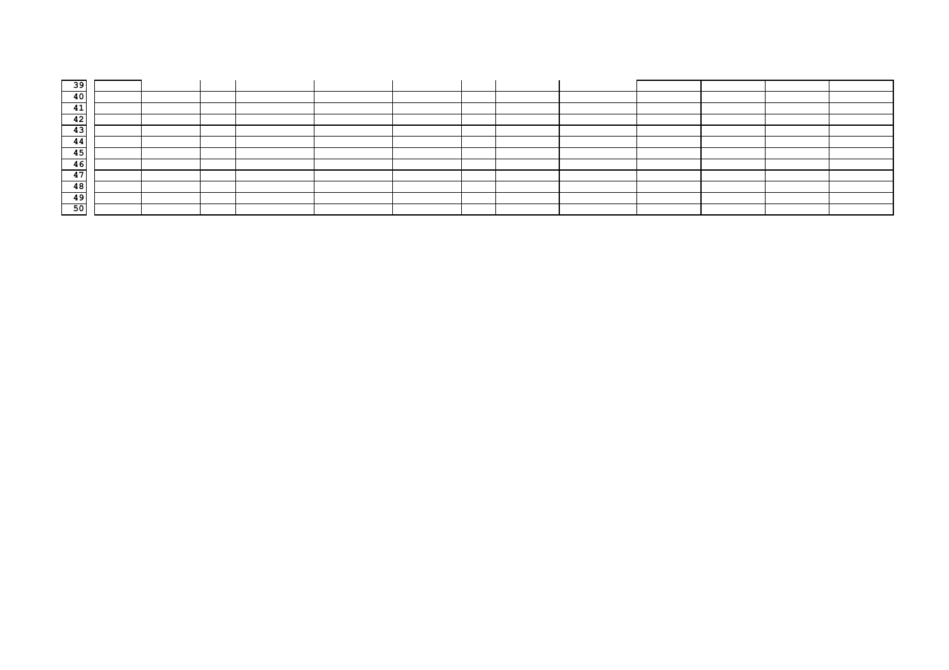| -39          |  |  |  |  |  |  |  |
|--------------|--|--|--|--|--|--|--|
| 40           |  |  |  |  |  |  |  |
| -4.5<br>- 41 |  |  |  |  |  |  |  |
| 42           |  |  |  |  |  |  |  |
| 43           |  |  |  |  |  |  |  |
| 44           |  |  |  |  |  |  |  |
| 45           |  |  |  |  |  |  |  |
| 46           |  |  |  |  |  |  |  |
| 47           |  |  |  |  |  |  |  |
| 48           |  |  |  |  |  |  |  |
| 49           |  |  |  |  |  |  |  |
| 50           |  |  |  |  |  |  |  |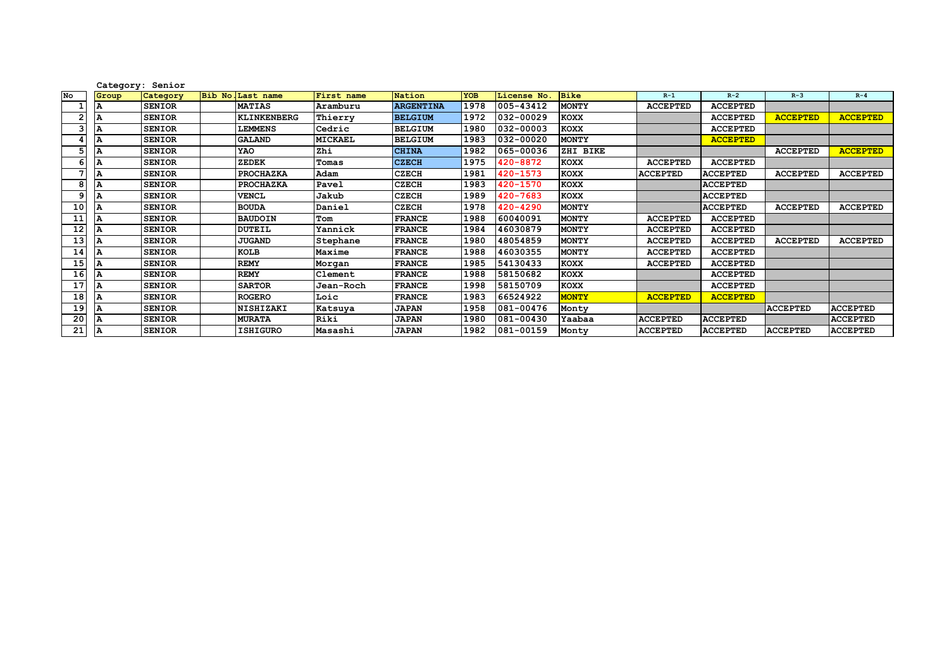|    |       | Category: Senior |               |                    |                   |                  |            |             |              |                 |                 |                 |                 |
|----|-------|------------------|---------------|--------------------|-------------------|------------------|------------|-------------|--------------|-----------------|-----------------|-----------------|-----------------|
| No | Group | Category         | <b>Bib No</b> | Last name          | <b>First</b> name | Nation           | <b>YOB</b> | License No. | <b>Bike</b>  | $R-1$           | $R-2$           | $R-3$           | $R - 4$         |
|    |       | <b>SENIOR</b>    |               | <b>MATIAS</b>      | Aramburu          | <b>ARGENTINA</b> | 1978       | 005-43412   | <b>MONTY</b> | <b>ACCEPTED</b> | <b>ACCEPTED</b> |                 |                 |
|    |       | <b>SENIOR</b>    |               | <b>KLINKENBERG</b> | Thierry           | <b>BELGIUM</b>   | 1972       | 032-00029   | <b>KOXX</b>  |                 | <b>ACCEPTED</b> | <b>ACCEPTED</b> | <b>ACCEPTED</b> |
|    | А     | <b>SENIOR</b>    |               | <b>LEMMENS</b>     | Cedric            | <b>BELGIUM</b>   | 1980       | 032-00003   | <b>KOXX</b>  |                 | <b>ACCEPTED</b> |                 |                 |
|    | А     | <b>SENIOR</b>    |               | <b>GALAND</b>      | <b>MICKAEL</b>    | <b>BELGIUM</b>   | 1983       | 032-00020   | <b>MONTY</b> |                 | <b>ACCEPTED</b> |                 |                 |
|    |       | <b>SENIOR</b>    |               | YAO                | Zhi               | <b>CHINA</b>     | 1982       | 065-00036   | ZHI BIKE     |                 |                 | <b>ACCEPTED</b> | <b>ACCEPTED</b> |
|    |       | <b>SENIOR</b>    |               | ZEDEK              | Tomas             | <b>CZECH</b>     | 1975       | 420-8872    | KOXX         | <b>ACCEPTED</b> | <b>ACCEPTED</b> |                 |                 |
|    |       | <b>SENIOR</b>    |               | PROCHAZKA          | Adam              | <b>CZECH</b>     | 1981       | 420-1573    | KOXX         | <b>ACCEPTED</b> | <b>ACCEPTED</b> | <b>ACCEPTED</b> | <b>ACCEPTED</b> |
| 8  | А     | <b>SENIOR</b>    |               | <b>PROCHAZKA</b>   | Pavel             | <b>CZECH</b>     | 1983       | 420-1570    | <b>KOXX</b>  |                 | <b>ACCEPTED</b> |                 |                 |
|    | А     | <b>SENIOR</b>    |               | <b>VENCL</b>       | Jakub             | <b>CZECH</b>     | 1989       | 420-7683    | KOXX         |                 | <b>ACCEPTED</b> |                 |                 |
| 10 |       | <b>SENIOR</b>    |               | <b>BOUDA</b>       | Daniel            | <b>CZECH</b>     | 1978       | 420-4290    | <b>MONTY</b> |                 | <b>ACCEPTED</b> | <b>ACCEPTED</b> | <b>ACCEPTED</b> |
| 11 | А     | <b>SENIOR</b>    |               | <b>BAUDOIN</b>     | Tom               | <b>FRANCE</b>    | 1988       | 60040091    | <b>MONTY</b> | <b>ACCEPTED</b> | <b>ACCEPTED</b> |                 |                 |
| 12 | А     | <b>SENIOR</b>    |               | <b>DUTEIL</b>      | Yannick           | <b>FRANCE</b>    | 1984       | 46030879    | <b>MONTY</b> | <b>ACCEPTED</b> | <b>ACCEPTED</b> |                 |                 |
| 13 | А     | <b>SENIOR</b>    |               | <b>JUGAND</b>      | Stephane          | <b>FRANCE</b>    | 1980       | 48054859    | <b>MONTY</b> | <b>ACCEPTED</b> | <b>ACCEPTED</b> | <b>ACCEPTED</b> | <b>ACCEPTED</b> |
| 14 |       | <b>SENIOR</b>    |               | KOLB               | Maxime            | <b>FRANCE</b>    | 1988       | 46030355    | <b>MONTY</b> | <b>ACCEPTED</b> | <b>ACCEPTED</b> |                 |                 |
| 15 |       | <b>SENIOR</b>    |               | <b>REMY</b>        | Morgan            | <b>FRANCE</b>    | 1985       | 54130433    | <b>KOXX</b>  | <b>ACCEPTED</b> | <b>ACCEPTED</b> |                 |                 |
| 16 | А     | <b>SENIOR</b>    |               | <b>REMY</b>        | Clement           | <b>FRANCE</b>    | 1988       | 58150682    | <b>KOXX</b>  |                 | <b>ACCEPTED</b> |                 |                 |
| 17 | А     | <b>SENIOR</b>    |               | <b>SARTOR</b>      | Jean-Roch         | <b>FRANCE</b>    | 1998       | 58150709    | <b>KOXX</b>  |                 | <b>ACCEPTED</b> |                 |                 |
| 18 |       | <b>SENIOR</b>    |               | <b>ROGERO</b>      | Loic              | <b>FRANCE</b>    | 1983       | 66524922    | <b>MONTY</b> | <b>ACCEPTED</b> | <b>ACCEPTED</b> |                 |                 |
| 19 | А     | <b>SENIOR</b>    |               | <b>NISHIZAKI</b>   | Katsuya           | <b>JAPAN</b>     | 1958       | 081-00476   | Monty        |                 |                 | <b>ACCEPTED</b> | <b>ACCEPTED</b> |
| 20 | А     | <b>SENIOR</b>    |               | <b>MURATA</b>      | Riki              | <b>JAPAN</b>     | 1980       | 081-00430   | Yaabaa       | <b>ACCEPTED</b> | <b>ACCEPTED</b> |                 | <b>ACCEPTED</b> |
| 21 | А     | <b>SENIOR</b>    |               | <b>ISHIGURO</b>    | Masashi           | <b>JAPAN</b>     | 1982       | 081-00159   | Monty        | <b>ACCEPTED</b> | <b>ACCEPTED</b> | <b>ACCEPTED</b> | <b>ACCEPTED</b> |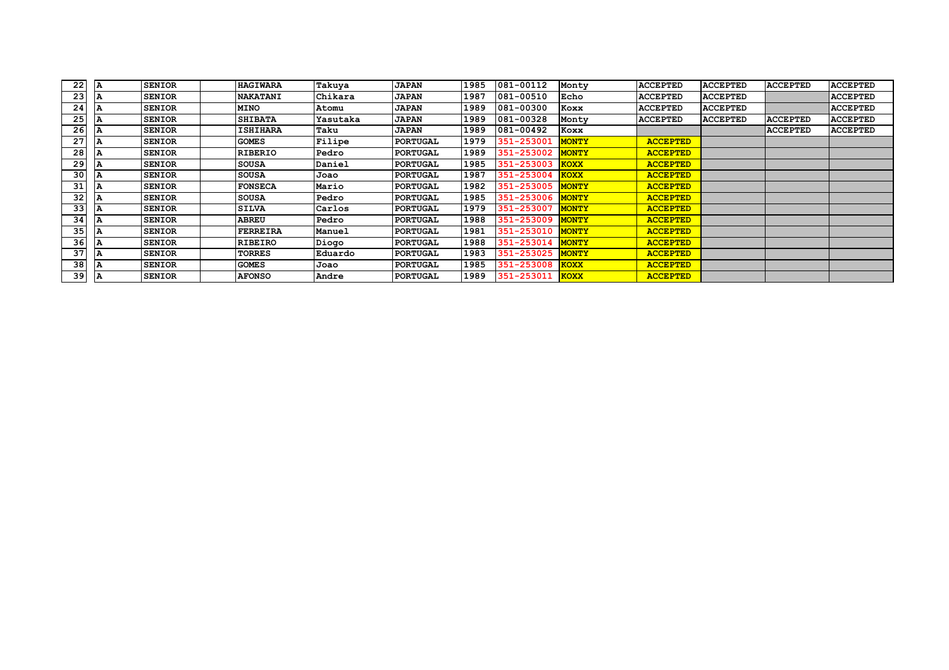| 22 | A | <b>SENIOR</b> | <b>HAGIWARA</b> | Takuya   | <b>JAPAN</b>    | 1985 | 081-00112  | Monty        | <b>ACCEPTED</b> | <b>ACCEPTED</b> | <b>ACCEPTED</b> | <b>ACCEPTED</b> |
|----|---|---------------|-----------------|----------|-----------------|------|------------|--------------|-----------------|-----------------|-----------------|-----------------|
| 23 |   | <b>SENIOR</b> | <b>NAKATANI</b> | Chikara  | <b>JAPAN</b>    | 1987 | 081-00510  | Echo         | <b>ACCEPTED</b> | <b>ACCEPTED</b> |                 | <b>ACCEPTED</b> |
| 24 |   | <b>SENIOR</b> | <b>MINO</b>     | Atomu    | <b>JAPAN</b>    | 1989 | 081-00300  | Koxx         | <b>ACCEPTED</b> | <b>ACCEPTED</b> |                 | <b>ACCEPTED</b> |
| 25 |   | <b>SENIOR</b> | <b>SHIBATA</b>  | Yasutaka | <b>JAPAN</b>    | 1989 | 081-00328  | Monty        | <b>ACCEPTED</b> | <b>ACCEPTED</b> | <b>ACCEPTED</b> | <b>ACCEPTED</b> |
| 26 |   | <b>SENIOR</b> | <b>ISHIHARA</b> | Taku     | <b>JAPAN</b>    | 1989 | 081-00492  | Koxx         |                 |                 | <b>ACCEPTED</b> | <b>ACCEPTED</b> |
| 27 |   | <b>SENIOR</b> | <b>GOMES</b>    | Filipe   | <b>PORTUGAL</b> | 1979 | 351-253001 | <b>MONTY</b> | <b>ACCEPTED</b> |                 |                 |                 |
| 28 |   | <b>SENIOR</b> | RIBERIO         | Pedro    | <b>PORTUGAL</b> | 1989 | 351-253002 | <b>MONTY</b> | <b>ACCEPTED</b> |                 |                 |                 |
| 29 |   | <b>SENIOR</b> | SOUSA           | Daniel   | <b>PORTUGAL</b> | 1985 | 351-253003 | <b>KOXX</b>  | <b>ACCEPTED</b> |                 |                 |                 |
| 30 |   | <b>SENIOR</b> | <b>SOUSA</b>    | Joao     | <b>PORTUGAL</b> | 1987 | 351-253004 | <b>KOXX</b>  | <b>ACCEPTED</b> |                 |                 |                 |
| 31 |   | <b>SENIOR</b> | <b>FONSECA</b>  | Mario    | <b>PORTUGAL</b> | 1982 | 351-253005 | <b>MONTY</b> | <b>ACCEPTED</b> |                 |                 |                 |
| 32 |   | <b>SENIOR</b> | <b>SOUSA</b>    | Pedro    | <b>PORTUGAL</b> | 1985 | 351-253006 | <b>MONTY</b> | <b>ACCEPTED</b> |                 |                 |                 |
| 33 |   | <b>SENIOR</b> | <b>SILVA</b>    | Carlos   | <b>PORTUGAL</b> | 1979 | 351-253007 | <b>MONTY</b> | <b>ACCEPTED</b> |                 |                 |                 |
| 34 |   | <b>SENIOR</b> | <b>ABREU</b>    | Pedro    | <b>PORTUGAL</b> | 1988 | 351-253009 | <b>MONTY</b> | <b>ACCEPTED</b> |                 |                 |                 |
| 35 |   | <b>SENIOR</b> | FERREIRA        | Manuel   | <b>PORTUGAL</b> | 1981 | 351-253010 | <b>MONTY</b> | <b>ACCEPTED</b> |                 |                 |                 |
| 36 |   | <b>SENIOR</b> | RIBEIRO         | Diogo    | <b>PORTUGAL</b> | 1988 | 351-253014 | <b>MONTY</b> | <b>ACCEPTED</b> |                 |                 |                 |
| 37 |   | <b>SENIOR</b> | TORRES          | Eduardo  | <b>PORTUGAL</b> | 1983 | 351-253025 | <b>MONTY</b> | <b>ACCEPTED</b> |                 |                 |                 |
| 38 |   | <b>SENIOR</b> | <b>GOMES</b>    | Joao     | <b>PORTUGAL</b> | 1985 | 351-253008 | <b>KOXX</b>  | <b>ACCEPTED</b> |                 |                 |                 |
| 39 |   | <b>SENIOR</b> | <b>AFONSO</b>   | Andre    | <b>PORTUGAL</b> | 1989 | 351-253011 | <b>KOXX</b>  | <b>ACCEPTED</b> |                 |                 |                 |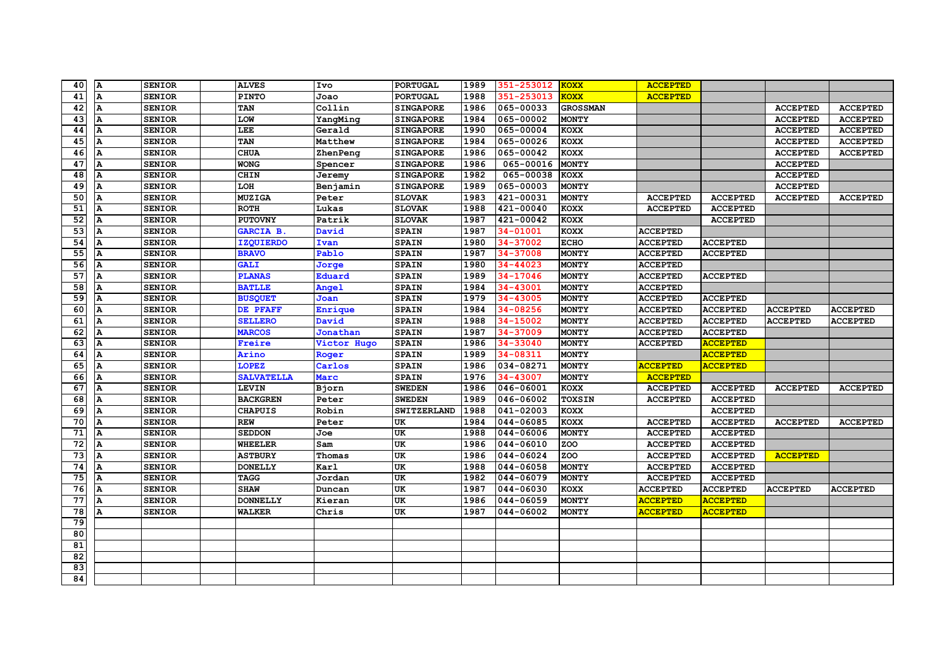| 40              | A            | <b>SENIOR</b> | <b>ALVES</b>      | Ivo            | <b>PORTUGAL</b>  | 1989 | 351-253012   | <b>KOXX</b>     | <b>ACCEPTED</b> |                 |                 |                 |
|-----------------|--------------|---------------|-------------------|----------------|------------------|------|--------------|-----------------|-----------------|-----------------|-----------------|-----------------|
| 41              | A            | <b>SENIOR</b> | <b>PINTO</b>      | Joao           | <b>PORTUGAL</b>  | 1988 | 351-253013   | <b>KOXX</b>     | <b>ACCEPTED</b> |                 |                 |                 |
| 42              | $\mathbf{A}$ | <b>SENIOR</b> | TAN               | Collin         | <b>SINGAPORE</b> | 1986 | 065-00033    | <b>GROSSMAN</b> |                 |                 | <b>ACCEPTED</b> | <b>ACCEPTED</b> |
| 43              |              | <b>SENIOR</b> | LOW               | YangMing       | <b>SINGAPORE</b> | 1984 | 065-00002    | <b>MONTY</b>    |                 |                 | <b>ACCEPTED</b> | <b>ACCEPTED</b> |
| 44              | Α            | <b>SENIOR</b> | LEE               | Gerald         | <b>SINGAPORE</b> | 1990 | 065-00004    | KOXX            |                 |                 | <b>ACCEPTED</b> | <b>ACCEPTED</b> |
| 45              | A            | <b>SENIOR</b> | TAN               | Matthew        | <b>SINGAPORE</b> | 1984 | 065-00026    | KOXX            |                 |                 | <b>ACCEPTED</b> | <b>ACCEPTED</b> |
| 46              | A            | <b>SENIOR</b> | <b>CHUA</b>       | ZhenPeng       | <b>SINGAPORE</b> | 1986 | 065-00042    | KOXX            |                 |                 | <b>ACCEPTED</b> | <b>ACCEPTED</b> |
| 47              | A            | <b>SENIOR</b> | <b>WONG</b>       | Spencer        | <b>SINGAPORE</b> | 1986 | 065-00016    | <b>MONTY</b>    |                 |                 | <b>ACCEPTED</b> |                 |
| 48              | A            | <b>SENIOR</b> | <b>CHIN</b>       | Jeremy         | <b>SINGAPORE</b> | 1982 | 065-00038    | KOXX            |                 |                 | <b>ACCEPTED</b> |                 |
| 49              |              | <b>SENIOR</b> | LOH               | Benjamin       | <b>SINGAPORE</b> | 1989 | 065-00003    | <b>MONTY</b>    |                 |                 | <b>ACCEPTED</b> |                 |
| 50              | А            | <b>SENIOR</b> | <b>MUZIGA</b>     | <b>Peter</b>   | <b>SLOVAK</b>    | 1983 | 421-00031    | <b>MONTY</b>    | <b>ACCEPTED</b> | <b>ACCEPTED</b> | <b>ACCEPTED</b> | <b>ACCEPTED</b> |
| 51              | A            | <b>SENIOR</b> | <b>ROTH</b>       | Lukas          | <b>SLOVAK</b>    | 1988 | 421-00040    | KOXX            | <b>ACCEPTED</b> | <b>ACCEPTED</b> |                 |                 |
| 52              |              | <b>SENIOR</b> | <b>PUTOVNY</b>    | Patrik         | <b>SLOVAK</b>    | 1987 | 421-00042    | <b>KOXX</b>     |                 | <b>ACCEPTED</b> |                 |                 |
| 53              | A            | <b>SENIOR</b> | GARCIA B.         | David          | <b>SPAIN</b>     | 1987 | 34-01001     | KOXX            | <b>ACCEPTED</b> |                 |                 |                 |
| 54              | $\mathbf{A}$ | <b>SENIOR</b> | <b>IZQUIERDO</b>  | Ivan           | <b>SPAIN</b>     | 1980 | 34-37002     | <b>ECHO</b>     | <b>ACCEPTED</b> | <b>ACCEPTED</b> |                 |                 |
| 55              | A            | <b>SENIOR</b> | <b>BRAVO</b>      | Pablo          | <b>SPAIN</b>     | 1987 | 34-37008     | <b>MONTY</b>    | <b>ACCEPTED</b> | <b>ACCEPTED</b> |                 |                 |
| 56              | A            | <b>SENIOR</b> | <b>GALI</b>       | Jorge          | <b>SPAIN</b>     | 1980 | $34 - 44023$ | <b>MONTY</b>    | <b>ACCEPTED</b> |                 |                 |                 |
| 57              | A            | <b>SENIOR</b> | <b>PLANAS</b>     | Eduard         | <b>SPAIN</b>     | 1989 | 34-17046     | <b>MONTY</b>    | <b>ACCEPTED</b> | <b>ACCEPTED</b> |                 |                 |
| 58              | А            | <b>SENIOR</b> | <b>BATLLE</b>     | <b>Angel</b>   | <b>SPAIN</b>     | 1984 | 34-43001     | <b>MONTY</b>    | <b>ACCEPTED</b> |                 |                 |                 |
| 59              | A            | <b>SENIOR</b> | <b>BUSQUET</b>    | Joan           | <b>SPAIN</b>     | 1979 | 34-43005     | <b>MONTY</b>    | <b>ACCEPTED</b> | <b>ACCEPTED</b> |                 |                 |
| 60              | A            | <b>SENIOR</b> | DE PFAFF          | <b>Enrique</b> | <b>SPAIN</b>     | 1984 | 34-08256     | <b>MONTY</b>    | <b>ACCEPTED</b> | <b>ACCEPTED</b> | <b>ACCEPTED</b> | <b>ACCEPTED</b> |
| 61              |              | <b>SENIOR</b> | <b>SELLERO</b>    | David          | <b>SPAIN</b>     | 1988 | 34-15002     | <b>MONTY</b>    | <b>ACCEPTED</b> | <b>ACCEPTED</b> | <b>ACCEPTED</b> | <b>ACCEPTED</b> |
| 62              | A            | <b>SENIOR</b> | <b>MARCOS</b>     | Jonathan       | <b>SPAIN</b>     | 1987 | 34-37009     | <b>MONTY</b>    | <b>ACCEPTED</b> | <b>ACCEPTED</b> |                 |                 |
| 63              | $\mathbf{A}$ | <b>SENIOR</b> | <b>Freire</b>     | Victor Hugo    | <b>SPAIN</b>     | 1986 | 34-33040     | <b>MONTY</b>    | <b>ACCEPTED</b> | <b>ACCEPTED</b> |                 |                 |
| 64              | A            | <b>SENIOR</b> | Arino             | Roger          | <b>SPAIN</b>     | 1989 | 34-08311     | <b>MONTY</b>    |                 | <b>ACCEPTED</b> |                 |                 |
| 65              | A            | <b>SENIOR</b> | <b>LOPEZ</b>      | <b>Carlos</b>  | <b>SPAIN</b>     | 1986 | 034-08271    | <b>MONTY</b>    | <b>ACCEPTED</b> | <b>ACCEPTED</b> |                 |                 |
| 66              | $\mathbf{A}$ | <b>SENIOR</b> | <b>SALVATELLA</b> | Marc           | <b>SPAIN</b>     | 1976 | 34-43007     | <b>MONTY</b>    | <b>ACCEPTED</b> |                 |                 |                 |
| 67              | A            | <b>SENIOR</b> | LEVIN             | Bjorn          | <b>SWEDEN</b>    | 1986 | 046-06001    | KOXX            | <b>ACCEPTED</b> | <b>ACCEPTED</b> | <b>ACCEPTED</b> | <b>ACCEPTED</b> |
| 68              | A            | <b>SENIOR</b> | <b>BACKGREN</b>   | Peter          | <b>SWEDEN</b>    | 1989 | 046-06002    | <b>TOXSIN</b>   | <b>ACCEPTED</b> | <b>ACCEPTED</b> |                 |                 |
| 69              | A            | <b>SENIOR</b> | <b>CHAPUIS</b>    | Robin          | SWITZERLAND      | 1988 | 041-02003    | KOXX            |                 | <b>ACCEPTED</b> |                 |                 |
| 70              | Α            | <b>SENIOR</b> | <b>REW</b>        | Peter          | UK               | 1984 | 044-06085    | <b>KOXX</b>     | <b>ACCEPTED</b> | <b>ACCEPTED</b> | <b>ACCEPTED</b> | <b>ACCEPTED</b> |
| 71              | А            | <b>SENIOR</b> | <b>SEDDON</b>     | Joe            | UK               | 1988 | 044-06006    | <b>MONTY</b>    | <b>ACCEPTED</b> | <b>ACCEPTED</b> |                 |                 |
| 72              | А            | <b>SENIOR</b> | <b>WHEELER</b>    | Sam            | UK               | 1986 | 044-06010    | ZOO             | <b>ACCEPTED</b> | <b>ACCEPTED</b> |                 |                 |
| 73              | A            | <b>SENIOR</b> | <b>ASTBURY</b>    | Thomas         | UK               | 1986 | 044-06024    | ZOO             | <b>ACCEPTED</b> | <b>ACCEPTED</b> | <b>ACCEPTED</b> |                 |
| 74              | A            | <b>SENIOR</b> | <b>DONELLY</b>    | Karl           | UK               | 1988 | 044-06058    | <b>MONTY</b>    | <b>ACCEPTED</b> | <b>ACCEPTED</b> |                 |                 |
| 75              | $\mathbf{A}$ | <b>SENIOR</b> | TAGG              | Jordan         | UK               | 1982 | 044-06079    | <b>MONTY</b>    | <b>ACCEPTED</b> | <b>ACCEPTED</b> |                 |                 |
| 76              | A            | <b>SENIOR</b> | <b>SHAW</b>       | Duncan         | UK               | 1987 | 044-06030    | KOXX            | <b>ACCEPTED</b> | <b>ACCEPTED</b> | <b>ACCEPTED</b> | <b>ACCEPTED</b> |
| 77              | A            | <b>SENIOR</b> | <b>DONNELLY</b>   | Kieran         | UK               | 1986 | 044-06059    | <b>MONTY</b>    | <b>ACCEPTED</b> | <b>ACCEPTED</b> |                 |                 |
| 78              | A            | <b>SENIOR</b> | <b>WALKER</b>     | Chris          | UK               | 1987 | 044-06002    | <b>MONTY</b>    | <b>ACCEPTED</b> | <b>ACCEPTED</b> |                 |                 |
| $\overline{79}$ |              |               |                   |                |                  |      |              |                 |                 |                 |                 |                 |
| 80              |              |               |                   |                |                  |      |              |                 |                 |                 |                 |                 |
|                 |              |               |                   |                |                  |      |              |                 |                 |                 |                 |                 |
| 81              |              |               |                   |                |                  |      |              |                 |                 |                 |                 |                 |
| 82              |              |               |                   |                |                  |      |              |                 |                 |                 |                 |                 |
| 83              |              |               |                   |                |                  |      |              |                 |                 |                 |                 |                 |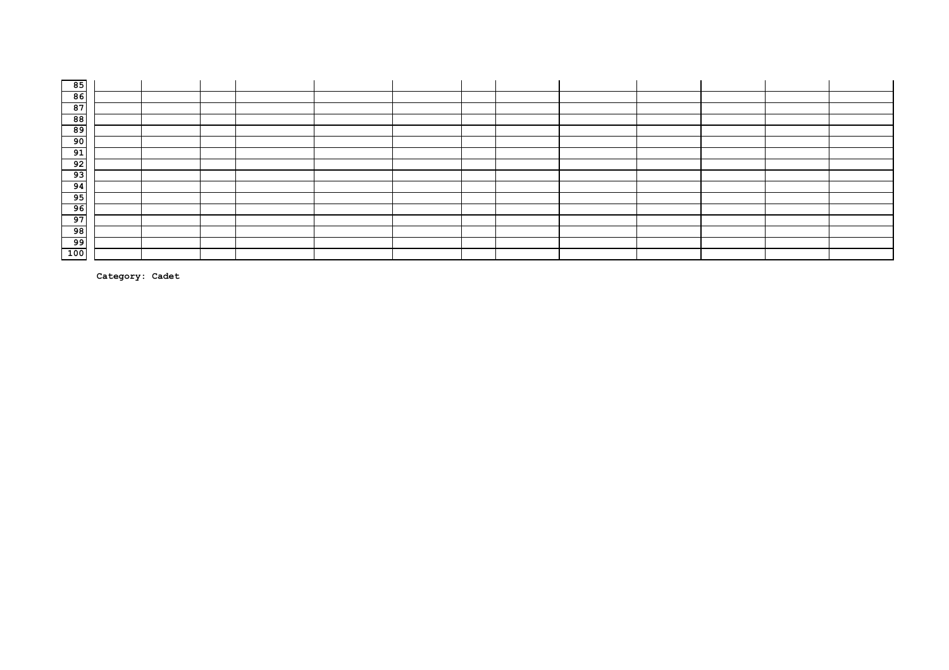| 85<br>--                                                            |  |  |  |  |  |  |  |
|---------------------------------------------------------------------|--|--|--|--|--|--|--|
| $\begin{array}{ c c } \hline 86 \\ \hline 87 \\ \hline \end{array}$ |  |  |  |  |  |  |  |
|                                                                     |  |  |  |  |  |  |  |
| 88                                                                  |  |  |  |  |  |  |  |
| 89<br>--                                                            |  |  |  |  |  |  |  |
| $\overline{90}$                                                     |  |  |  |  |  |  |  |
| 91                                                                  |  |  |  |  |  |  |  |
| 92                                                                  |  |  |  |  |  |  |  |
| $\overline{\phantom{0}}$ 93                                         |  |  |  |  |  |  |  |
| 94                                                                  |  |  |  |  |  |  |  |
| 95<br>--                                                            |  |  |  |  |  |  |  |
| 96                                                                  |  |  |  |  |  |  |  |
| 97                                                                  |  |  |  |  |  |  |  |
| 98                                                                  |  |  |  |  |  |  |  |
| 99                                                                  |  |  |  |  |  |  |  |
| 100                                                                 |  |  |  |  |  |  |  |

**Category: Cadet**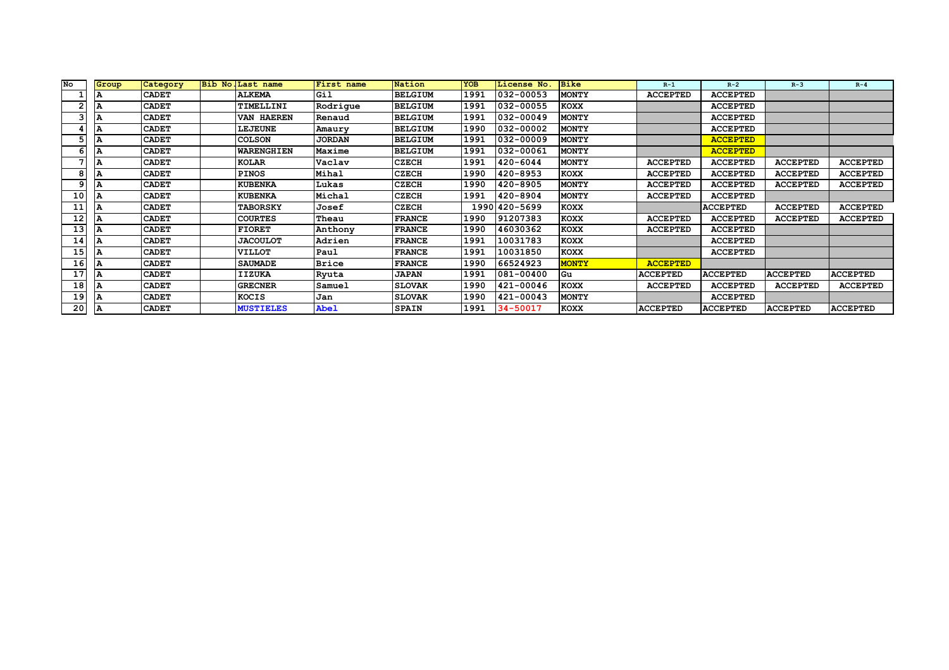| No | Group | Category     | Bib No. Last name | First name    | Nation         | <b>YOB</b> | License No.     | <b>Bike</b>  | $R-1$           | $R-2$           | $R-3$           | $R - 4$         |
|----|-------|--------------|-------------------|---------------|----------------|------------|-----------------|--------------|-----------------|-----------------|-----------------|-----------------|
|    |       | <b>CADET</b> | <b>ALKEMA</b>     | Gil           | <b>BELGIUM</b> | 1991       | 032-00053       | <b>MONTY</b> | <b>ACCEPTED</b> | <b>ACCEPTED</b> |                 |                 |
|    |       | <b>CADET</b> | TIMELLINI         | Rodrique      | <b>BELGIUM</b> | 1991       | 032-00055       | <b>KOXX</b>  |                 | <b>ACCEPTED</b> |                 |                 |
|    |       | <b>CADET</b> | VAN HAEREN        | Renaud        | <b>BELGIUM</b> | 1991       | 032-00049       | <b>MONTY</b> |                 | <b>ACCEPTED</b> |                 |                 |
|    |       | <b>CADET</b> | <b>LEJEUNE</b>    | Amaury        | <b>BELGIUM</b> | 1990       | 032-00002       | <b>MONTY</b> |                 | <b>ACCEPTED</b> |                 |                 |
|    |       | <b>CADET</b> | <b>COLSON</b>     | <b>JORDAN</b> | <b>BELGIUM</b> | 1991       | 032-00009       | <b>MONTY</b> |                 | <b>ACCEPTED</b> |                 |                 |
|    |       | <b>CADET</b> | <b>WARENGHIEN</b> | Maxime        | <b>BELGIUM</b> | 1991       | 032-00061       | <b>MONTY</b> |                 | <b>ACCEPTED</b> |                 |                 |
|    |       | <b>CADET</b> | KOLAR             | Vaclav        | CZECH          | 1991       | 420-6044        | <b>MONTY</b> | <b>ACCEPTED</b> | <b>ACCEPTED</b> | <b>ACCEPTED</b> | <b>ACCEPTED</b> |
|    | А     | <b>CADET</b> | <b>PINOS</b>      | Mihal         | <b>CZECH</b>   | 1990       | 420-8953        | <b>KOXX</b>  | <b>ACCEPTED</b> | <b>ACCEPTED</b> | <b>ACCEPTED</b> | <b>ACCEPTED</b> |
|    |       | <b>CADET</b> | <b>KUBENKA</b>    | Lukas         | <b>CZECH</b>   | 1990       | 420-8905        | <b>MONTY</b> | <b>ACCEPTED</b> | <b>ACCEPTED</b> | <b>ACCEPTED</b> | <b>ACCEPTED</b> |
| 10 |       | <b>CADET</b> | <b>KUBENKA</b>    | Michal        | <b>CZECH</b>   | 1991       | 420-8904        | <b>MONTY</b> | <b>ACCEPTED</b> | <b>ACCEPTED</b> |                 |                 |
| 11 |       | <b>CADET</b> | <b>TABORSKY</b>   | Josef         | <b>CZECH</b>   |            | 1990 420 - 5699 | KOXX         |                 | <b>ACCEPTED</b> | <b>ACCEPTED</b> | <b>ACCEPTED</b> |
| 12 |       | <b>CADET</b> | <b>COURTES</b>    | Theau         | <b>FRANCE</b>  | 1990       | 91207383        | <b>KOXX</b>  | <b>ACCEPTED</b> | <b>ACCEPTED</b> | <b>ACCEPTED</b> | <b>ACCEPTED</b> |
| 13 |       | <b>CADET</b> | <b>FIORET</b>     | Anthony       | <b>FRANCE</b>  | 1990       | 46030362        | <b>KOXX</b>  | <b>ACCEPTED</b> | <b>ACCEPTED</b> |                 |                 |
| 14 |       | <b>CADET</b> | <b>JACOULOT</b>   | Adrien        | <b>FRANCE</b>  | 1991       | 10031783        | <b>KOXX</b>  |                 | <b>ACCEPTED</b> |                 |                 |
| 15 |       | <b>CADET</b> | <b>VILLOT</b>     | Paul          | <b>FRANCE</b>  | 1991       | 10031850        | <b>KOXX</b>  |                 | <b>ACCEPTED</b> |                 |                 |
| 16 |       | <b>CADET</b> | <b>SAUMADE</b>    | <b>Brice</b>  | <b>FRANCE</b>  | 1990       | 66524923        | <b>MONTY</b> | <b>ACCEPTED</b> |                 |                 |                 |
| 17 |       | <b>CADET</b> | <b>IIZUKA</b>     | Ryuta         | <b>JAPAN</b>   | 1991       | 081-00400       | Gu           | <b>ACCEPTED</b> | <b>ACCEPTED</b> | <b>ACCEPTED</b> | <b>ACCEPTED</b> |
| 18 |       | <b>CADET</b> | <b>GRECNER</b>    | Samuel        | <b>SLOVAK</b>  | 1990       | 421-00046       | <b>KOXX</b>  | <b>ACCEPTED</b> | <b>ACCEPTED</b> | <b>ACCEPTED</b> | <b>ACCEPTED</b> |
| 19 |       | <b>CADET</b> | <b>KOCIS</b>      | Jan           | <b>SLOVAK</b>  | 1990       | 421-00043       | <b>MONTY</b> |                 | <b>ACCEPTED</b> |                 |                 |
| 20 | ΙA    | <b>CADET</b> | <b>MUSTIELES</b>  | Abel          | <b>SPAIN</b>   | 1991       | 34-50017        | <b>KOXX</b>  | <b>ACCEPTED</b> | <b>ACCEPTED</b> | <b>ACCEPTED</b> | <b>ACCEPTED</b> |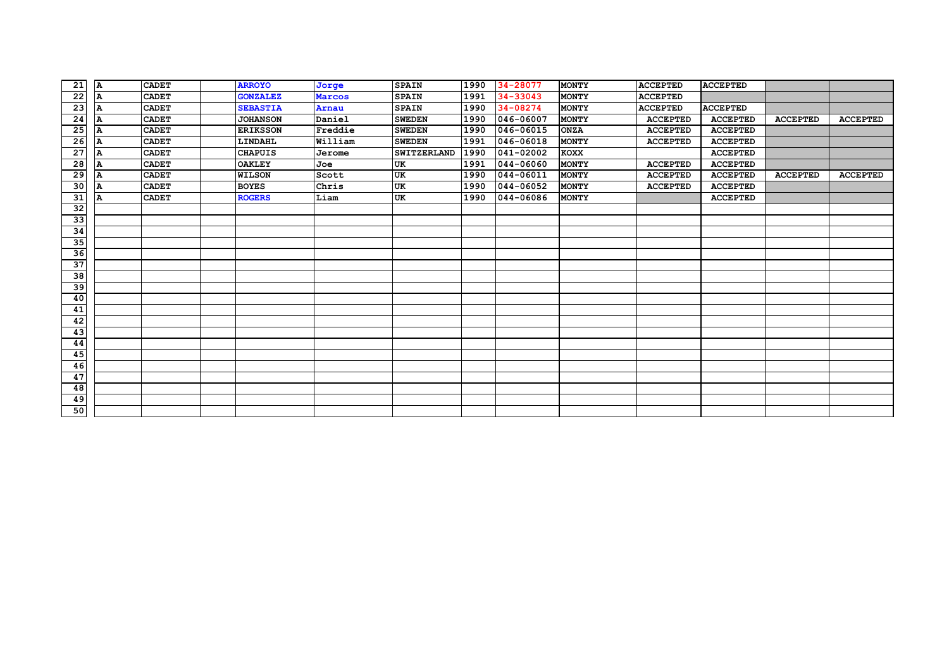| 21              | А | <b>CADET</b> | <b>ARROYO</b>   | Jorge   | <b>SPAIN</b>       | 1990 | 34-28077      | <b>MONTY</b> | <b>ACCEPTED</b> | <b>ACCEPTED</b> |                 |                 |
|-----------------|---|--------------|-----------------|---------|--------------------|------|---------------|--------------|-----------------|-----------------|-----------------|-----------------|
| 22              | A | <b>CADET</b> | <b>GONZALEZ</b> | Marcos  | <b>SPAIN</b>       | 1991 | 34-33043      | <b>MONTY</b> | <b>ACCEPTED</b> |                 |                 |                 |
| $\overline{23}$ | A | <b>CADET</b> | <b>SEBASTIA</b> | Arnau   | <b>SPAIN</b>       | 1990 | 34-08274      | <b>MONTY</b> | <b>ACCEPTED</b> | <b>ACCEPTED</b> |                 |                 |
| 24              | А | <b>CADET</b> | <b>JOHANSON</b> | Daniel  | <b>SWEDEN</b>      | 1990 | 046-06007     | <b>MONTY</b> | <b>ACCEPTED</b> | <b>ACCEPTED</b> | <b>ACCEPTED</b> | <b>ACCEPTED</b> |
| 25              | А | <b>CADET</b> | <b>ERIKSSON</b> | Freddie | <b>SWEDEN</b>      | 1990 | 046-06015     | <b>ONZA</b>  | <b>ACCEPTED</b> | <b>ACCEPTED</b> |                 |                 |
| 26              | А | <b>CADET</b> | LINDAHL         | William | <b>SWEDEN</b>      | 1991 | 046-06018     | <b>MONTY</b> | <b>ACCEPTED</b> | <b>ACCEPTED</b> |                 |                 |
| $\overline{27}$ | A | <b>CADET</b> | <b>CHAPUIS</b>  | Jerome  | <b>SWITZERLAND</b> | 1990 | 041-02002     | <b>KOXX</b>  |                 | <b>ACCEPTED</b> |                 |                 |
| $\overline{28}$ | A | <b>CADET</b> | <b>OAKLEY</b>   | Joe     | <b>UK</b>          | 1991 | $044 - 06060$ | <b>MONTY</b> | <b>ACCEPTED</b> | <b>ACCEPTED</b> |                 |                 |
| $\overline{29}$ | A | <b>CADET</b> | <b>WILSON</b>   | Scott   | UK                 | 1990 | 044-06011     | <b>MONTY</b> | <b>ACCEPTED</b> | <b>ACCEPTED</b> | <b>ACCEPTED</b> | <b>ACCEPTED</b> |
| 30              | A | <b>CADET</b> | <b>BOYES</b>    | Chris   | <b>UK</b>          | 1990 | 044-06052     | <b>MONTY</b> | <b>ACCEPTED</b> | <b>ACCEPTED</b> |                 |                 |
| 31              | A | <b>CADET</b> | <b>ROGERS</b>   | Liam    | UK                 | 1990 | 044-06086     | <b>MONTY</b> |                 | <b>ACCEPTED</b> |                 |                 |
| 32              |   |              |                 |         |                    |      |               |              |                 |                 |                 |                 |
| 33              |   |              |                 |         |                    |      |               |              |                 |                 |                 |                 |
| 34              |   |              |                 |         |                    |      |               |              |                 |                 |                 |                 |
| 35              |   |              |                 |         |                    |      |               |              |                 |                 |                 |                 |
| 36              |   |              |                 |         |                    |      |               |              |                 |                 |                 |                 |
| 37              |   |              |                 |         |                    |      |               |              |                 |                 |                 |                 |
| 38              |   |              |                 |         |                    |      |               |              |                 |                 |                 |                 |
| 39              |   |              |                 |         |                    |      |               |              |                 |                 |                 |                 |
| 40              |   |              |                 |         |                    |      |               |              |                 |                 |                 |                 |
| 41              |   |              |                 |         |                    |      |               |              |                 |                 |                 |                 |
| 42              |   |              |                 |         |                    |      |               |              |                 |                 |                 |                 |
| $\overline{43}$ |   |              |                 |         |                    |      |               |              |                 |                 |                 |                 |
| 44              |   |              |                 |         |                    |      |               |              |                 |                 |                 |                 |
| 45              |   |              |                 |         |                    |      |               |              |                 |                 |                 |                 |
| 46              |   |              |                 |         |                    |      |               |              |                 |                 |                 |                 |
| 47              |   |              |                 |         |                    |      |               |              |                 |                 |                 |                 |
| 48              |   |              |                 |         |                    |      |               |              |                 |                 |                 |                 |
| 49              |   |              |                 |         |                    |      |               |              |                 |                 |                 |                 |
| 50              |   |              |                 |         |                    |      |               |              |                 |                 |                 |                 |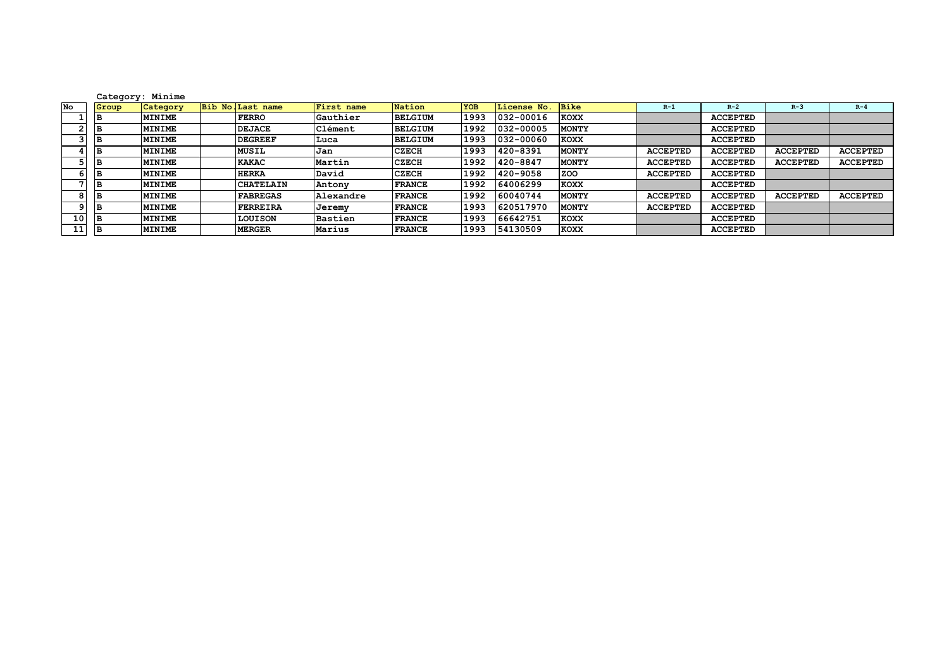|    | Category: Minime |               |                   |                |                |            |             |              |                 |                 |                 |                 |
|----|------------------|---------------|-------------------|----------------|----------------|------------|-------------|--------------|-----------------|-----------------|-----------------|-----------------|
| No | Group            | Category      | Bib No. Last name | First name     | Nation         | <b>YOB</b> | License No. | <b>Bike</b>  | $R-1$           | $R-2$           | $R-3$           | $R - 4$         |
|    | IВ               | <b>MINIME</b> | <b>FERRO</b>      | Gauthier       | <b>BELGIUM</b> | 1993       | 032-00016   | <b>KOXX</b>  |                 | <b>ACCEPTED</b> |                 |                 |
|    | ıв               | <b>MINIME</b> | <b>DEJACE</b>     | <b>Clément</b> | <b>BELGIUM</b> | 1992       | 032-00005   | <b>MONTY</b> |                 | <b>ACCEPTED</b> |                 |                 |
|    | B                | <b>MINIME</b> | <b>DEGREEF</b>    | Luca           | <b>BELGIUM</b> | 1993       | 032-00060   | <b>KOXX</b>  |                 | <b>ACCEPTED</b> |                 |                 |
|    | IB.              | MINIME        | <b>MUSIL</b>      | Jan            | <b>CZECH</b>   | 1993       | 420-8391    | <b>MONTY</b> | <b>ACCEPTED</b> | <b>ACCEPTED</b> | <b>ACCEPTED</b> | <b>ACCEPTED</b> |
|    | Е                | MINIME        | KAKAC             | Martin         | <b>CZECH</b>   | 1992       | 420-8847    | <b>MONTY</b> | <b>ACCEPTED</b> | <b>ACCEPTED</b> | <b>ACCEPTED</b> | <b>ACCEPTED</b> |
|    |                  | <b>MINIME</b> | <b>HERKA</b>      | David          | <b>CZECH</b>   | 1992       | 420-9058    | <b>ZOO</b>   | <b>ACCEPTED</b> | <b>ACCEPTED</b> |                 |                 |
|    | IB.              | <b>MINIME</b> | <b>CHATELAIN</b>  | Antony         | <b>FRANCE</b>  | 1992       | 64006299    | <b>KOXX</b>  |                 | <b>ACCEPTED</b> |                 |                 |
|    | B                | <b>MINIME</b> | <b>FABREGAS</b>   | Alexandre      | <b>FRANCE</b>  | 1992       | 60040744    | <b>MONTY</b> | <b>ACCEPTED</b> | <b>ACCEPTED</b> | <b>ACCEPTED</b> | <b>ACCEPTED</b> |
|    | IB.              | MINIME        | FERREIRA          | Jeremy         | <b>FRANCE</b>  | 1993       | 620517970   | <b>MONTY</b> | <b>ACCEPTED</b> | <b>ACCEPTED</b> |                 |                 |
| 10 | ıв               | MINIME        | LOUISON           | Bastien        | <b>FRANCE</b>  | 1993       | 66642751    | KOXX         |                 | <b>ACCEPTED</b> |                 |                 |
| 11 | IВ               | <b>MINIME</b> | <b>MERGER</b>     | Marius         | <b>FRANCE</b>  | 1993       | 54130509    | <b>KOXX</b>  |                 | <b>ACCEPTED</b> |                 |                 |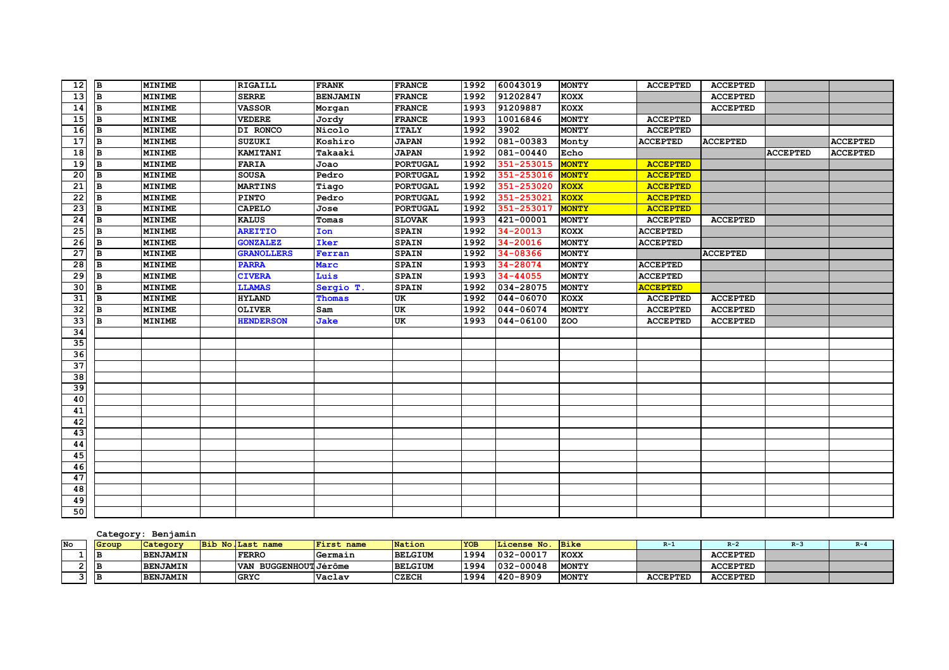| 12              | lВ.      | <b>MINIME</b> | RIGAILL           | <b>FRANK</b>    | <b>FRANCE</b>   | 1992 | 60043019             | <b>MONTY</b> | <b>ACCEPTED</b> | <b>ACCEPTED</b> |                 |                 |
|-----------------|----------|---------------|-------------------|-----------------|-----------------|------|----------------------|--------------|-----------------|-----------------|-----------------|-----------------|
| 13              | <b>B</b> | <b>MINIME</b> | <b>SERRE</b>      | <b>BENJAMIN</b> | <b>FRANCE</b>   | 1992 | 91202847             | <b>KOXX</b>  |                 | <b>ACCEPTED</b> |                 |                 |
| 14              | B        | <b>MINIME</b> | <b>VASSOR</b>     | Morgan          | <b>FRANCE</b>   | 1993 | 91209887             | <b>KOXX</b>  |                 | <b>ACCEPTED</b> |                 |                 |
| 15              | B        | <b>MINIME</b> | <b>VEDERE</b>     | Jordy           | <b>FRANCE</b>   | 1993 | 10016846             | <b>MONTY</b> | <b>ACCEPTED</b> |                 |                 |                 |
| 16              | lв       | <b>MINIME</b> | DI RONCO          | Nicolo          | <b>ITALY</b>    | 1992 | 3902                 | <b>MONTY</b> | <b>ACCEPTED</b> |                 |                 |                 |
| 17              | B        | <b>MINIME</b> | <b>SUZUKI</b>     | Koshiro         | <b>JAPAN</b>    | 1992 | $\sqrt{081 - 00383}$ | Monty        | <b>ACCEPTED</b> | <b>ACCEPTED</b> |                 | <b>ACCEPTED</b> |
| 18              | B        | <b>MINIME</b> | KAMITANI          | Takaaki         | <b>JAPAN</b>    | 1992 | 081-00440            | Echo         |                 |                 | <b>ACCEPTED</b> | <b>ACCEPTED</b> |
| $\overline{19}$ | B        | <b>MINIME</b> | <b>FARIA</b>      | Joao            | <b>PORTUGAL</b> | 1992 | 351-253015           | <b>MONTY</b> | <b>ACCEPTED</b> |                 |                 |                 |
| 20              | B        | <b>MINIME</b> | <b>SOUSA</b>      | Pedro           | <b>PORTUGAL</b> | 1992 | 351-253016           | <b>MONTY</b> | <b>ACCEPTED</b> |                 |                 |                 |
| 21              | B        | <b>MINIME</b> | <b>MARTINS</b>    | Tiago           | <b>PORTUGAL</b> | 1992 | 351-253020           | <b>KOXX</b>  | <b>ACCEPTED</b> |                 |                 |                 |
| $\overline{22}$ | B        | <b>MINIME</b> | <b>PINTO</b>      | Pedro           | <b>PORTUGAL</b> | 1992 | 351-253021           | KOXX         | <b>ACCEPTED</b> |                 |                 |                 |
| $\overline{23}$ | B        | <b>MINIME</b> | <b>CAPELO</b>     | Jose            | <b>PORTUGAL</b> | 1992 | 351-253017           | <b>MONTY</b> | <b>ACCEPTED</b> |                 |                 |                 |
| $\overline{24}$ | B        | <b>MINIME</b> | <b>KALUS</b>      | Tomas           | <b>SLOVAK</b>   | 1993 | 421-00001            | <b>MONTY</b> | <b>ACCEPTED</b> | <b>ACCEPTED</b> |                 |                 |
| 25              | B        | <b>MINIME</b> | <b>AREITIO</b>    | Ion             | <b>SPAIN</b>    | 1992 | 34-20013             | <b>KOXX</b>  | <b>ACCEPTED</b> |                 |                 |                 |
| 26              | B        | <b>MINIME</b> | <b>GONZALEZ</b>   | Iker            | <b>SPAIN</b>    | 1992 | 34-20016             | <b>MONTY</b> | <b>ACCEPTED</b> |                 |                 |                 |
| 27              | B        | <b>MINIME</b> | <b>GRANOLLERS</b> | Ferran          | <b>SPAIN</b>    | 1992 | 34-08366             | <b>MONTY</b> |                 | <b>ACCEPTED</b> |                 |                 |
| 28              | B        | <b>MINIME</b> | <b>PARRA</b>      | Marc            | <b>SPAIN</b>    | 1993 | 34-28074             | <b>MONTY</b> | <b>ACCEPTED</b> |                 |                 |                 |
| 29              | B        | <b>MINIME</b> | <b>CIVERA</b>     | Luis            | <b>SPAIN</b>    | 1993 | 34-44055             | <b>MONTY</b> | <b>ACCEPTED</b> |                 |                 |                 |
| 30              | B        | <b>MINIME</b> | <b>LLAMAS</b>     | Sergio T.       | <b>SPAIN</b>    | 1992 | 034-28075            | <b>MONTY</b> | <b>ACCEPTED</b> |                 |                 |                 |
| 31              | B        | <b>MINIME</b> | <b>HYLAND</b>     | Thomas          | UK              | 1992 | 044-06070            | <b>KOXX</b>  | <b>ACCEPTED</b> | <b>ACCEPTED</b> |                 |                 |
| 32              | B        | <b>MINIME</b> | <b>OLIVER</b>     | Sam             | UK              | 1992 | 044-06074            | <b>MONTY</b> | <b>ACCEPTED</b> | <b>ACCEPTED</b> |                 |                 |
| 33              | B        | <b>MINIME</b> | <b>HENDERSON</b>  | Jake            | UK              | 1993 | 044-06100            | ZOO          | <b>ACCEPTED</b> | <b>ACCEPTED</b> |                 |                 |
| $\overline{34}$ |          |               |                   |                 |                 |      |                      |              |                 |                 |                 |                 |
| 35              |          |               |                   |                 |                 |      |                      |              |                 |                 |                 |                 |
| $\overline{36}$ |          |               |                   |                 |                 |      |                      |              |                 |                 |                 |                 |
| 37              |          |               |                   |                 |                 |      |                      |              |                 |                 |                 |                 |
| 38              |          |               |                   |                 |                 |      |                      |              |                 |                 |                 |                 |
| 39              |          |               |                   |                 |                 |      |                      |              |                 |                 |                 |                 |
| 40              |          |               |                   |                 |                 |      |                      |              |                 |                 |                 |                 |
| 41              |          |               |                   |                 |                 |      |                      |              |                 |                 |                 |                 |
| 42              |          |               |                   |                 |                 |      |                      |              |                 |                 |                 |                 |
| 43              |          |               |                   |                 |                 |      |                      |              |                 |                 |                 |                 |
| 44              |          |               |                   |                 |                 |      |                      |              |                 |                 |                 |                 |
| 45              |          |               |                   |                 |                 |      |                      |              |                 |                 |                 |                 |
| 46              |          |               |                   |                 |                 |      |                      |              |                 |                 |                 |                 |
| 47              |          |               |                   |                 |                 |      |                      |              |                 |                 |                 |                 |
| 48              |          |               |                   |                 |                 |      |                      |              |                 |                 |                 |                 |
| 49              |          |               |                   |                 |                 |      |                      |              |                 |                 |                 |                 |
| 50              |          |               |                   |                 |                 |      |                      |              |                 |                 |                 |                 |

### **Category: Benjamin**

| Nο | Group | Category        | Bib No. Last name               | First name | Nation         | <b>YOB</b> | License No.    | <b>Bike</b>  | R-1             |                 | $R-4$ |
|----|-------|-----------------|---------------------------------|------------|----------------|------------|----------------|--------------|-----------------|-----------------|-------|
|    | IВ    | <b>BENJAMIN</b> | <b>FERRO</b>                    | Germain    | <b>BELGIUM</b> | 1994       | 032-00017      | KOXX         |                 | <b>ACCEPTED</b> |       |
|    | IВ    | <b>BENJAMIN</b> | BUGGENHOUT Jérôme<br><b>VAN</b> |            | <b>BELGIUM</b> | 1994       | $1032 - 00048$ | <b>MONTY</b> |                 | <b>ACCEPTED</b> |       |
|    | ΙE    | <b>BENJAMIN</b> | <b>GRYC</b>                     | Vaclav     | <b>CZECH</b>   | 1994       | 420-8909       | <b>MONTY</b> | <b>ACCEPTED</b> | <b>ACCEPTED</b> |       |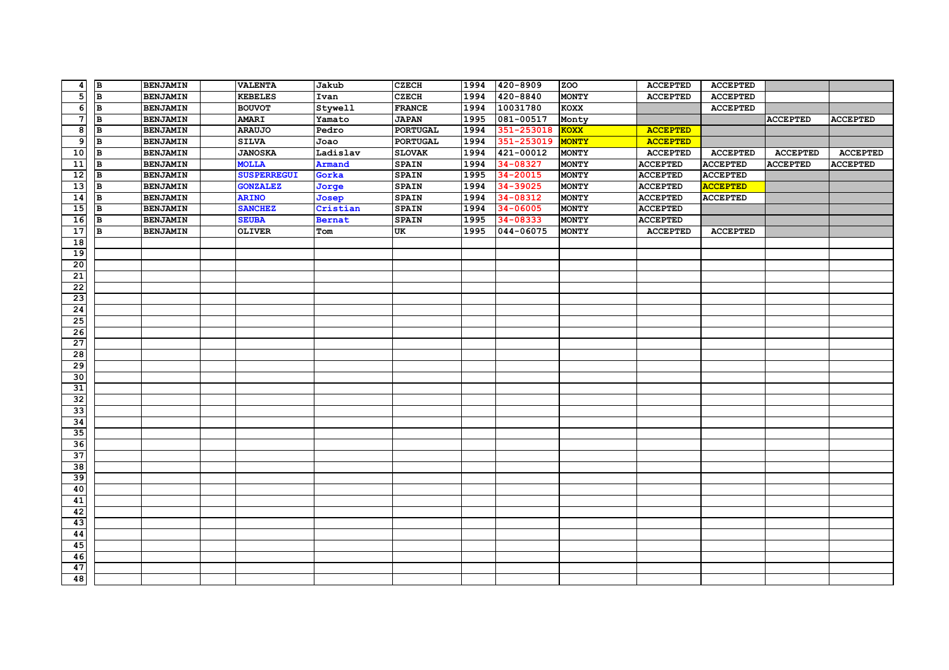| $\boldsymbol{4}$        | B              | <b>BENJAMIN</b> | <b>VALENTA</b>     | Jakub         | <b>CZECH</b>    | 1994 | 420-8909      | <b>ZOO</b>   | <b>ACCEPTED</b> | <b>ACCEPTED</b> |                 |                 |
|-------------------------|----------------|-----------------|--------------------|---------------|-----------------|------|---------------|--------------|-----------------|-----------------|-----------------|-----------------|
| $\overline{\mathbf{5}}$ | $\overline{B}$ | <b>BENJAMIN</b> | <b>KEBELES</b>     | Ivan          | <b>CZECH</b>    | 1994 | 420-8840      | <b>MONTY</b> | <b>ACCEPTED</b> | <b>ACCEPTED</b> |                 |                 |
| $\overline{\mathbf{6}}$ | lв             | <b>BENJAMIN</b> | <b>BOUVOT</b>      | Stywell       | <b>FRANCE</b>   | 1994 | 10031780      | KOXX         |                 | <b>ACCEPTED</b> |                 |                 |
| 7                       | lв             | <b>BENJAMIN</b> | <b>AMARI</b>       | Yamato        | <b>JAPAN</b>    | 1995 | 081-00517     | Monty        |                 |                 | <b>ACCEPTED</b> | <b>ACCEPTED</b> |
| 8                       | B              | <b>BENJAMIN</b> | <b>ARAUJO</b>      | Pedro         | <b>PORTUGAL</b> | 1994 | 351-253018    | <b>KOXX</b>  | <b>ACCEPTED</b> |                 |                 |                 |
| $\overline{9}$          | B              | <b>BENJAMIN</b> | <b>SILVA</b>       | Joao          | <b>PORTUGAL</b> | 1994 | 351-253019    | <b>MONTY</b> | <b>ACCEPTED</b> |                 |                 |                 |
| 10                      | B              | <b>BENJAMIN</b> | <b>JANOSKA</b>     | Ladislav      | <b>SLOVAK</b>   | 1994 | $421 - 00012$ | <b>MONTY</b> | <b>ACCEPTED</b> | <b>ACCEPTED</b> | <b>ACCEPTED</b> | <b>ACCEPTED</b> |
| $\overline{11}$         | lв             | <b>BENJAMIN</b> | <b>MOLLA</b>       | <b>Armand</b> | <b>SPAIN</b>    | 1994 | 34-08327      | <b>MONTY</b> | <b>ACCEPTED</b> | <b>ACCEPTED</b> | <b>ACCEPTED</b> | <b>ACCEPTED</b> |
| 12                      | lВ.            | <b>BENJAMIN</b> | <b>SUSPERREGUI</b> | Gorka         | <b>SPAIN</b>    | 1995 | $34 - 20015$  | <b>MONTY</b> | <b>ACCEPTED</b> | <b>ACCEPTED</b> |                 |                 |
| $\overline{13}$         | B              | <b>BENJAMIN</b> | <b>GONZALEZ</b>    | Jorge         | <b>SPAIN</b>    | 1994 | 34-39025      | <b>MONTY</b> | <b>ACCEPTED</b> | <b>ACCEPTED</b> |                 |                 |
| 14                      | B              | <b>BENJAMIN</b> | <b>ARINO</b>       | Josep         | <b>SPAIN</b>    | 1994 | $34 - 08312$  | <b>MONTY</b> | <b>ACCEPTED</b> | <b>ACCEPTED</b> |                 |                 |
| $\overline{15}$         | lв             | <b>BENJAMIN</b> | <b>SANCHEZ</b>     | Cristian      | <b>SPAIN</b>    | 1994 | 34-06005      | <b>MONTY</b> | <b>ACCEPTED</b> |                 |                 |                 |
| 16                      | B              | <b>BENJAMIN</b> | <b>SEUBA</b>       | <b>Bernat</b> | <b>SPAIN</b>    | 1995 | 34-08333      | <b>MONTY</b> | <b>ACCEPTED</b> |                 |                 |                 |
| 17                      | B              | <b>BENJAMIN</b> | <b>OLIVER</b>      | Tom           | UK              | 1995 | 044-06075     | <b>MONTY</b> | <b>ACCEPTED</b> | <b>ACCEPTED</b> |                 |                 |
| 18                      |                |                 |                    |               |                 |      |               |              |                 |                 |                 |                 |
| 19                      |                |                 |                    |               |                 |      |               |              |                 |                 |                 |                 |
| 20                      |                |                 |                    |               |                 |      |               |              |                 |                 |                 |                 |
| 21                      |                |                 |                    |               |                 |      |               |              |                 |                 |                 |                 |
| 22                      |                |                 |                    |               |                 |      |               |              |                 |                 |                 |                 |
| 23                      |                |                 |                    |               |                 |      |               |              |                 |                 |                 |                 |
| 24                      |                |                 |                    |               |                 |      |               |              |                 |                 |                 |                 |
| 25                      |                |                 |                    |               |                 |      |               |              |                 |                 |                 |                 |
| 26                      |                |                 |                    |               |                 |      |               |              |                 |                 |                 |                 |
| $\overline{27}$         |                |                 |                    |               |                 |      |               |              |                 |                 |                 |                 |
| $\overline{28}$         |                |                 |                    |               |                 |      |               |              |                 |                 |                 |                 |
| 29                      |                |                 |                    |               |                 |      |               |              |                 |                 |                 |                 |
| 30                      |                |                 |                    |               |                 |      |               |              |                 |                 |                 |                 |
| 31                      |                |                 |                    |               |                 |      |               |              |                 |                 |                 |                 |
| 32                      |                |                 |                    |               |                 |      |               |              |                 |                 |                 |                 |
| 33                      |                |                 |                    |               |                 |      |               |              |                 |                 |                 |                 |
| 34                      |                |                 |                    |               |                 |      |               |              |                 |                 |                 |                 |
| 35                      |                |                 |                    |               |                 |      |               |              |                 |                 |                 |                 |
| 36                      |                |                 |                    |               |                 |      |               |              |                 |                 |                 |                 |
| 37                      |                |                 |                    |               |                 |      |               |              |                 |                 |                 |                 |
| 38                      |                |                 |                    |               |                 |      |               |              |                 |                 |                 |                 |
| 39                      |                |                 |                    |               |                 |      |               |              |                 |                 |                 |                 |
| 40                      |                |                 |                    |               |                 |      |               |              |                 |                 |                 |                 |
| 41                      |                |                 |                    |               |                 |      |               |              |                 |                 |                 |                 |
| 42                      |                |                 |                    |               |                 |      |               |              |                 |                 |                 |                 |
| 43                      |                |                 |                    |               |                 |      |               |              |                 |                 |                 |                 |
| 44                      |                |                 |                    |               |                 |      |               |              |                 |                 |                 |                 |
| 45                      |                |                 |                    |               |                 |      |               |              |                 |                 |                 |                 |
| 46                      |                |                 |                    |               |                 |      |               |              |                 |                 |                 |                 |
| 47                      |                |                 |                    |               |                 |      |               |              |                 |                 |                 |                 |
| 48                      |                |                 |                    |               |                 |      |               |              |                 |                 |                 |                 |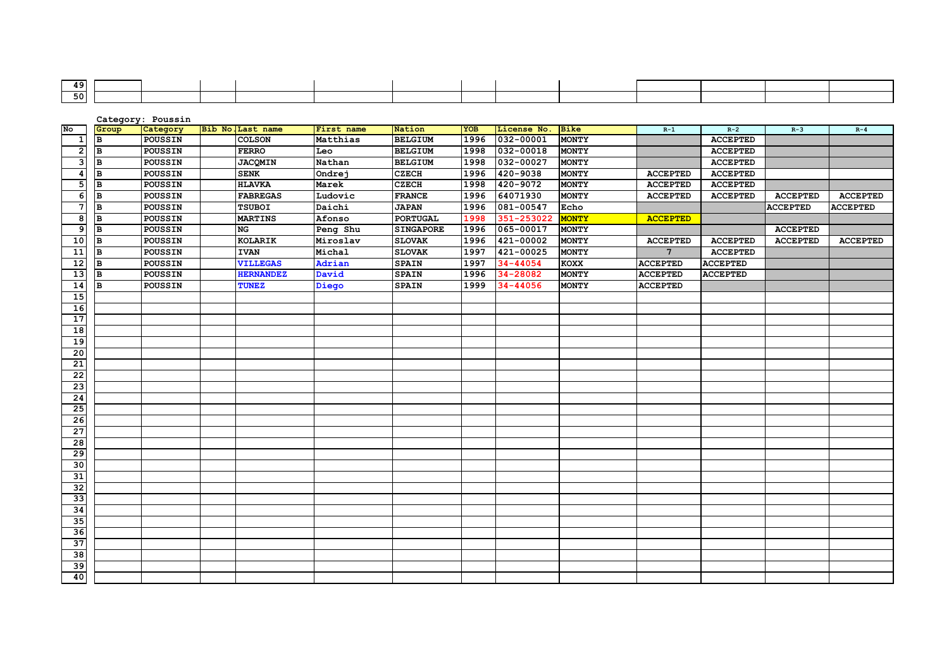| 49.  |  |  |  |  |  |  |  |
|------|--|--|--|--|--|--|--|
| 50 L |  |  |  |  |  |  |  |

**Category: Poussin No Group Category Bib No.Last name First name Nation YOB License No. Bike R-1 R-2 R-3 R-4 B POUSSIN COLSON Matthias BELGIUM 1996 032-00001 MONTY ACCEPTED B POUSSIN FERRO Leo BELGIUM 1998 032-00018 MONTY ACCEPTED B POUSSIN JACQMIN Nathan BELGIUM 1998 032-00027 MONTY ACCEPTED <sup>B</sup> POUSSIN SENK Ondrej CZECH 1996 420-9038 MONTY ACCEPTED ACCEPTED B POUSSIN HLAVKA Marek CZECH 1998 420-9072 MONTY ACCEPTED ACCEPTED**6||B ||POUSSIN | ||FABREGAS ||Ludovic ||FRANCE ||1996||64071930 ||MONTY || ACCEPTED || ACCEPTED || ACCEPTED || ACCEPTED  **B POUSSIN TSUBOI Daichi JAPAN 1996 081-00547 Echo ACCEPTED ACCEPTEDACCEPTED B POUSSIN MARTINS Afonso PORTUGAL 1998 351-253022 MONTY ACCEPTED <sup>B</sup> POUSSIN NG Peng Shu SINGAPORE 1996 065-00017 MONTY ACCEPTED** 10||B ||POUSSIN | ||KOLARIK ||Miroslav ||SLOVAK ||1996||421-00002||MONTY || ACCEPTED || ACCEPTED || ACCEPTED |  **B POUSSIN IVAN Michal SLOVAK 1997 421-00025 MONTY 7 ACCEPTED B POUSSIN VILLEGAS Adrian SPAIN 1997 34-44054 KOXX ACCEPTED ACCEPTED B POUSSIN HERNANDEZ David SPAIN 1996 34-28082 MONTY ACCEPTED ACCEPTED B POUSSIN TUNEZ Diego SPAIN 1999 34-44056 MONTY ACCEPTED**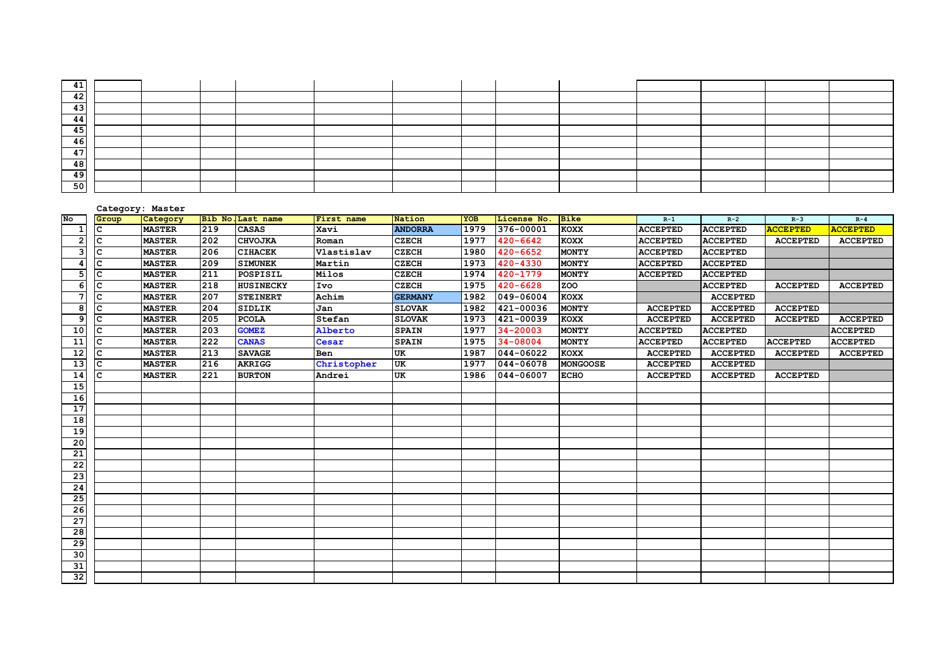| 41        |  |  |  |  |  |  |  |
|-----------|--|--|--|--|--|--|--|
| 42        |  |  |  |  |  |  |  |
| 43        |  |  |  |  |  |  |  |
| 44        |  |  |  |  |  |  |  |
| 45        |  |  |  |  |  |  |  |
| 46        |  |  |  |  |  |  |  |
| 47<br>- 1 |  |  |  |  |  |  |  |
| 48        |  |  |  |  |  |  |  |
| 49        |  |  |  |  |  |  |  |
| <b>50</b> |  |  |  |  |  |  |  |

|                 |              | Category: Master |     |                   |             |                |            |              |                 |                 |                 |                 |                 |
|-----------------|--------------|------------------|-----|-------------------|-------------|----------------|------------|--------------|-----------------|-----------------|-----------------|-----------------|-----------------|
| No              | Group        | Category         |     | Bib No. Last name | First name  | Nation         | <b>YOB</b> | License No.  | <b>Bike</b>     | $R-1$           | $R-2$           | $R-3$           | $R - 4$         |
| $\mathbf{1}$    | С            | <b>MASTER</b>    | 219 | <b>CASAS</b>      | Xavi        | <b>ANDORRA</b> | 1979       | 376-00001    | <b>KOXX</b>     | <b>ACCEPTED</b> | <b>ACCEPTED</b> | <b>ACCEPTED</b> | <b>ACCEPTED</b> |
| $\overline{2}$  | C            | <b>MASTER</b>    | 202 | <b>CHVOJKA</b>    | Roman       | <b>CZECH</b>   | 1977       | $420 - 6642$ | <b>KOXX</b>     | <b>ACCEPTED</b> | <b>ACCEPTED</b> | <b>ACCEPTED</b> | <b>ACCEPTED</b> |
| 3               | C            | <b>MASTER</b>    | 206 | <b>CIHACEK</b>    | Vlastislav  | <b>CZECH</b>   | 1980       | $420 - 6652$ | <b>MONTY</b>    | <b>ACCEPTED</b> | <b>ACCEPTED</b> |                 |                 |
| 4               | C            | <b>MASTER</b>    | 209 | <b>SIMUNEK</b>    | Martin      | <b>CZECH</b>   | 1973       | $420 - 4330$ | <b>MONTY</b>    | <b>ACCEPTED</b> | <b>ACCEPTED</b> |                 |                 |
| 5               | С            | <b>MASTER</b>    | 211 | POSPISIL          | Milos       | <b>CZECH</b>   | 1974       | 420-1779     | <b>MONTY</b>    | <b>ACCEPTED</b> | <b>ACCEPTED</b> |                 |                 |
| 6               | C            | <b>MASTER</b>    | 218 | <b>HUSINECKY</b>  | Ivo         | <b>CZECH</b>   | 1975       | $420 - 6628$ | <b>ZOO</b>      |                 | <b>ACCEPTED</b> | <b>ACCEPTED</b> | <b>ACCEPTED</b> |
| $\overline{7}$  | C            | <b>MASTER</b>    | 207 | <b>STEINERT</b>   | Achim       | <b>GERMANY</b> | 1982       | 049-06004    | <b>KOXX</b>     |                 | <b>ACCEPTED</b> |                 |                 |
| 8               | Iс           | <b>MASTER</b>    | 204 | SIDLIK            | Jan         | <b>SLOVAK</b>  | 1982       | 421-00036    | <b>MONTY</b>    | <b>ACCEPTED</b> | <b>ACCEPTED</b> | <b>ACCEPTED</b> |                 |
| 9               | lc.          | <b>MASTER</b>    | 205 | <b>PCOLA</b>      | Stefan      | <b>SLOVAK</b>  | 1973       | 421-00039    | <b>KOXX</b>     | <b>ACCEPTED</b> | <b>ACCEPTED</b> | <b>ACCEPTED</b> | <b>ACCEPTED</b> |
| 10              | lc.          | <b>MASTER</b>    | 203 | <b>GOMEZ</b>      | Alberto     | <b>SPAIN</b>   | 1977       | 34-20003     | <b>MONTY</b>    | <b>ACCEPTED</b> | <b>ACCEPTED</b> |                 | <b>ACCEPTED</b> |
| 11              | C            | <b>MASTER</b>    | 222 | <b>CANAS</b>      | Cesar       | <b>SPAIN</b>   | 1975       | 34-08004     | <b>MONTY</b>    | <b>ACCEPTED</b> | <b>ACCEPTED</b> | <b>ACCEPTED</b> | <b>ACCEPTED</b> |
| 12              | C            | <b>MASTER</b>    | 213 | <b>SAVAGE</b>     | Ben         | UK             | 1987       | 044-06022    | <b>KOXX</b>     | <b>ACCEPTED</b> | <b>ACCEPTED</b> | <b>ACCEPTED</b> | <b>ACCEPTED</b> |
| 13              | C            | <b>MASTER</b>    | 216 | <b>AKRIGG</b>     | Christopher | UK             | 1977       | 044-06078    | <b>MONGOOSE</b> | <b>ACCEPTED</b> | <b>ACCEPTED</b> |                 |                 |
| 14              | $\mathbf{C}$ | <b>MASTER</b>    | 221 | <b>BURTON</b>     | Andrei      | UK             | 1986       | 044-06007    | <b>ECHO</b>     | <b>ACCEPTED</b> | <b>ACCEPTED</b> | <b>ACCEPTED</b> |                 |
| 15              |              |                  |     |                   |             |                |            |              |                 |                 |                 |                 |                 |
| 16              |              |                  |     |                   |             |                |            |              |                 |                 |                 |                 |                 |
| 17              |              |                  |     |                   |             |                |            |              |                 |                 |                 |                 |                 |
| 18              |              |                  |     |                   |             |                |            |              |                 |                 |                 |                 |                 |
| 19              |              |                  |     |                   |             |                |            |              |                 |                 |                 |                 |                 |
| 20              |              |                  |     |                   |             |                |            |              |                 |                 |                 |                 |                 |
| 21              |              |                  |     |                   |             |                |            |              |                 |                 |                 |                 |                 |
| 22              |              |                  |     |                   |             |                |            |              |                 |                 |                 |                 |                 |
| 23              |              |                  |     |                   |             |                |            |              |                 |                 |                 |                 |                 |
| 24              |              |                  |     |                   |             |                |            |              |                 |                 |                 |                 |                 |
| 25              |              |                  |     |                   |             |                |            |              |                 |                 |                 |                 |                 |
| 26              |              |                  |     |                   |             |                |            |              |                 |                 |                 |                 |                 |
| 27              |              |                  |     |                   |             |                |            |              |                 |                 |                 |                 |                 |
| 28              |              |                  |     |                   |             |                |            |              |                 |                 |                 |                 |                 |
| 29              |              |                  |     |                   |             |                |            |              |                 |                 |                 |                 |                 |
| $\overline{30}$ |              |                  |     |                   |             |                |            |              |                 |                 |                 |                 |                 |
| 31              |              |                  |     |                   |             |                |            |              |                 |                 |                 |                 |                 |
| 32              |              |                  |     |                   |             |                |            |              |                 |                 |                 |                 |                 |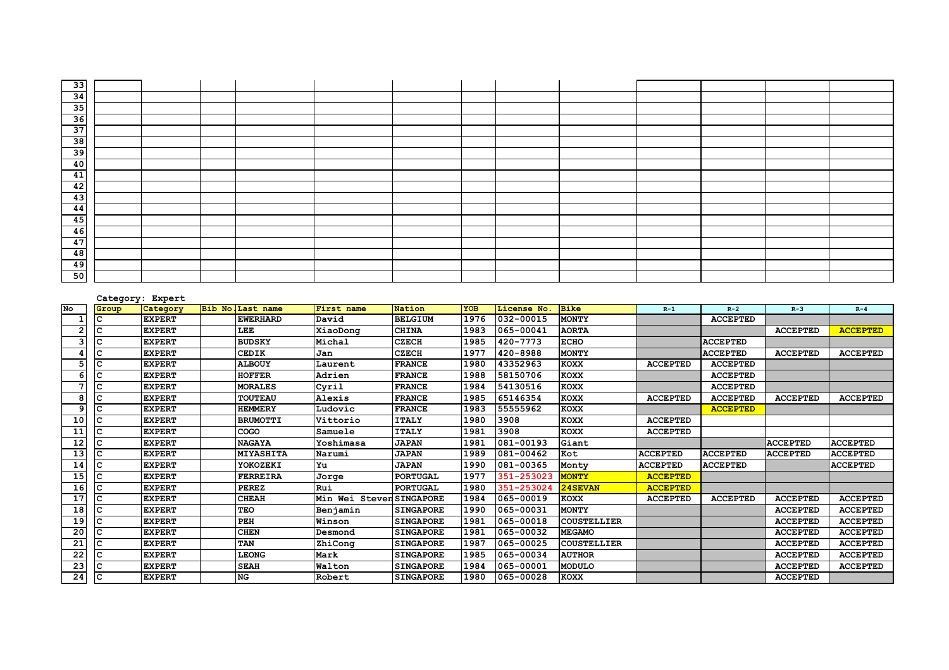| 33                                                            |  |  |  |  |  |  |  |
|---------------------------------------------------------------|--|--|--|--|--|--|--|
|                                                               |  |  |  |  |  |  |  |
| $\begin{array}{ c c }\n\hline\n34 \\ \hline\n35\n\end{array}$ |  |  |  |  |  |  |  |
| $\frac{36}{37}$                                               |  |  |  |  |  |  |  |
|                                                               |  |  |  |  |  |  |  |
| 38                                                            |  |  |  |  |  |  |  |
| $\frac{1}{39}$                                                |  |  |  |  |  |  |  |
| $\frac{1}{40}$                                                |  |  |  |  |  |  |  |
| $\frac{41}{42}$                                               |  |  |  |  |  |  |  |
|                                                               |  |  |  |  |  |  |  |
| 43                                                            |  |  |  |  |  |  |  |
| 44                                                            |  |  |  |  |  |  |  |
| 45                                                            |  |  |  |  |  |  |  |
| 46                                                            |  |  |  |  |  |  |  |
| $\frac{1}{47}$                                                |  |  |  |  |  |  |  |
| 48                                                            |  |  |  |  |  |  |  |
| 49                                                            |  |  |  |  |  |  |  |
| 50                                                            |  |  |  |  |  |  |  |

#### **Category: Expert**

| No              | Group | Category      | Bib No. Last name | First name                 | Nation           | YOB  | License No. | <b>Bike</b>   | $R-1$           | $R-2$           | $R-3$           | $R - 4$         |
|-----------------|-------|---------------|-------------------|----------------------------|------------------|------|-------------|---------------|-----------------|-----------------|-----------------|-----------------|
|                 | c     | <b>EXPERT</b> | <b>EWERHARD</b>   | David                      | <b>BELGIUM</b>   | 1976 | 032-00015   | <b>MONTY</b>  |                 | <b>ACCEPTED</b> |                 |                 |
|                 |       | <b>EXPERT</b> | LEE               | XiaoDong                   | <b>CHINA</b>     | 1983 | 065-00041   | <b>AORTA</b>  |                 |                 | <b>ACCEPTED</b> | <b>ACCEPTED</b> |
|                 |       | <b>EXPERT</b> | <b>BUDSKY</b>     | Michal                     | <b>CZECH</b>     | 1985 | 420-7773    | <b>ECHO</b>   |                 | <b>ACCEPTED</b> |                 |                 |
|                 |       | <b>EXPERT</b> | <b>CEDIK</b>      | Jan                        | <b>CZECH</b>     | 1977 | 420-8988    | <b>MONTY</b>  |                 | <b>ACCEPTED</b> | <b>ACCEPTED</b> | <b>ACCEPTED</b> |
|                 | C     | <b>EXPERT</b> | <b>ALBOUY</b>     | Laurent                    | <b>FRANCE</b>    | 1980 | 43352963    | <b>KOXX</b>   | <b>ACCEPTED</b> | <b>ACCEPTED</b> |                 |                 |
|                 |       | <b>EXPERT</b> | <b>HOFFER</b>     | Adrien                     | <b>FRANCE</b>    | 1988 | 58150706    | <b>KOXX</b>   |                 | <b>ACCEPTED</b> |                 |                 |
|                 | C     | <b>EXPERT</b> | <b>MORALES</b>    | Cyril                      | <b>FRANCE</b>    | 1984 | 54130516    | <b>KOXX</b>   |                 | <b>ACCEPTED</b> |                 |                 |
| 8               |       | <b>EXPERT</b> | <b>TOUTEAU</b>    | Alexis                     | <b>FRANCE</b>    | 1985 | 65146354    | <b>KOXX</b>   | <b>ACCEPTED</b> | <b>ACCEPTED</b> | <b>ACCEPTED</b> | <b>ACCEPTED</b> |
|                 |       | <b>EXPERT</b> | <b>HEMMERY</b>    | Ludovic                    | <b>FRANCE</b>    | 1983 | 55555962    | <b>KOXX</b>   |                 | <b>ACCEPTED</b> |                 |                 |
| 10              |       | <b>EXPERT</b> | <b>BRUMOTTI</b>   | Vittorio                   | <b>ITALY</b>     | 1980 | 3908        | <b>KOXX</b>   | <b>ACCEPTED</b> |                 |                 |                 |
| 11              |       | <b>EXPERT</b> | COGO              | Samuele                    | <b>ITALY</b>     | 1981 | 3908        | <b>KOXX</b>   | <b>ACCEPTED</b> |                 |                 |                 |
| 12              |       | <b>EXPERT</b> | <b>NAGAYA</b>     | Yoshimasa                  | <b>JAPAN</b>     | 1981 | 081-00193   | Giant         |                 |                 | <b>ACCEPTED</b> | <b>ACCEPTED</b> |
| 13              |       | <b>EXPERT</b> | <b>MIYASHITA</b>  | Narumi                     | <b>JAPAN</b>     | 1989 | 081-00462   | Kot           | <b>ACCEPTED</b> | <b>ACCEPTED</b> | <b>ACCEPTED</b> | <b>ACCEPTED</b> |
| 14              |       | <b>EXPERT</b> | YOKOZEKI          | Yu                         | <b>JAPAN</b>     | 1990 | 081-00365   | Monty         | <b>ACCEPTED</b> | <b>ACCEPTED</b> |                 | <b>ACCEPTED</b> |
| 15              |       | <b>EXPERT</b> | <b>FERREIRA</b>   | Jorge                      | <b>PORTUGAL</b>  | 1977 | 351-253023  | <b>MONTY</b>  | <b>ACCEPTED</b> |                 |                 |                 |
| 16              |       | <b>EXPERT</b> | <b>PEREZ</b>      | Rui                        | <b>PORTUGAL</b>  | 1980 | 351-253024  | 24SEVAN       | <b>ACCEPTED</b> |                 |                 |                 |
| 17              |       | <b>EXPERT</b> | <b>CHEAH</b>      | Wei StevenSINGAPORE<br>Min |                  | 1984 | 065-00019   | <b>KOXX</b>   | <b>ACCEPTED</b> | <b>ACCEPTED</b> | <b>ACCEPTED</b> | <b>ACCEPTED</b> |
| 18              |       | <b>EXPERT</b> | TEO               | Benjamin                   | <b>SINGAPORE</b> | 1990 | 065-00031   | <b>MONTY</b>  |                 |                 | <b>ACCEPTED</b> | <b>ACCEPTED</b> |
| 19              |       | <b>EXPERT</b> | PEH               | Winson                     | <b>SINGAPORE</b> | 1981 | 065-00018   | COUSTELLIER   |                 |                 | <b>ACCEPTED</b> | <b>ACCEPTED</b> |
| 20              |       | <b>EXPERT</b> | <b>CHEN</b>       | Desmond                    | <b>SINGAPORE</b> | 1981 | 065-00032   | <b>MEGAMO</b> |                 |                 | <b>ACCEPTED</b> | <b>ACCEPTED</b> |
| 21              |       | <b>EXPERT</b> | TAN               | ZhiCong                    | <b>SINGAPORE</b> | 1987 | 065-00025   | COUSTELLIER   |                 |                 | <b>ACCEPTED</b> | <b>ACCEPTED</b> |
| $\overline{22}$ |       | <b>EXPERT</b> | <b>LEONG</b>      | Mark                       | <b>SINGAPORE</b> | 1985 | 065-00034   | <b>AUTHOR</b> |                 |                 | <b>ACCEPTED</b> | <b>ACCEPTED</b> |
| $\overline{23}$ |       | <b>EXPERT</b> | <b>SEAH</b>       | Walton                     | <b>SINGAPORE</b> | 1984 | 065-00001   | <b>MODULO</b> |                 |                 | <b>ACCEPTED</b> | <b>ACCEPTED</b> |
| 24              | C     | <b>EXPERT</b> | <b>NG</b>         | Robert                     | <b>SINGAPORE</b> | 1980 | 065-00028   | <b>KOXX</b>   |                 |                 | <b>ACCEPTED</b> |                 |
|                 |       |               |                   |                            |                  |      |             |               |                 |                 |                 |                 |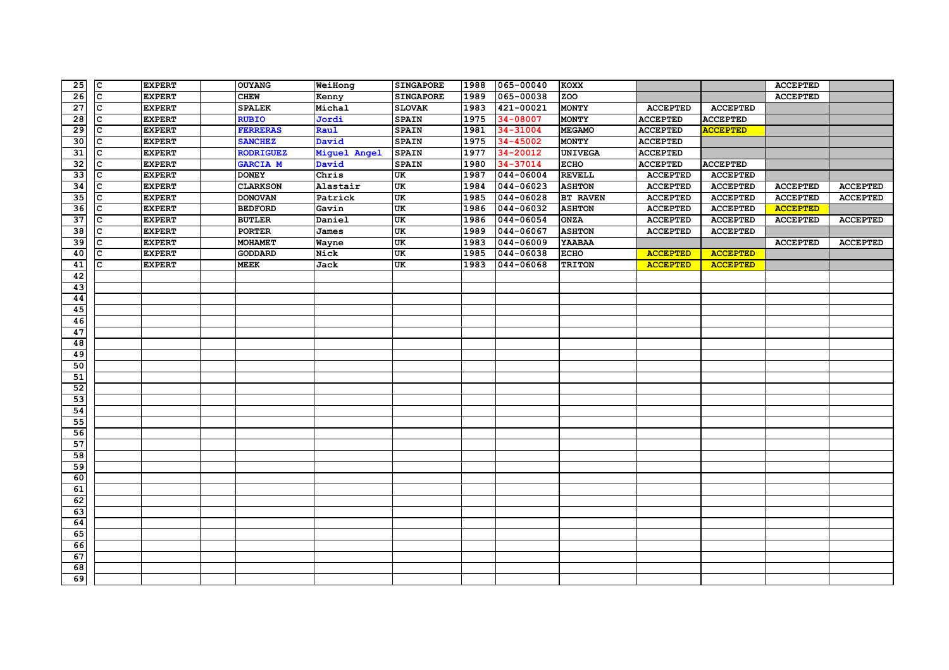| c<br>065-00038<br>$\overline{26}$<br>zoo<br><b>EXPERT</b><br><b>CHEW</b><br>Kenny<br><b>SINGAPORE</b><br>1989<br><b>ACCEPTED</b><br>$\overline{27}$<br><b>EXPERT</b><br>Michal<br>1983<br>421-00021<br><b>MONTY</b><br>$\mathbf{C}$<br><b>SPALEK</b><br><b>SLOVAK</b><br><b>ACCEPTED</b><br><b>ACCEPTED</b><br>$\overline{28}$<br>34-08007<br><b>EXPERT</b><br><b>RUBIO</b><br>Jordi<br><b>SPAIN</b><br>1975<br><b>MONTY</b><br><b>ACCEPTED</b><br><b>ACCEPTED</b><br>$\mathbf{C}$<br>29<br>1981<br>34-31004<br>C<br><b>EXPERT</b><br><b>FERRERAS</b><br>Raul<br><b>SPAIN</b><br><b>MEGAMO</b><br><b>ACCEPTED</b><br><b>ACCEPTED</b><br>30<br>1975<br>$34 - 45002$<br><b>MONTY</b><br>$\mathbf{C}$<br><b>EXPERT</b><br><b>SANCHEZ</b><br>David<br><b>SPAIN</b><br><b>ACCEPTED</b><br>$\overline{31}$<br>$34 - 20012$<br><b>EXPERT</b><br><b>RODRIGUEZ</b><br><b>SPAIN</b><br>1977<br><b>UNIVEGA</b><br><b>ACCEPTED</b><br>C<br>Miguel Angel<br>32<br>34-37014<br>C<br><b>EXPERT</b><br>David<br>1980<br><b>ECHO</b><br><b>ACCEPTED</b><br><b>GARCIA M</b><br><b>SPAIN</b><br><b>ACCEPTED</b><br>33<br>044-06004<br><b>REVELL</b><br><b>EXPERT</b><br><b>DONEY</b><br>Chris<br>1987<br><b>ACCEPTED</b><br>$\mathsf{C}$<br>UK<br><b>ACCEPTED</b><br>$\overline{34}$<br>$044 - 06023$<br><b>ASHTON</b><br>C<br><b>EXPERT</b><br><b>CLARKSON</b><br>Alastair<br>UK<br>1984<br><b>ACCEPTED</b><br><b>ACCEPTED</b><br><b>ACCEPTED</b><br><b>ACCEPTED</b><br>35<br>C<br>UK<br>1985<br>044-06028<br><b>EXPERT</b><br><b>DONOVAN</b><br>Patrick<br><b>BT RAVEN</b><br><b>ACCEPTED</b><br><b>ACCEPTED</b><br><b>ACCEPTED</b><br><b>ACCEPTED</b><br>36<br>044-06032<br><b>EXPERT</b><br>Gavin<br><b>UK</b><br>1986<br><b>ASHTON</b><br>$\mathsf{C}$<br><b>BEDFORD</b><br><b>ACCEPTED</b><br><b>ACCEPTED</b><br><b>ACCEPTED</b><br>$\overline{37}$<br>044-06054<br>C<br><b>EXPERT</b><br><b>BUTLER</b><br>Daniel<br>UK<br><b>ONZA</b><br>1986<br><b>ACCEPTED</b><br><b>ACCEPTED</b><br><b>ACCEPTED</b><br><b>ACCEPTED</b><br>38<br>UK<br>044-06067<br>C<br><b>EXPERT</b><br>1989<br><b>ASHTON</b><br><b>PORTER</b><br>James<br><b>ACCEPTED</b><br><b>ACCEPTED</b><br>39<br>$044 - 06009$<br>1983<br>YAABAA<br>$\mathsf{C}$<br><b>EXPERT</b><br><b>MOHAMET</b><br>UK<br><b>ACCEPTED</b><br>Wayne<br><b>ACCEPTED</b><br>40<br><b>EXPERT</b><br>Nick<br>UK<br>044-06038<br><b>ECHO</b><br>C<br><b>GODDARD</b><br>1985<br><b>ACCEPTED</b><br><b>ACCEPTED</b><br>41<br>UK<br>1983<br>044-06068<br>C<br><b>EXPERT</b><br><b>MEEK</b><br>Jack<br><b>TRITON</b><br><b>ACCEPTED</b><br><b>ACCEPTED</b><br>42<br>43<br>44<br>45<br>46<br>47<br>48<br>49<br>50<br>51<br>52<br>$\overline{53}$<br>54 |
|------------------------------------------------------------------------------------------------------------------------------------------------------------------------------------------------------------------------------------------------------------------------------------------------------------------------------------------------------------------------------------------------------------------------------------------------------------------------------------------------------------------------------------------------------------------------------------------------------------------------------------------------------------------------------------------------------------------------------------------------------------------------------------------------------------------------------------------------------------------------------------------------------------------------------------------------------------------------------------------------------------------------------------------------------------------------------------------------------------------------------------------------------------------------------------------------------------------------------------------------------------------------------------------------------------------------------------------------------------------------------------------------------------------------------------------------------------------------------------------------------------------------------------------------------------------------------------------------------------------------------------------------------------------------------------------------------------------------------------------------------------------------------------------------------------------------------------------------------------------------------------------------------------------------------------------------------------------------------------------------------------------------------------------------------------------------------------------------------------------------------------------------------------------------------------------------------------------------------------------------------------------------------------------------------------------------------------------------------------------------------------------------------------------------------------------------------------------------------------------------------------------------------------------------------------------------------------------------------------------------------------------------------------------------------|
|                                                                                                                                                                                                                                                                                                                                                                                                                                                                                                                                                                                                                                                                                                                                                                                                                                                                                                                                                                                                                                                                                                                                                                                                                                                                                                                                                                                                                                                                                                                                                                                                                                                                                                                                                                                                                                                                                                                                                                                                                                                                                                                                                                                                                                                                                                                                                                                                                                                                                                                                                                                                                                                                              |
|                                                                                                                                                                                                                                                                                                                                                                                                                                                                                                                                                                                                                                                                                                                                                                                                                                                                                                                                                                                                                                                                                                                                                                                                                                                                                                                                                                                                                                                                                                                                                                                                                                                                                                                                                                                                                                                                                                                                                                                                                                                                                                                                                                                                                                                                                                                                                                                                                                                                                                                                                                                                                                                                              |
|                                                                                                                                                                                                                                                                                                                                                                                                                                                                                                                                                                                                                                                                                                                                                                                                                                                                                                                                                                                                                                                                                                                                                                                                                                                                                                                                                                                                                                                                                                                                                                                                                                                                                                                                                                                                                                                                                                                                                                                                                                                                                                                                                                                                                                                                                                                                                                                                                                                                                                                                                                                                                                                                              |
|                                                                                                                                                                                                                                                                                                                                                                                                                                                                                                                                                                                                                                                                                                                                                                                                                                                                                                                                                                                                                                                                                                                                                                                                                                                                                                                                                                                                                                                                                                                                                                                                                                                                                                                                                                                                                                                                                                                                                                                                                                                                                                                                                                                                                                                                                                                                                                                                                                                                                                                                                                                                                                                                              |
|                                                                                                                                                                                                                                                                                                                                                                                                                                                                                                                                                                                                                                                                                                                                                                                                                                                                                                                                                                                                                                                                                                                                                                                                                                                                                                                                                                                                                                                                                                                                                                                                                                                                                                                                                                                                                                                                                                                                                                                                                                                                                                                                                                                                                                                                                                                                                                                                                                                                                                                                                                                                                                                                              |
|                                                                                                                                                                                                                                                                                                                                                                                                                                                                                                                                                                                                                                                                                                                                                                                                                                                                                                                                                                                                                                                                                                                                                                                                                                                                                                                                                                                                                                                                                                                                                                                                                                                                                                                                                                                                                                                                                                                                                                                                                                                                                                                                                                                                                                                                                                                                                                                                                                                                                                                                                                                                                                                                              |
|                                                                                                                                                                                                                                                                                                                                                                                                                                                                                                                                                                                                                                                                                                                                                                                                                                                                                                                                                                                                                                                                                                                                                                                                                                                                                                                                                                                                                                                                                                                                                                                                                                                                                                                                                                                                                                                                                                                                                                                                                                                                                                                                                                                                                                                                                                                                                                                                                                                                                                                                                                                                                                                                              |
|                                                                                                                                                                                                                                                                                                                                                                                                                                                                                                                                                                                                                                                                                                                                                                                                                                                                                                                                                                                                                                                                                                                                                                                                                                                                                                                                                                                                                                                                                                                                                                                                                                                                                                                                                                                                                                                                                                                                                                                                                                                                                                                                                                                                                                                                                                                                                                                                                                                                                                                                                                                                                                                                              |
|                                                                                                                                                                                                                                                                                                                                                                                                                                                                                                                                                                                                                                                                                                                                                                                                                                                                                                                                                                                                                                                                                                                                                                                                                                                                                                                                                                                                                                                                                                                                                                                                                                                                                                                                                                                                                                                                                                                                                                                                                                                                                                                                                                                                                                                                                                                                                                                                                                                                                                                                                                                                                                                                              |
|                                                                                                                                                                                                                                                                                                                                                                                                                                                                                                                                                                                                                                                                                                                                                                                                                                                                                                                                                                                                                                                                                                                                                                                                                                                                                                                                                                                                                                                                                                                                                                                                                                                                                                                                                                                                                                                                                                                                                                                                                                                                                                                                                                                                                                                                                                                                                                                                                                                                                                                                                                                                                                                                              |
|                                                                                                                                                                                                                                                                                                                                                                                                                                                                                                                                                                                                                                                                                                                                                                                                                                                                                                                                                                                                                                                                                                                                                                                                                                                                                                                                                                                                                                                                                                                                                                                                                                                                                                                                                                                                                                                                                                                                                                                                                                                                                                                                                                                                                                                                                                                                                                                                                                                                                                                                                                                                                                                                              |
|                                                                                                                                                                                                                                                                                                                                                                                                                                                                                                                                                                                                                                                                                                                                                                                                                                                                                                                                                                                                                                                                                                                                                                                                                                                                                                                                                                                                                                                                                                                                                                                                                                                                                                                                                                                                                                                                                                                                                                                                                                                                                                                                                                                                                                                                                                                                                                                                                                                                                                                                                                                                                                                                              |
|                                                                                                                                                                                                                                                                                                                                                                                                                                                                                                                                                                                                                                                                                                                                                                                                                                                                                                                                                                                                                                                                                                                                                                                                                                                                                                                                                                                                                                                                                                                                                                                                                                                                                                                                                                                                                                                                                                                                                                                                                                                                                                                                                                                                                                                                                                                                                                                                                                                                                                                                                                                                                                                                              |
|                                                                                                                                                                                                                                                                                                                                                                                                                                                                                                                                                                                                                                                                                                                                                                                                                                                                                                                                                                                                                                                                                                                                                                                                                                                                                                                                                                                                                                                                                                                                                                                                                                                                                                                                                                                                                                                                                                                                                                                                                                                                                                                                                                                                                                                                                                                                                                                                                                                                                                                                                                                                                                                                              |
|                                                                                                                                                                                                                                                                                                                                                                                                                                                                                                                                                                                                                                                                                                                                                                                                                                                                                                                                                                                                                                                                                                                                                                                                                                                                                                                                                                                                                                                                                                                                                                                                                                                                                                                                                                                                                                                                                                                                                                                                                                                                                                                                                                                                                                                                                                                                                                                                                                                                                                                                                                                                                                                                              |
|                                                                                                                                                                                                                                                                                                                                                                                                                                                                                                                                                                                                                                                                                                                                                                                                                                                                                                                                                                                                                                                                                                                                                                                                                                                                                                                                                                                                                                                                                                                                                                                                                                                                                                                                                                                                                                                                                                                                                                                                                                                                                                                                                                                                                                                                                                                                                                                                                                                                                                                                                                                                                                                                              |
|                                                                                                                                                                                                                                                                                                                                                                                                                                                                                                                                                                                                                                                                                                                                                                                                                                                                                                                                                                                                                                                                                                                                                                                                                                                                                                                                                                                                                                                                                                                                                                                                                                                                                                                                                                                                                                                                                                                                                                                                                                                                                                                                                                                                                                                                                                                                                                                                                                                                                                                                                                                                                                                                              |
|                                                                                                                                                                                                                                                                                                                                                                                                                                                                                                                                                                                                                                                                                                                                                                                                                                                                                                                                                                                                                                                                                                                                                                                                                                                                                                                                                                                                                                                                                                                                                                                                                                                                                                                                                                                                                                                                                                                                                                                                                                                                                                                                                                                                                                                                                                                                                                                                                                                                                                                                                                                                                                                                              |
|                                                                                                                                                                                                                                                                                                                                                                                                                                                                                                                                                                                                                                                                                                                                                                                                                                                                                                                                                                                                                                                                                                                                                                                                                                                                                                                                                                                                                                                                                                                                                                                                                                                                                                                                                                                                                                                                                                                                                                                                                                                                                                                                                                                                                                                                                                                                                                                                                                                                                                                                                                                                                                                                              |
|                                                                                                                                                                                                                                                                                                                                                                                                                                                                                                                                                                                                                                                                                                                                                                                                                                                                                                                                                                                                                                                                                                                                                                                                                                                                                                                                                                                                                                                                                                                                                                                                                                                                                                                                                                                                                                                                                                                                                                                                                                                                                                                                                                                                                                                                                                                                                                                                                                                                                                                                                                                                                                                                              |
|                                                                                                                                                                                                                                                                                                                                                                                                                                                                                                                                                                                                                                                                                                                                                                                                                                                                                                                                                                                                                                                                                                                                                                                                                                                                                                                                                                                                                                                                                                                                                                                                                                                                                                                                                                                                                                                                                                                                                                                                                                                                                                                                                                                                                                                                                                                                                                                                                                                                                                                                                                                                                                                                              |
|                                                                                                                                                                                                                                                                                                                                                                                                                                                                                                                                                                                                                                                                                                                                                                                                                                                                                                                                                                                                                                                                                                                                                                                                                                                                                                                                                                                                                                                                                                                                                                                                                                                                                                                                                                                                                                                                                                                                                                                                                                                                                                                                                                                                                                                                                                                                                                                                                                                                                                                                                                                                                                                                              |
|                                                                                                                                                                                                                                                                                                                                                                                                                                                                                                                                                                                                                                                                                                                                                                                                                                                                                                                                                                                                                                                                                                                                                                                                                                                                                                                                                                                                                                                                                                                                                                                                                                                                                                                                                                                                                                                                                                                                                                                                                                                                                                                                                                                                                                                                                                                                                                                                                                                                                                                                                                                                                                                                              |
|                                                                                                                                                                                                                                                                                                                                                                                                                                                                                                                                                                                                                                                                                                                                                                                                                                                                                                                                                                                                                                                                                                                                                                                                                                                                                                                                                                                                                                                                                                                                                                                                                                                                                                                                                                                                                                                                                                                                                                                                                                                                                                                                                                                                                                                                                                                                                                                                                                                                                                                                                                                                                                                                              |
|                                                                                                                                                                                                                                                                                                                                                                                                                                                                                                                                                                                                                                                                                                                                                                                                                                                                                                                                                                                                                                                                                                                                                                                                                                                                                                                                                                                                                                                                                                                                                                                                                                                                                                                                                                                                                                                                                                                                                                                                                                                                                                                                                                                                                                                                                                                                                                                                                                                                                                                                                                                                                                                                              |
|                                                                                                                                                                                                                                                                                                                                                                                                                                                                                                                                                                                                                                                                                                                                                                                                                                                                                                                                                                                                                                                                                                                                                                                                                                                                                                                                                                                                                                                                                                                                                                                                                                                                                                                                                                                                                                                                                                                                                                                                                                                                                                                                                                                                                                                                                                                                                                                                                                                                                                                                                                                                                                                                              |
|                                                                                                                                                                                                                                                                                                                                                                                                                                                                                                                                                                                                                                                                                                                                                                                                                                                                                                                                                                                                                                                                                                                                                                                                                                                                                                                                                                                                                                                                                                                                                                                                                                                                                                                                                                                                                                                                                                                                                                                                                                                                                                                                                                                                                                                                                                                                                                                                                                                                                                                                                                                                                                                                              |
|                                                                                                                                                                                                                                                                                                                                                                                                                                                                                                                                                                                                                                                                                                                                                                                                                                                                                                                                                                                                                                                                                                                                                                                                                                                                                                                                                                                                                                                                                                                                                                                                                                                                                                                                                                                                                                                                                                                                                                                                                                                                                                                                                                                                                                                                                                                                                                                                                                                                                                                                                                                                                                                                              |
|                                                                                                                                                                                                                                                                                                                                                                                                                                                                                                                                                                                                                                                                                                                                                                                                                                                                                                                                                                                                                                                                                                                                                                                                                                                                                                                                                                                                                                                                                                                                                                                                                                                                                                                                                                                                                                                                                                                                                                                                                                                                                                                                                                                                                                                                                                                                                                                                                                                                                                                                                                                                                                                                              |
| 55                                                                                                                                                                                                                                                                                                                                                                                                                                                                                                                                                                                                                                                                                                                                                                                                                                                                                                                                                                                                                                                                                                                                                                                                                                                                                                                                                                                                                                                                                                                                                                                                                                                                                                                                                                                                                                                                                                                                                                                                                                                                                                                                                                                                                                                                                                                                                                                                                                                                                                                                                                                                                                                                           |
| 56                                                                                                                                                                                                                                                                                                                                                                                                                                                                                                                                                                                                                                                                                                                                                                                                                                                                                                                                                                                                                                                                                                                                                                                                                                                                                                                                                                                                                                                                                                                                                                                                                                                                                                                                                                                                                                                                                                                                                                                                                                                                                                                                                                                                                                                                                                                                                                                                                                                                                                                                                                                                                                                                           |
| 57                                                                                                                                                                                                                                                                                                                                                                                                                                                                                                                                                                                                                                                                                                                                                                                                                                                                                                                                                                                                                                                                                                                                                                                                                                                                                                                                                                                                                                                                                                                                                                                                                                                                                                                                                                                                                                                                                                                                                                                                                                                                                                                                                                                                                                                                                                                                                                                                                                                                                                                                                                                                                                                                           |
| 58                                                                                                                                                                                                                                                                                                                                                                                                                                                                                                                                                                                                                                                                                                                                                                                                                                                                                                                                                                                                                                                                                                                                                                                                                                                                                                                                                                                                                                                                                                                                                                                                                                                                                                                                                                                                                                                                                                                                                                                                                                                                                                                                                                                                                                                                                                                                                                                                                                                                                                                                                                                                                                                                           |
| 59                                                                                                                                                                                                                                                                                                                                                                                                                                                                                                                                                                                                                                                                                                                                                                                                                                                                                                                                                                                                                                                                                                                                                                                                                                                                                                                                                                                                                                                                                                                                                                                                                                                                                                                                                                                                                                                                                                                                                                                                                                                                                                                                                                                                                                                                                                                                                                                                                                                                                                                                                                                                                                                                           |
| 60                                                                                                                                                                                                                                                                                                                                                                                                                                                                                                                                                                                                                                                                                                                                                                                                                                                                                                                                                                                                                                                                                                                                                                                                                                                                                                                                                                                                                                                                                                                                                                                                                                                                                                                                                                                                                                                                                                                                                                                                                                                                                                                                                                                                                                                                                                                                                                                                                                                                                                                                                                                                                                                                           |
| 61                                                                                                                                                                                                                                                                                                                                                                                                                                                                                                                                                                                                                                                                                                                                                                                                                                                                                                                                                                                                                                                                                                                                                                                                                                                                                                                                                                                                                                                                                                                                                                                                                                                                                                                                                                                                                                                                                                                                                                                                                                                                                                                                                                                                                                                                                                                                                                                                                                                                                                                                                                                                                                                                           |
| 62                                                                                                                                                                                                                                                                                                                                                                                                                                                                                                                                                                                                                                                                                                                                                                                                                                                                                                                                                                                                                                                                                                                                                                                                                                                                                                                                                                                                                                                                                                                                                                                                                                                                                                                                                                                                                                                                                                                                                                                                                                                                                                                                                                                                                                                                                                                                                                                                                                                                                                                                                                                                                                                                           |
| 63                                                                                                                                                                                                                                                                                                                                                                                                                                                                                                                                                                                                                                                                                                                                                                                                                                                                                                                                                                                                                                                                                                                                                                                                                                                                                                                                                                                                                                                                                                                                                                                                                                                                                                                                                                                                                                                                                                                                                                                                                                                                                                                                                                                                                                                                                                                                                                                                                                                                                                                                                                                                                                                                           |
| 64                                                                                                                                                                                                                                                                                                                                                                                                                                                                                                                                                                                                                                                                                                                                                                                                                                                                                                                                                                                                                                                                                                                                                                                                                                                                                                                                                                                                                                                                                                                                                                                                                                                                                                                                                                                                                                                                                                                                                                                                                                                                                                                                                                                                                                                                                                                                                                                                                                                                                                                                                                                                                                                                           |
| 65                                                                                                                                                                                                                                                                                                                                                                                                                                                                                                                                                                                                                                                                                                                                                                                                                                                                                                                                                                                                                                                                                                                                                                                                                                                                                                                                                                                                                                                                                                                                                                                                                                                                                                                                                                                                                                                                                                                                                                                                                                                                                                                                                                                                                                                                                                                                                                                                                                                                                                                                                                                                                                                                           |
| 66                                                                                                                                                                                                                                                                                                                                                                                                                                                                                                                                                                                                                                                                                                                                                                                                                                                                                                                                                                                                                                                                                                                                                                                                                                                                                                                                                                                                                                                                                                                                                                                                                                                                                                                                                                                                                                                                                                                                                                                                                                                                                                                                                                                                                                                                                                                                                                                                                                                                                                                                                                                                                                                                           |
| 67                                                                                                                                                                                                                                                                                                                                                                                                                                                                                                                                                                                                                                                                                                                                                                                                                                                                                                                                                                                                                                                                                                                                                                                                                                                                                                                                                                                                                                                                                                                                                                                                                                                                                                                                                                                                                                                                                                                                                                                                                                                                                                                                                                                                                                                                                                                                                                                                                                                                                                                                                                                                                                                                           |
| 68                                                                                                                                                                                                                                                                                                                                                                                                                                                                                                                                                                                                                                                                                                                                                                                                                                                                                                                                                                                                                                                                                                                                                                                                                                                                                                                                                                                                                                                                                                                                                                                                                                                                                                                                                                                                                                                                                                                                                                                                                                                                                                                                                                                                                                                                                                                                                                                                                                                                                                                                                                                                                                                                           |
| 69                                                                                                                                                                                                                                                                                                                                                                                                                                                                                                                                                                                                                                                                                                                                                                                                                                                                                                                                                                                                                                                                                                                                                                                                                                                                                                                                                                                                                                                                                                                                                                                                                                                                                                                                                                                                                                                                                                                                                                                                                                                                                                                                                                                                                                                                                                                                                                                                                                                                                                                                                                                                                                                                           |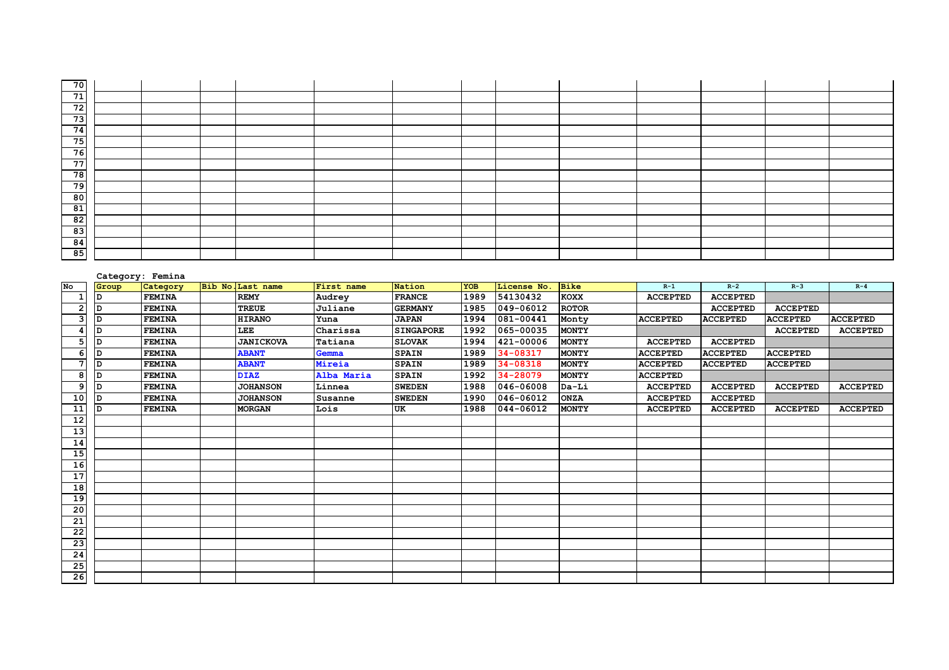| 70 I           |  |  |  |  |  |  |  |
|----------------|--|--|--|--|--|--|--|
| 71             |  |  |  |  |  |  |  |
| 72             |  |  |  |  |  |  |  |
| 73             |  |  |  |  |  |  |  |
| 74             |  |  |  |  |  |  |  |
| 75             |  |  |  |  |  |  |  |
| 76             |  |  |  |  |  |  |  |
| 77             |  |  |  |  |  |  |  |
| 78             |  |  |  |  |  |  |  |
| 79             |  |  |  |  |  |  |  |
| 80             |  |  |  |  |  |  |  |
| 81             |  |  |  |  |  |  |  |
| $\frac{3}{82}$ |  |  |  |  |  |  |  |
| 83<br>_____    |  |  |  |  |  |  |  |
| 84             |  |  |  |  |  |  |  |
| 85             |  |  |  |  |  |  |  |

|                 |       | Category: Femina |                   |            |                  |            |             |              |                 |                 |                 |                 |
|-----------------|-------|------------------|-------------------|------------|------------------|------------|-------------|--------------|-----------------|-----------------|-----------------|-----------------|
| No              | Group | Category         | Bib No. Last name | First name | Nation           | <b>YOB</b> | License No. | <b>Bike</b>  | $R-1$           | $R-2$           | $R-3$           | $R - 4$         |
|                 | D     | <b>FEMINA</b>    | <b>REMY</b>       | Audrey     | <b>FRANCE</b>    | 1989       | 54130432    | <b>KOXX</b>  | <b>ACCEPTED</b> | <b>ACCEPTED</b> |                 |                 |
|                 | D     | <b>FEMINA</b>    | <b>TREUE</b>      | Juliane    | <b>GERMANY</b>   | 1985       | 049-06012   | <b>ROTOR</b> |                 | <b>ACCEPTED</b> | <b>ACCEPTED</b> |                 |
| 3               | D     | <b>FEMINA</b>    | <b>HIRANO</b>     | Yuna       | <b>JAPAN</b>     | 1994       | 081-00441   | Monty        | <b>ACCEPTED</b> | <b>ACCEPTED</b> | <b>ACCEPTED</b> | <b>ACCEPTED</b> |
|                 | D     | <b>FEMINA</b>    | LEE               | Charissa   | <b>SINGAPORE</b> | 1992       | 065-00035   | <b>MONTY</b> |                 |                 | <b>ACCEPTED</b> | <b>ACCEPTED</b> |
| 5               | D     | <b>FEMINA</b>    | <b>JANICKOVA</b>  | Tatiana    | <b>SLOVAK</b>    | 1994       | 421-00006   | <b>MONTY</b> | <b>ACCEPTED</b> | <b>ACCEPTED</b> |                 |                 |
| 6               | D     | <b>FEMINA</b>    | <b>ABANT</b>      | Gemma      | <b>SPAIN</b>     | 1989       | 34-08317    | <b>MONTY</b> | <b>ACCEPTED</b> | <b>ACCEPTED</b> | <b>ACCEPTED</b> |                 |
|                 | D     | <b>FEMINA</b>    | <b>ABANT</b>      | Mireia     | <b>SPAIN</b>     | 1989       | 34-08318    | <b>MONTY</b> | <b>ACCEPTED</b> | <b>ACCEPTED</b> | <b>ACCEPTED</b> |                 |
| 8               | D     | <b>FEMINA</b>    | <b>DIAZ</b>       | Alba Maria | <b>SPAIN</b>     | 1992       | 34-28079    | <b>MONTY</b> | <b>ACCEPTED</b> |                 |                 |                 |
| 9               | D     | <b>FEMINA</b>    | <b>JOHANSON</b>   | Linnea     | <b>SWEDEN</b>    | 1988       | 046-06008   | Da-Li        | <b>ACCEPTED</b> | <b>ACCEPTED</b> | <b>ACCEPTED</b> | <b>ACCEPTED</b> |
| 10              | D     | <b>FEMINA</b>    | <b>JOHANSON</b>   | Susanne    | <b>SWEDEN</b>    | 1990       | 046-06012   | <b>ONZA</b>  | <b>ACCEPTED</b> | <b>ACCEPTED</b> |                 |                 |
| 11              | D     | <b>FEMINA</b>    | <b>MORGAN</b>     | Lois       | UK               | 1988       | 044-06012   | <b>MONTY</b> | <b>ACCEPTED</b> | <b>ACCEPTED</b> | <b>ACCEPTED</b> | <b>ACCEPTED</b> |
| 12              |       |                  |                   |            |                  |            |             |              |                 |                 |                 |                 |
| $\overline{13}$ |       |                  |                   |            |                  |            |             |              |                 |                 |                 |                 |
| 14              |       |                  |                   |            |                  |            |             |              |                 |                 |                 |                 |
| 15              |       |                  |                   |            |                  |            |             |              |                 |                 |                 |                 |
| 16              |       |                  |                   |            |                  |            |             |              |                 |                 |                 |                 |
| 17              |       |                  |                   |            |                  |            |             |              |                 |                 |                 |                 |
| 18              |       |                  |                   |            |                  |            |             |              |                 |                 |                 |                 |
| 19              |       |                  |                   |            |                  |            |             |              |                 |                 |                 |                 |
| 20              |       |                  |                   |            |                  |            |             |              |                 |                 |                 |                 |
| 21              |       |                  |                   |            |                  |            |             |              |                 |                 |                 |                 |
| $\overline{22}$ |       |                  |                   |            |                  |            |             |              |                 |                 |                 |                 |
| 23              |       |                  |                   |            |                  |            |             |              |                 |                 |                 |                 |
| 24              |       |                  |                   |            |                  |            |             |              |                 |                 |                 |                 |
| 25              |       |                  |                   |            |                  |            |             |              |                 |                 |                 |                 |
| 26              |       |                  |                   |            |                  |            |             |              |                 |                 |                 |                 |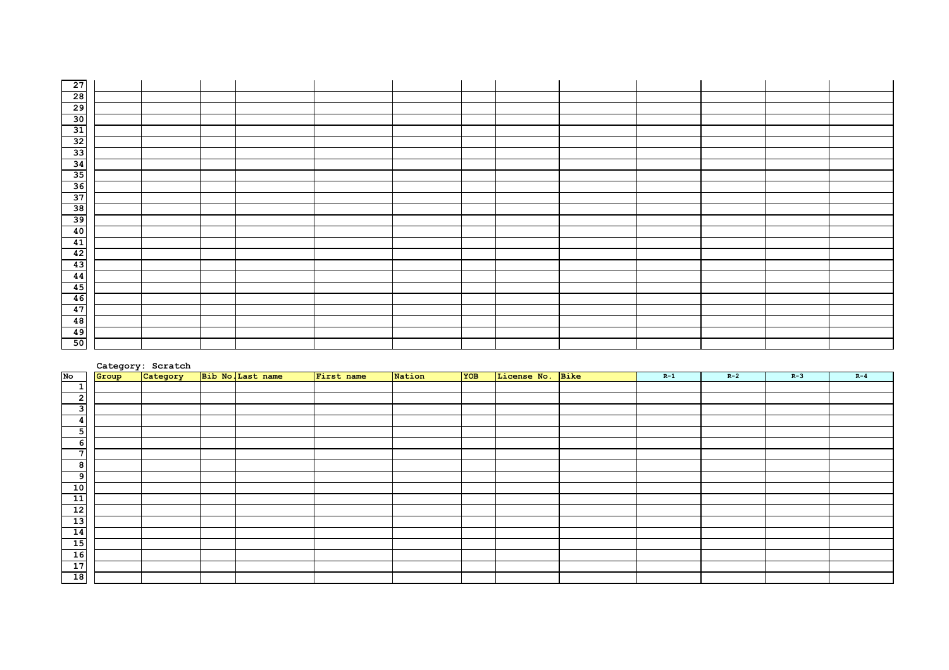| $\overline{27}$                                                                                                                                                                                     |  |  |  |  |  |  |  |
|-----------------------------------------------------------------------------------------------------------------------------------------------------------------------------------------------------|--|--|--|--|--|--|--|
|                                                                                                                                                                                                     |  |  |  |  |  |  |  |
|                                                                                                                                                                                                     |  |  |  |  |  |  |  |
|                                                                                                                                                                                                     |  |  |  |  |  |  |  |
| $\begin{array}{r} 1.78 \\  \hline\n 28 \\  \hline\n 29 \\  \hline\n 30 \\  \hline\n 31 \\  \hline\n 32\n \end{array}$                                                                               |  |  |  |  |  |  |  |
|                                                                                                                                                                                                     |  |  |  |  |  |  |  |
| 33                                                                                                                                                                                                  |  |  |  |  |  |  |  |
|                                                                                                                                                                                                     |  |  |  |  |  |  |  |
|                                                                                                                                                                                                     |  |  |  |  |  |  |  |
| $\begin{array}{r} \n \overline{\mathbf{34}} \\  \overline{\mathbf{35}} \\  \overline{\mathbf{36}} \\  \overline{\mathbf{37}} \\  \overline{\mathbf{38}} \\  \overline{\mathbf{39}} \\  \end{array}$ |  |  |  |  |  |  |  |
|                                                                                                                                                                                                     |  |  |  |  |  |  |  |
|                                                                                                                                                                                                     |  |  |  |  |  |  |  |
|                                                                                                                                                                                                     |  |  |  |  |  |  |  |
| $\begin{array}{r}\n\hline\n40 \\ \hline\n41 \\ \hline\n42 \\ \hline\n43\n\end{array}$                                                                                                               |  |  |  |  |  |  |  |
|                                                                                                                                                                                                     |  |  |  |  |  |  |  |
|                                                                                                                                                                                                     |  |  |  |  |  |  |  |
|                                                                                                                                                                                                     |  |  |  |  |  |  |  |
| 44                                                                                                                                                                                                  |  |  |  |  |  |  |  |
| 45                                                                                                                                                                                                  |  |  |  |  |  |  |  |
| 46                                                                                                                                                                                                  |  |  |  |  |  |  |  |
| 47                                                                                                                                                                                                  |  |  |  |  |  |  |  |
| $\frac{48}{49}$                                                                                                                                                                                     |  |  |  |  |  |  |  |
|                                                                                                                                                                                                     |  |  |  |  |  |  |  |
| 50                                                                                                                                                                                                  |  |  |  |  |  |  |  |

|                 |       | Category: Scratch |                   |            |        |     |                  |       |       |       |         |
|-----------------|-------|-------------------|-------------------|------------|--------|-----|------------------|-------|-------|-------|---------|
| No              | Group | Category          | Bib No. Last name | First name | Nation | YOB | License No. Bike | $R-1$ | $R-2$ | $R-3$ | $R - 4$ |
| $\mathbf{1}$    |       |                   |                   |            |        |     |                  |       |       |       |         |
| $\overline{2}$  |       |                   |                   |            |        |     |                  |       |       |       |         |
| $\mathbf{3}$    |       |                   |                   |            |        |     |                  |       |       |       |         |
| 4               |       |                   |                   |            |        |     |                  |       |       |       |         |
| 5               |       |                   |                   |            |        |     |                  |       |       |       |         |
| -61             |       |                   |                   |            |        |     |                  |       |       |       |         |
| $\overline{7}$  |       |                   |                   |            |        |     |                  |       |       |       |         |
| 8               |       |                   |                   |            |        |     |                  |       |       |       |         |
| 9               |       |                   |                   |            |        |     |                  |       |       |       |         |
|                 |       |                   |                   |            |        |     |                  |       |       |       |         |
|                 |       |                   |                   |            |        |     |                  |       |       |       |         |
|                 |       |                   |                   |            |        |     |                  |       |       |       |         |
|                 |       |                   |                   |            |        |     |                  |       |       |       |         |
|                 |       |                   |                   |            |        |     |                  |       |       |       |         |
|                 |       |                   |                   |            |        |     |                  |       |       |       |         |
|                 |       |                   |                   |            |        |     |                  |       |       |       |         |
|                 |       |                   |                   |            |        |     |                  |       |       |       |         |
| $\overline{18}$ |       |                   |                   |            |        |     |                  |       |       |       |         |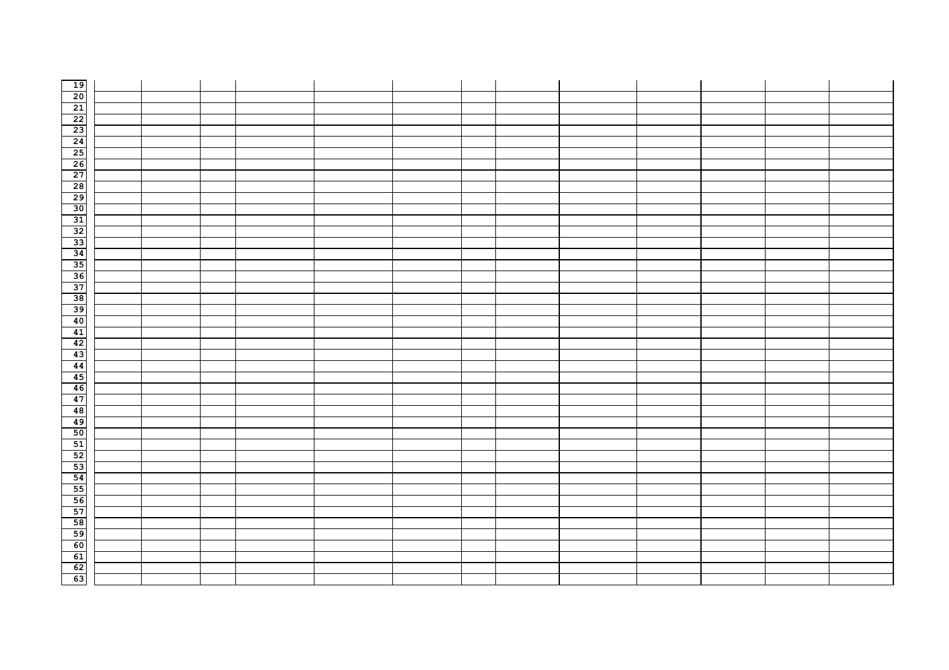| 19<br>20 21 22 35 45 56 78 99 10 31 32 33 34 35 67 88 99 10 33 34 45 67 89 60 61 92 34 45 67 88 99 10 41 42 43 44 5 67 88 99 00 11 22 33 54 45 67 88 99 00 11 22 33 54 45 67 88 99 00 11 22 33 54 45 67 88 99 00 11 22 33 54 45 6 |  |  |  |  |  |  |  |
|-----------------------------------------------------------------------------------------------------------------------------------------------------------------------------------------------------------------------------------|--|--|--|--|--|--|--|
|                                                                                                                                                                                                                                   |  |  |  |  |  |  |  |
|                                                                                                                                                                                                                                   |  |  |  |  |  |  |  |
|                                                                                                                                                                                                                                   |  |  |  |  |  |  |  |
|                                                                                                                                                                                                                                   |  |  |  |  |  |  |  |
|                                                                                                                                                                                                                                   |  |  |  |  |  |  |  |
|                                                                                                                                                                                                                                   |  |  |  |  |  |  |  |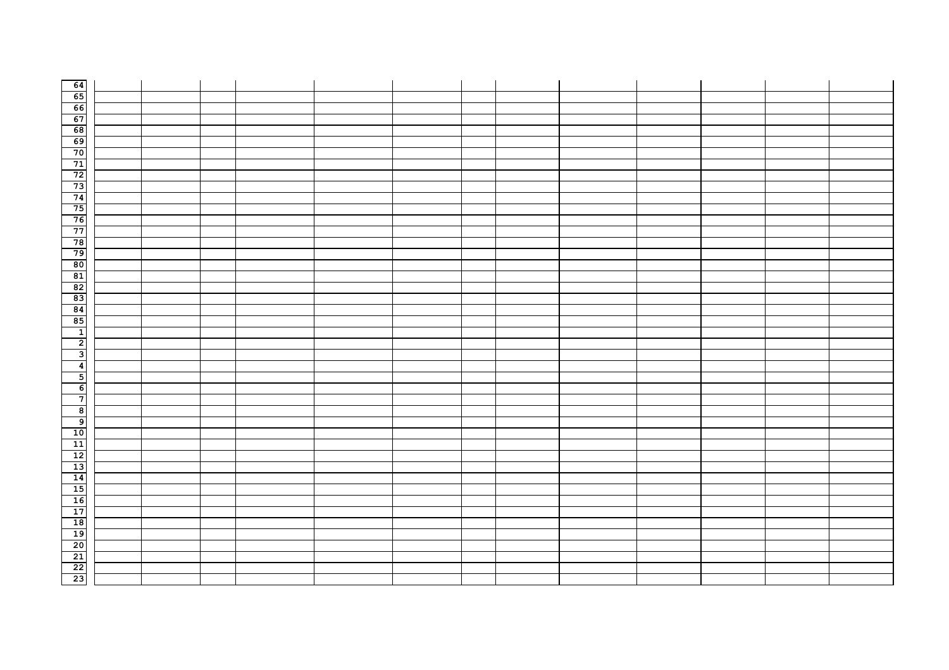| $\begin{array}{c c}\n64 \\ \hline\n65 \\ \hline\n7\n\end{array}$                     |  |  |  |  |  |  |  |
|--------------------------------------------------------------------------------------|--|--|--|--|--|--|--|
|                                                                                      |  |  |  |  |  |  |  |
|                                                                                      |  |  |  |  |  |  |  |
|                                                                                      |  |  |  |  |  |  |  |
|                                                                                      |  |  |  |  |  |  |  |
|                                                                                      |  |  |  |  |  |  |  |
|                                                                                      |  |  |  |  |  |  |  |
|                                                                                      |  |  |  |  |  |  |  |
|                                                                                      |  |  |  |  |  |  |  |
|                                                                                      |  |  |  |  |  |  |  |
|                                                                                      |  |  |  |  |  |  |  |
|                                                                                      |  |  |  |  |  |  |  |
|                                                                                      |  |  |  |  |  |  |  |
|                                                                                      |  |  |  |  |  |  |  |
|                                                                                      |  |  |  |  |  |  |  |
|                                                                                      |  |  |  |  |  |  |  |
|                                                                                      |  |  |  |  |  |  |  |
|                                                                                      |  |  |  |  |  |  |  |
|                                                                                      |  |  |  |  |  |  |  |
|                                                                                      |  |  |  |  |  |  |  |
|                                                                                      |  |  |  |  |  |  |  |
|                                                                                      |  |  |  |  |  |  |  |
| لا                                                                                   |  |  |  |  |  |  |  |
| $\overline{4}$                                                                       |  |  |  |  |  |  |  |
| $\overline{\phantom{0}}$                                                             |  |  |  |  |  |  |  |
| $\epsilon$                                                                           |  |  |  |  |  |  |  |
| $\overline{\bullet}$ $\overline{\bullet}$                                            |  |  |  |  |  |  |  |
|                                                                                      |  |  |  |  |  |  |  |
|                                                                                      |  |  |  |  |  |  |  |
|                                                                                      |  |  |  |  |  |  |  |
|                                                                                      |  |  |  |  |  |  |  |
|                                                                                      |  |  |  |  |  |  |  |
|                                                                                      |  |  |  |  |  |  |  |
|                                                                                      |  |  |  |  |  |  |  |
|                                                                                      |  |  |  |  |  |  |  |
|                                                                                      |  |  |  |  |  |  |  |
|                                                                                      |  |  |  |  |  |  |  |
|                                                                                      |  |  |  |  |  |  |  |
|                                                                                      |  |  |  |  |  |  |  |
|                                                                                      |  |  |  |  |  |  |  |
|                                                                                      |  |  |  |  |  |  |  |
|                                                                                      |  |  |  |  |  |  |  |
| 10<br>11<br>11<br>11<br>11<br>11<br>11<br>11<br>11<br>11<br>11<br>1<br>1<br><br><br> |  |  |  |  |  |  |  |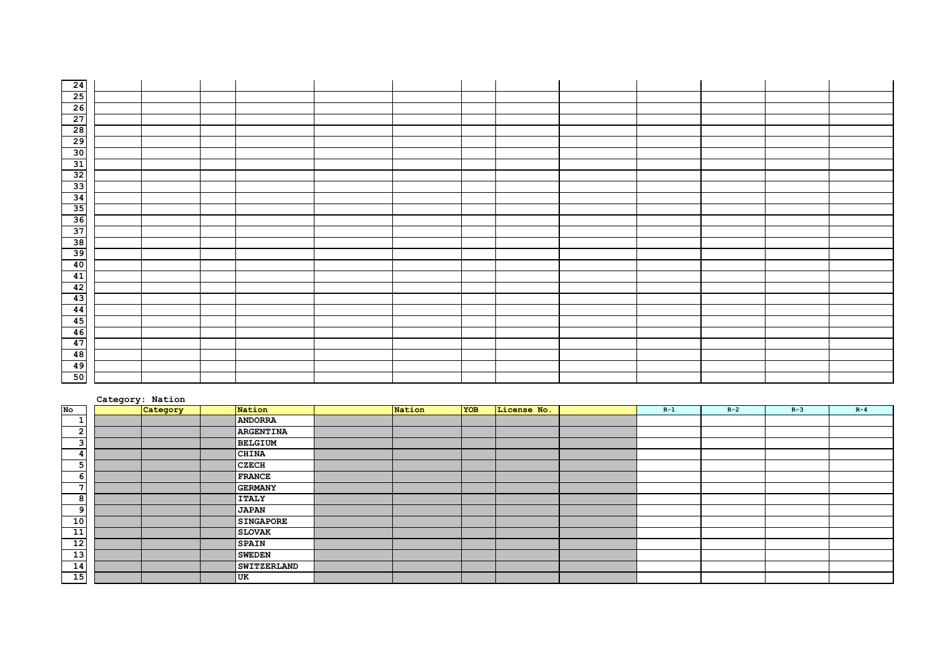| $\begin{array}{r} 24 \\ 25 \\ 26 \\ 27 \\ 28 \end{array}$                                                                                                     |  |  |  |  |  |  |  |
|---------------------------------------------------------------------------------------------------------------------------------------------------------------|--|--|--|--|--|--|--|
|                                                                                                                                                               |  |  |  |  |  |  |  |
|                                                                                                                                                               |  |  |  |  |  |  |  |
|                                                                                                                                                               |  |  |  |  |  |  |  |
|                                                                                                                                                               |  |  |  |  |  |  |  |
|                                                                                                                                                               |  |  |  |  |  |  |  |
|                                                                                                                                                               |  |  |  |  |  |  |  |
|                                                                                                                                                               |  |  |  |  |  |  |  |
|                                                                                                                                                               |  |  |  |  |  |  |  |
|                                                                                                                                                               |  |  |  |  |  |  |  |
|                                                                                                                                                               |  |  |  |  |  |  |  |
|                                                                                                                                                               |  |  |  |  |  |  |  |
|                                                                                                                                                               |  |  |  |  |  |  |  |
|                                                                                                                                                               |  |  |  |  |  |  |  |
|                                                                                                                                                               |  |  |  |  |  |  |  |
|                                                                                                                                                               |  |  |  |  |  |  |  |
|                                                                                                                                                               |  |  |  |  |  |  |  |
|                                                                                                                                                               |  |  |  |  |  |  |  |
|                                                                                                                                                               |  |  |  |  |  |  |  |
|                                                                                                                                                               |  |  |  |  |  |  |  |
|                                                                                                                                                               |  |  |  |  |  |  |  |
| $\begin{array}{r} \n \overline{41} \\  \overline{42} \\  \overline{43} \\  \overline{44} \\  \overline{45} \\  \overline{46} \\  \overline{47}\n \end{array}$ |  |  |  |  |  |  |  |
|                                                                                                                                                               |  |  |  |  |  |  |  |
|                                                                                                                                                               |  |  |  |  |  |  |  |
| $\begin{array}{r} \hline 48 \\ \hline 49 \\ \hline 50 \end{array}$                                                                                            |  |  |  |  |  |  |  |
|                                                                                                                                                               |  |  |  |  |  |  |  |
|                                                                                                                                                               |  |  |  |  |  |  |  |

#### **Category: Nation No Category Nation Nation YOB License No. R-1 R-2 R-3 R-4 ANDORRA ARGENTINA BELGIUM CHINA CZECH FRANCE GERMANY ITALY JAPAN SINGAPORE SLOVAK SPAIN 13**<br>**14 SWEDEN**<br>**SWITZE SWITZERLAND UK**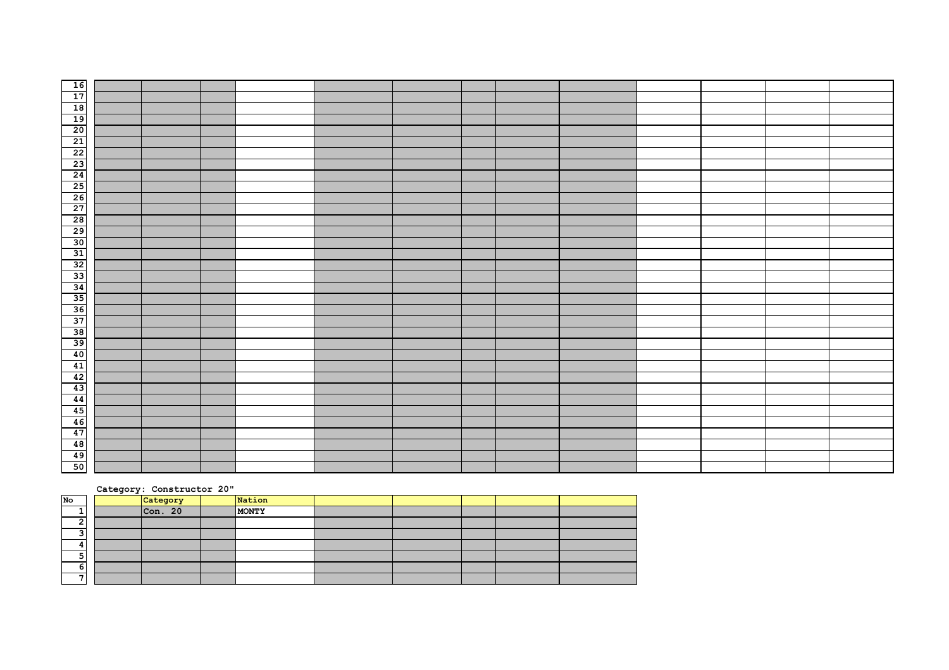#### **Category: Constructor 20"**

| No     | Category | Nation |  |  |  |
|--------|----------|--------|--|--|--|
|        | Con. 20  | MONTY  |  |  |  |
| ∽      |          |        |  |  |  |
| ີ<br>⊐ |          |        |  |  |  |
| 4      |          |        |  |  |  |
| 5      |          |        |  |  |  |
| 6      |          |        |  |  |  |
| -      |          |        |  |  |  |